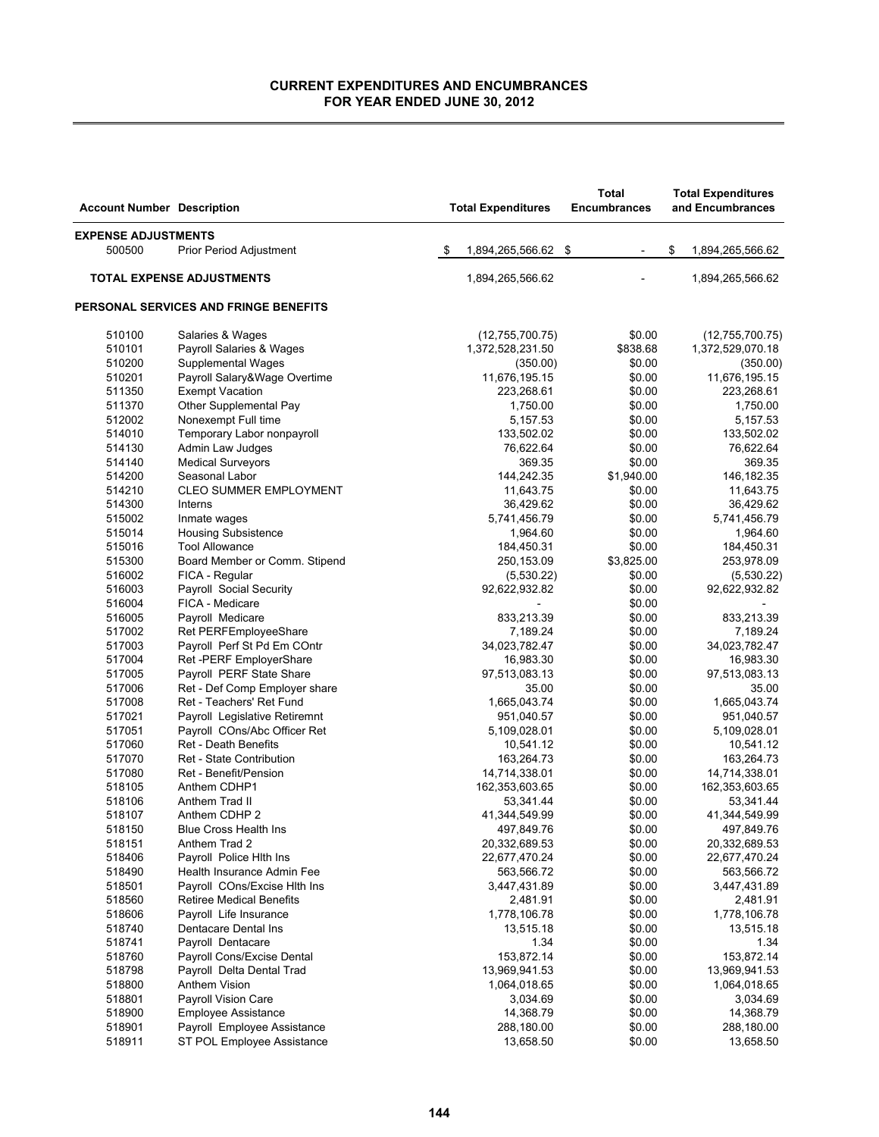| <b>Account Number Description</b> |                                       | <b>Total Expenditures</b> | <b>Total</b><br><b>Encumbrances</b> | <b>Total Expenditures</b><br>and Encumbrances |
|-----------------------------------|---------------------------------------|---------------------------|-------------------------------------|-----------------------------------------------|
| <b>EXPENSE ADJUSTMENTS</b>        |                                       |                           |                                     |                                               |
| 500500                            | <b>Prior Period Adjustment</b>        | \$<br>1,894,265,566.62 \$ | $\overline{\phantom{a}}$            | \$<br>1,894,265,566.62                        |
|                                   | <b>TOTAL EXPENSE ADJUSTMENTS</b>      | 1,894,265,566.62          |                                     | 1,894,265,566.62                              |
|                                   | PERSONAL SERVICES AND FRINGE BENEFITS |                           |                                     |                                               |
| 510100                            | Salaries & Wages                      | (12,755,700.75)           | \$0.00                              | (12,755,700.75)                               |
| 510101                            | Payroll Salaries & Wages              | 1,372,528,231.50          | \$838.68                            | 1,372,529,070.18                              |
| 510200                            | <b>Supplemental Wages</b>             | (350.00)                  | \$0.00                              | (350.00)                                      |
| 510201                            | Payroll Salary&Wage Overtime          | 11,676,195.15             | \$0.00                              | 11,676,195.15                                 |
| 511350                            | <b>Exempt Vacation</b>                | 223,268.61                | \$0.00                              | 223,268.61                                    |
| 511370                            | Other Supplemental Pay                | 1,750.00                  | \$0.00                              | 1,750.00                                      |
| 512002                            | Nonexempt Full time                   | 5,157.53                  | \$0.00                              | 5,157.53                                      |
| 514010                            | Temporary Labor nonpayroll            | 133,502.02                | \$0.00                              | 133,502.02                                    |
| 514130                            | Admin Law Judges                      | 76,622.64                 | \$0.00                              | 76,622.64                                     |
| 514140                            | <b>Medical Surveyors</b>              | 369.35                    | \$0.00                              | 369.35                                        |
| 514200                            | Seasonal Labor                        | 144,242.35                | \$1,940.00                          | 146,182.35                                    |
| 514210                            | <b>CLEO SUMMER EMPLOYMENT</b>         | 11,643.75                 | \$0.00                              | 11,643.75                                     |
| 514300                            | Interns                               | 36,429.62                 | \$0.00                              | 36,429.62                                     |
| 515002                            | Inmate wages                          | 5,741,456.79              | \$0.00                              | 5,741,456.79                                  |
| 515014                            | <b>Housing Subsistence</b>            | 1,964.60                  | \$0.00                              | 1,964.60                                      |
| 515016                            | <b>Tool Allowance</b>                 | 184,450.31                | \$0.00                              | 184,450.31                                    |
| 515300                            | Board Member or Comm. Stipend         | 250,153.09                | \$3,825.00                          | 253,978.09                                    |
| 516002                            | FICA - Regular                        | (5,530.22)                | \$0.00                              | (5,530.22)                                    |
| 516003                            | Payroll Social Security               | 92,622,932.82             | \$0.00                              | 92,622,932.82                                 |
| 516004                            | FICA - Medicare                       |                           | \$0.00                              |                                               |
| 516005                            | Payroll Medicare                      | 833,213.39                | \$0.00                              | 833,213.39                                    |
| 517002                            | Ret PERFEmployeeShare                 | 7,189.24                  | \$0.00                              | 7,189.24                                      |
| 517003                            | Payroll Perf St Pd Em COntr           | 34,023,782.47             | \$0.00                              | 34,023,782.47                                 |
| 517004                            | Ret -PERF EmployerShare               | 16,983.30                 | \$0.00                              | 16,983.30                                     |
| 517005                            | Payroll PERF State Share              | 97,513,083.13             | \$0.00                              | 97,513,083.13                                 |
| 517006                            | Ret - Def Comp Employer share         | 35.00                     | \$0.00                              | 35.00                                         |
| 517008                            | Ret - Teachers' Ret Fund              | 1,665,043.74              | \$0.00                              | 1,665,043.74                                  |
| 517021                            | Payroll Legislative Retiremnt         | 951,040.57                | \$0.00                              | 951,040.57                                    |
| 517051                            | Payroll COns/Abc Officer Ret          | 5,109,028.01              | \$0.00                              | 5,109,028.01                                  |
| 517060                            | Ret - Death Benefits                  | 10,541.12                 | \$0.00                              | 10,541.12                                     |
| 517070                            | Ret - State Contribution              | 163,264.73                | \$0.00                              | 163,264.73                                    |
| 517080                            | Ret - Benefit/Pension                 | 14,714,338.01             | \$0.00                              | 14,714,338.01                                 |
| 518105                            | Anthem CDHP1                          | 162,353,603.65            | \$0.00                              | 162,353,603.65                                |
| 518106                            | Anthem Trad II                        | 53,341.44                 | \$0.00                              | 53,341.44                                     |
| 518107                            | Anthem CDHP 2                         | 41,344,549.99             | \$0.00                              | 41,344,549.99                                 |
| 518150                            | <b>Blue Cross Health Ins</b>          | 497,849.76                | \$0.00                              | 497,849.76                                    |
| 518151                            | Anthem Trad 2                         | 20,332,689.53             | \$0.00                              | 20,332,689.53                                 |
| 518406                            | Payroll Police Hith Ins               | 22,677,470.24             | \$0.00                              | 22,677,470.24                                 |
| 518490                            | Health Insurance Admin Fee            | 563,566.72                | \$0.00                              | 563,566.72                                    |
| 518501                            | Payroll COns/Excise Hith Ins          | 3,447,431.89              | \$0.00                              | 3,447,431.89                                  |
| 518560                            | <b>Retiree Medical Benefits</b>       | 2,481.91                  | \$0.00                              | 2,481.91                                      |
| 518606                            | Payroll Life Insurance                | 1,778,106.78              | \$0.00                              | 1,778,106.78                                  |
| 518740                            | Dentacare Dental Ins                  | 13,515.18                 | \$0.00                              | 13,515.18                                     |
| 518741                            | Payroll Dentacare                     | 1.34                      | \$0.00                              | 1.34                                          |
| 518760                            | Payroll Cons/Excise Dental            | 153,872.14                | \$0.00                              | 153,872.14                                    |
| 518798                            | Payroll Delta Dental Trad             | 13,969,941.53             | \$0.00                              | 13,969,941.53                                 |
| 518800                            | Anthem Vision                         | 1,064,018.65              | \$0.00                              | 1,064,018.65                                  |
| 518801                            | Payroll Vision Care                   | 3,034.69                  | \$0.00                              | 3,034.69                                      |
| 518900                            | <b>Employee Assistance</b>            | 14,368.79                 | \$0.00                              | 14,368.79                                     |
| 518901                            | Payroll Employee Assistance           | 288,180.00                | \$0.00                              | 288,180.00                                    |
| 518911                            | ST POL Employee Assistance            | 13,658.50                 | \$0.00                              | 13,658.50                                     |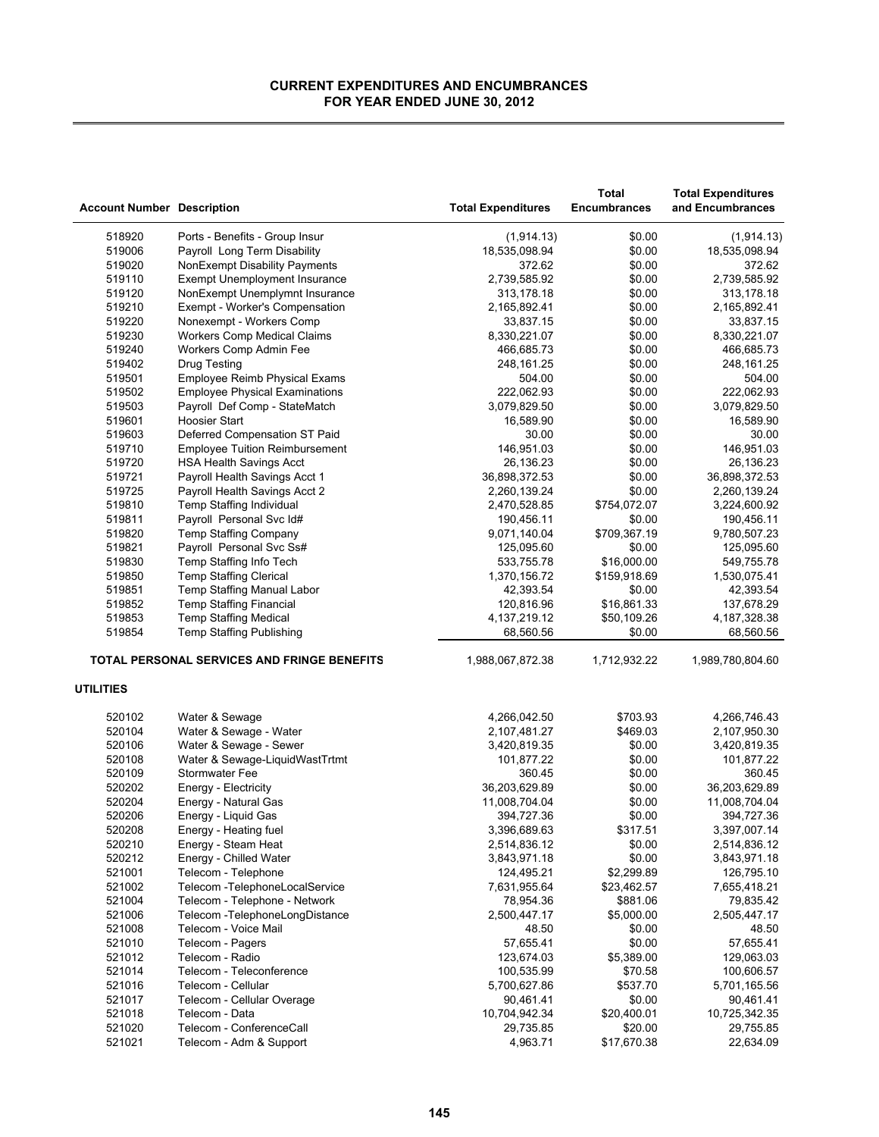| Ports - Benefits - Group Insur<br>(1,914.13)<br>518920<br>(1,914.13)<br>\$0.00<br>519006<br>Payroll Long Term Disability<br>18,535,098.94<br>\$0.00<br>18,535,098.94<br>519020<br>NonExempt Disability Payments<br>372.62<br>\$0.00<br>372.62<br>519110<br>2,739,585.92<br>\$0.00<br>2,739,585.92<br><b>Exempt Unemployment Insurance</b><br>\$0.00<br>519120<br>NonExempt Unemplymnt Insurance<br>313,178.18<br>313,178.18<br>519210<br>Exempt - Worker's Compensation<br>2,165,892.41<br>\$0.00<br>2,165,892.41<br>519220<br>\$0.00<br>33,837.15<br>Nonexempt - Workers Comp<br>33,837.15<br>519230<br><b>Workers Comp Medical Claims</b><br>\$0.00<br>8,330,221.07<br>8,330,221.07<br>519240<br>\$0.00<br>Workers Comp Admin Fee<br>466,685.73<br>466,685.73<br>519402<br>248,161.25<br>\$0.00<br><b>Drug Testing</b><br>248,161.25<br>519501<br>Employee Reimb Physical Exams<br>504.00<br>\$0.00<br>504.00<br>519502<br>222,062.93<br>\$0.00<br>222,062.93<br><b>Employee Physical Examinations</b><br>519503<br>Payroll Def Comp - StateMatch<br>3,079,829.50<br>\$0.00<br>3,079,829.50<br>519601<br><b>Hoosier Start</b><br>\$0.00<br>16,589.90<br>16,589.90<br>519603<br>Deferred Compensation ST Paid<br>30.00<br>\$0.00<br>30.00<br>519710<br><b>Employee Tuition Reimbursement</b><br>146,951.03<br>\$0.00<br>146,951.03<br>519720<br>26,136.23<br>\$0.00<br>26,136.23<br><b>HSA Health Savings Acct</b><br>519721<br>\$0.00<br>Payroll Health Savings Acct 1<br>36,898,372.53<br>36,898,372.53<br>519725<br>\$0.00<br>Payroll Health Savings Acct 2<br>2,260,139.24<br>2,260,139.24<br>519810<br>\$754,072.07<br>Temp Staffing Individual<br>2,470,528.85<br>3,224,600.92<br>519811<br>Payroll Personal Svc Id#<br>190,456.11<br>\$0.00<br>190,456.11<br>519820<br>Temp Staffing Company<br>9,071,140.04<br>\$709,367.19<br>9,780,507.23<br>Payroll Personal Svc Ss#<br>519821<br>125,095.60<br>\$0.00<br>125,095.60<br>519830<br>Temp Staffing Info Tech<br>533,755.78<br>\$16,000.00<br>549,755.78<br>519850<br><b>Temp Staffing Clerical</b><br>1,370,156.72<br>\$159,918.69<br>1,530,075.41<br>519851<br>Temp Staffing Manual Labor<br>42,393.54<br>\$0.00<br>42,393.54<br>519852<br>Temp Staffing Financial<br>120,816.96<br>\$16,861.33<br>137,678.29<br>519853<br><b>Temp Staffing Medical</b><br>4, 137, 219. 12<br>\$50,109.26<br>4, 187, 328. 38<br>519854<br><b>Temp Staffing Publishing</b><br>\$0.00<br>68,560.56<br>68,560.56<br><b>TOTAL PERSONAL SERVICES AND FRINGE BENEFITS</b><br>1,988,067,872.38<br>1,712,932.22<br>1,989,780,804.60<br><b>UTILITIES</b><br>\$703.93<br>520102<br>Water & Sewage<br>4,266,042.50<br>4,266,746.43<br>520104<br>Water & Sewage - Water<br>\$469.03<br>2,107,950.30<br>2,107,481.27<br>520106<br>\$0.00<br>Water & Sewage - Sewer<br>3,420,819.35<br>3,420,819.35<br>520108<br>\$0.00<br>Water & Sewage-LiquidWastTrtmt<br>101,877.22<br>101,877.22<br>520109<br>\$0.00<br>360.45<br>Stormwater Fee<br>360.45<br>520202<br>36,203,629.89<br>\$0.00<br>36,203,629.89<br>Energy - Electricity<br>520204<br>Energy - Natural Gas<br>11,008,704.04<br>\$0.00<br>11,008,704.04<br>520206<br>\$0.00<br>Energy - Liquid Gas<br>394,727.36<br>394,727.36<br>520208<br>\$317.51<br>3,397,007.14<br>Energy - Heating fuel<br>3,396,689.63<br>520210<br>Energy - Steam Heat<br>\$0.00<br>2,514,836.12<br>2,514,836.12<br>520212<br>Energy - Chilled Water<br>\$0.00<br>3,843,971.18<br>3,843,971.18<br>521001<br>Telecom - Telephone<br>124,495.21<br>\$2,299.89<br>126,795.10<br>521002<br>Telecom - TelephoneLocalService<br>7,631,955.64<br>\$23,462.57<br>7,655,418.21<br>521004<br>Telecom - Telephone - Network<br>78,954.36<br>\$881.06<br>79,835.42<br>521006<br>\$5,000.00<br>Telecom - TelephoneLongDistance<br>2,500,447.17<br>2,505,447.17<br>521008<br>Telecom - Voice Mail<br>48.50<br>\$0.00<br>48.50<br>521010<br>\$0.00<br>57,655.41<br>57,655.41<br>Telecom - Pagers<br>521012<br>123,674.03<br>\$5,389.00<br>129,063.03<br>Telecom - Radio<br>521014<br>Telecom - Teleconference<br>100,535.99<br>\$70.58<br>100,606.57<br>521016<br>Telecom - Cellular<br>5,700,627.86<br>\$537.70<br>5,701,165.56<br>521017<br>Telecom - Cellular Overage<br>90,461.41<br>\$0.00<br>90,461.41<br>521018<br>10,704,942.34<br>\$20,400.01<br>10,725,342.35<br>Telecom - Data<br>521020<br>Telecom - ConferenceCall<br>\$20.00<br>29,735.85<br>29,755.85<br>521021<br>Telecom - Adm & Support<br>4,963.71<br>\$17,670.38<br>22,634.09 | <b>Account Number Description</b> | <b>Total Expenditures</b> | <b>Total</b><br><b>Encumbrances</b> | <b>Total Expenditures</b><br>and Encumbrances |
|--------------------------------------------------------------------------------------------------------------------------------------------------------------------------------------------------------------------------------------------------------------------------------------------------------------------------------------------------------------------------------------------------------------------------------------------------------------------------------------------------------------------------------------------------------------------------------------------------------------------------------------------------------------------------------------------------------------------------------------------------------------------------------------------------------------------------------------------------------------------------------------------------------------------------------------------------------------------------------------------------------------------------------------------------------------------------------------------------------------------------------------------------------------------------------------------------------------------------------------------------------------------------------------------------------------------------------------------------------------------------------------------------------------------------------------------------------------------------------------------------------------------------------------------------------------------------------------------------------------------------------------------------------------------------------------------------------------------------------------------------------------------------------------------------------------------------------------------------------------------------------------------------------------------------------------------------------------------------------------------------------------------------------------------------------------------------------------------------------------------------------------------------------------------------------------------------------------------------------------------------------------------------------------------------------------------------------------------------------------------------------------------------------------------------------------------------------------------------------------------------------------------------------------------------------------------------------------------------------------------------------------------------------------------------------------------------------------------------------------------------------------------------------------------------------------------------------------------------------------------------------------------------------------------------------------------------------------------------------------------------------------------------------------------------------------------------------------------------------------------------------------------------------------------------------------------------------------------------------------------------------------------------------------------------------------------------------------------------------------------------------------------------------------------------------------------------------------------------------------------------------------------------------------------------------------------------------------------------------------------------------------------------------------------------------------------------------------------------------------------------------------------------------------------------------------------------------------------------------------------------------------------------------------------------------------------------------------------------------------------------------------------------------------------------------------------------------------------------------------------------------------------------------------------------------------------------------------------------------------------------------------------------------------------------------------------------------------------------------------------------------------------------------------------------------------------------------------------------------------------|-----------------------------------|---------------------------|-------------------------------------|-----------------------------------------------|
|                                                                                                                                                                                                                                                                                                                                                                                                                                                                                                                                                                                                                                                                                                                                                                                                                                                                                                                                                                                                                                                                                                                                                                                                                                                                                                                                                                                                                                                                                                                                                                                                                                                                                                                                                                                                                                                                                                                                                                                                                                                                                                                                                                                                                                                                                                                                                                                                                                                                                                                                                                                                                                                                                                                                                                                                                                                                                                                                                                                                                                                                                                                                                                                                                                                                                                                                                                                                                                                                                                                                                                                                                                                                                                                                                                                                                                                                                                                                                                                                                                                                                                                                                                                                                                                                                                                                                                                                                                                                                            |                                   |                           |                                     |                                               |
|                                                                                                                                                                                                                                                                                                                                                                                                                                                                                                                                                                                                                                                                                                                                                                                                                                                                                                                                                                                                                                                                                                                                                                                                                                                                                                                                                                                                                                                                                                                                                                                                                                                                                                                                                                                                                                                                                                                                                                                                                                                                                                                                                                                                                                                                                                                                                                                                                                                                                                                                                                                                                                                                                                                                                                                                                                                                                                                                                                                                                                                                                                                                                                                                                                                                                                                                                                                                                                                                                                                                                                                                                                                                                                                                                                                                                                                                                                                                                                                                                                                                                                                                                                                                                                                                                                                                                                                                                                                                                            |                                   |                           |                                     |                                               |
|                                                                                                                                                                                                                                                                                                                                                                                                                                                                                                                                                                                                                                                                                                                                                                                                                                                                                                                                                                                                                                                                                                                                                                                                                                                                                                                                                                                                                                                                                                                                                                                                                                                                                                                                                                                                                                                                                                                                                                                                                                                                                                                                                                                                                                                                                                                                                                                                                                                                                                                                                                                                                                                                                                                                                                                                                                                                                                                                                                                                                                                                                                                                                                                                                                                                                                                                                                                                                                                                                                                                                                                                                                                                                                                                                                                                                                                                                                                                                                                                                                                                                                                                                                                                                                                                                                                                                                                                                                                                                            |                                   |                           |                                     |                                               |
|                                                                                                                                                                                                                                                                                                                                                                                                                                                                                                                                                                                                                                                                                                                                                                                                                                                                                                                                                                                                                                                                                                                                                                                                                                                                                                                                                                                                                                                                                                                                                                                                                                                                                                                                                                                                                                                                                                                                                                                                                                                                                                                                                                                                                                                                                                                                                                                                                                                                                                                                                                                                                                                                                                                                                                                                                                                                                                                                                                                                                                                                                                                                                                                                                                                                                                                                                                                                                                                                                                                                                                                                                                                                                                                                                                                                                                                                                                                                                                                                                                                                                                                                                                                                                                                                                                                                                                                                                                                                                            |                                   |                           |                                     |                                               |
|                                                                                                                                                                                                                                                                                                                                                                                                                                                                                                                                                                                                                                                                                                                                                                                                                                                                                                                                                                                                                                                                                                                                                                                                                                                                                                                                                                                                                                                                                                                                                                                                                                                                                                                                                                                                                                                                                                                                                                                                                                                                                                                                                                                                                                                                                                                                                                                                                                                                                                                                                                                                                                                                                                                                                                                                                                                                                                                                                                                                                                                                                                                                                                                                                                                                                                                                                                                                                                                                                                                                                                                                                                                                                                                                                                                                                                                                                                                                                                                                                                                                                                                                                                                                                                                                                                                                                                                                                                                                                            |                                   |                           |                                     |                                               |
|                                                                                                                                                                                                                                                                                                                                                                                                                                                                                                                                                                                                                                                                                                                                                                                                                                                                                                                                                                                                                                                                                                                                                                                                                                                                                                                                                                                                                                                                                                                                                                                                                                                                                                                                                                                                                                                                                                                                                                                                                                                                                                                                                                                                                                                                                                                                                                                                                                                                                                                                                                                                                                                                                                                                                                                                                                                                                                                                                                                                                                                                                                                                                                                                                                                                                                                                                                                                                                                                                                                                                                                                                                                                                                                                                                                                                                                                                                                                                                                                                                                                                                                                                                                                                                                                                                                                                                                                                                                                                            |                                   |                           |                                     |                                               |
|                                                                                                                                                                                                                                                                                                                                                                                                                                                                                                                                                                                                                                                                                                                                                                                                                                                                                                                                                                                                                                                                                                                                                                                                                                                                                                                                                                                                                                                                                                                                                                                                                                                                                                                                                                                                                                                                                                                                                                                                                                                                                                                                                                                                                                                                                                                                                                                                                                                                                                                                                                                                                                                                                                                                                                                                                                                                                                                                                                                                                                                                                                                                                                                                                                                                                                                                                                                                                                                                                                                                                                                                                                                                                                                                                                                                                                                                                                                                                                                                                                                                                                                                                                                                                                                                                                                                                                                                                                                                                            |                                   |                           |                                     |                                               |
|                                                                                                                                                                                                                                                                                                                                                                                                                                                                                                                                                                                                                                                                                                                                                                                                                                                                                                                                                                                                                                                                                                                                                                                                                                                                                                                                                                                                                                                                                                                                                                                                                                                                                                                                                                                                                                                                                                                                                                                                                                                                                                                                                                                                                                                                                                                                                                                                                                                                                                                                                                                                                                                                                                                                                                                                                                                                                                                                                                                                                                                                                                                                                                                                                                                                                                                                                                                                                                                                                                                                                                                                                                                                                                                                                                                                                                                                                                                                                                                                                                                                                                                                                                                                                                                                                                                                                                                                                                                                                            |                                   |                           |                                     |                                               |
|                                                                                                                                                                                                                                                                                                                                                                                                                                                                                                                                                                                                                                                                                                                                                                                                                                                                                                                                                                                                                                                                                                                                                                                                                                                                                                                                                                                                                                                                                                                                                                                                                                                                                                                                                                                                                                                                                                                                                                                                                                                                                                                                                                                                                                                                                                                                                                                                                                                                                                                                                                                                                                                                                                                                                                                                                                                                                                                                                                                                                                                                                                                                                                                                                                                                                                                                                                                                                                                                                                                                                                                                                                                                                                                                                                                                                                                                                                                                                                                                                                                                                                                                                                                                                                                                                                                                                                                                                                                                                            |                                   |                           |                                     |                                               |
|                                                                                                                                                                                                                                                                                                                                                                                                                                                                                                                                                                                                                                                                                                                                                                                                                                                                                                                                                                                                                                                                                                                                                                                                                                                                                                                                                                                                                                                                                                                                                                                                                                                                                                                                                                                                                                                                                                                                                                                                                                                                                                                                                                                                                                                                                                                                                                                                                                                                                                                                                                                                                                                                                                                                                                                                                                                                                                                                                                                                                                                                                                                                                                                                                                                                                                                                                                                                                                                                                                                                                                                                                                                                                                                                                                                                                                                                                                                                                                                                                                                                                                                                                                                                                                                                                                                                                                                                                                                                                            |                                   |                           |                                     |                                               |
|                                                                                                                                                                                                                                                                                                                                                                                                                                                                                                                                                                                                                                                                                                                                                                                                                                                                                                                                                                                                                                                                                                                                                                                                                                                                                                                                                                                                                                                                                                                                                                                                                                                                                                                                                                                                                                                                                                                                                                                                                                                                                                                                                                                                                                                                                                                                                                                                                                                                                                                                                                                                                                                                                                                                                                                                                                                                                                                                                                                                                                                                                                                                                                                                                                                                                                                                                                                                                                                                                                                                                                                                                                                                                                                                                                                                                                                                                                                                                                                                                                                                                                                                                                                                                                                                                                                                                                                                                                                                                            |                                   |                           |                                     |                                               |
|                                                                                                                                                                                                                                                                                                                                                                                                                                                                                                                                                                                                                                                                                                                                                                                                                                                                                                                                                                                                                                                                                                                                                                                                                                                                                                                                                                                                                                                                                                                                                                                                                                                                                                                                                                                                                                                                                                                                                                                                                                                                                                                                                                                                                                                                                                                                                                                                                                                                                                                                                                                                                                                                                                                                                                                                                                                                                                                                                                                                                                                                                                                                                                                                                                                                                                                                                                                                                                                                                                                                                                                                                                                                                                                                                                                                                                                                                                                                                                                                                                                                                                                                                                                                                                                                                                                                                                                                                                                                                            |                                   |                           |                                     |                                               |
|                                                                                                                                                                                                                                                                                                                                                                                                                                                                                                                                                                                                                                                                                                                                                                                                                                                                                                                                                                                                                                                                                                                                                                                                                                                                                                                                                                                                                                                                                                                                                                                                                                                                                                                                                                                                                                                                                                                                                                                                                                                                                                                                                                                                                                                                                                                                                                                                                                                                                                                                                                                                                                                                                                                                                                                                                                                                                                                                                                                                                                                                                                                                                                                                                                                                                                                                                                                                                                                                                                                                                                                                                                                                                                                                                                                                                                                                                                                                                                                                                                                                                                                                                                                                                                                                                                                                                                                                                                                                                            |                                   |                           |                                     |                                               |
|                                                                                                                                                                                                                                                                                                                                                                                                                                                                                                                                                                                                                                                                                                                                                                                                                                                                                                                                                                                                                                                                                                                                                                                                                                                                                                                                                                                                                                                                                                                                                                                                                                                                                                                                                                                                                                                                                                                                                                                                                                                                                                                                                                                                                                                                                                                                                                                                                                                                                                                                                                                                                                                                                                                                                                                                                                                                                                                                                                                                                                                                                                                                                                                                                                                                                                                                                                                                                                                                                                                                                                                                                                                                                                                                                                                                                                                                                                                                                                                                                                                                                                                                                                                                                                                                                                                                                                                                                                                                                            |                                   |                           |                                     |                                               |
|                                                                                                                                                                                                                                                                                                                                                                                                                                                                                                                                                                                                                                                                                                                                                                                                                                                                                                                                                                                                                                                                                                                                                                                                                                                                                                                                                                                                                                                                                                                                                                                                                                                                                                                                                                                                                                                                                                                                                                                                                                                                                                                                                                                                                                                                                                                                                                                                                                                                                                                                                                                                                                                                                                                                                                                                                                                                                                                                                                                                                                                                                                                                                                                                                                                                                                                                                                                                                                                                                                                                                                                                                                                                                                                                                                                                                                                                                                                                                                                                                                                                                                                                                                                                                                                                                                                                                                                                                                                                                            |                                   |                           |                                     |                                               |
|                                                                                                                                                                                                                                                                                                                                                                                                                                                                                                                                                                                                                                                                                                                                                                                                                                                                                                                                                                                                                                                                                                                                                                                                                                                                                                                                                                                                                                                                                                                                                                                                                                                                                                                                                                                                                                                                                                                                                                                                                                                                                                                                                                                                                                                                                                                                                                                                                                                                                                                                                                                                                                                                                                                                                                                                                                                                                                                                                                                                                                                                                                                                                                                                                                                                                                                                                                                                                                                                                                                                                                                                                                                                                                                                                                                                                                                                                                                                                                                                                                                                                                                                                                                                                                                                                                                                                                                                                                                                                            |                                   |                           |                                     |                                               |
|                                                                                                                                                                                                                                                                                                                                                                                                                                                                                                                                                                                                                                                                                                                                                                                                                                                                                                                                                                                                                                                                                                                                                                                                                                                                                                                                                                                                                                                                                                                                                                                                                                                                                                                                                                                                                                                                                                                                                                                                                                                                                                                                                                                                                                                                                                                                                                                                                                                                                                                                                                                                                                                                                                                                                                                                                                                                                                                                                                                                                                                                                                                                                                                                                                                                                                                                                                                                                                                                                                                                                                                                                                                                                                                                                                                                                                                                                                                                                                                                                                                                                                                                                                                                                                                                                                                                                                                                                                                                                            |                                   |                           |                                     |                                               |
|                                                                                                                                                                                                                                                                                                                                                                                                                                                                                                                                                                                                                                                                                                                                                                                                                                                                                                                                                                                                                                                                                                                                                                                                                                                                                                                                                                                                                                                                                                                                                                                                                                                                                                                                                                                                                                                                                                                                                                                                                                                                                                                                                                                                                                                                                                                                                                                                                                                                                                                                                                                                                                                                                                                                                                                                                                                                                                                                                                                                                                                                                                                                                                                                                                                                                                                                                                                                                                                                                                                                                                                                                                                                                                                                                                                                                                                                                                                                                                                                                                                                                                                                                                                                                                                                                                                                                                                                                                                                                            |                                   |                           |                                     |                                               |
|                                                                                                                                                                                                                                                                                                                                                                                                                                                                                                                                                                                                                                                                                                                                                                                                                                                                                                                                                                                                                                                                                                                                                                                                                                                                                                                                                                                                                                                                                                                                                                                                                                                                                                                                                                                                                                                                                                                                                                                                                                                                                                                                                                                                                                                                                                                                                                                                                                                                                                                                                                                                                                                                                                                                                                                                                                                                                                                                                                                                                                                                                                                                                                                                                                                                                                                                                                                                                                                                                                                                                                                                                                                                                                                                                                                                                                                                                                                                                                                                                                                                                                                                                                                                                                                                                                                                                                                                                                                                                            |                                   |                           |                                     |                                               |
|                                                                                                                                                                                                                                                                                                                                                                                                                                                                                                                                                                                                                                                                                                                                                                                                                                                                                                                                                                                                                                                                                                                                                                                                                                                                                                                                                                                                                                                                                                                                                                                                                                                                                                                                                                                                                                                                                                                                                                                                                                                                                                                                                                                                                                                                                                                                                                                                                                                                                                                                                                                                                                                                                                                                                                                                                                                                                                                                                                                                                                                                                                                                                                                                                                                                                                                                                                                                                                                                                                                                                                                                                                                                                                                                                                                                                                                                                                                                                                                                                                                                                                                                                                                                                                                                                                                                                                                                                                                                                            |                                   |                           |                                     |                                               |
|                                                                                                                                                                                                                                                                                                                                                                                                                                                                                                                                                                                                                                                                                                                                                                                                                                                                                                                                                                                                                                                                                                                                                                                                                                                                                                                                                                                                                                                                                                                                                                                                                                                                                                                                                                                                                                                                                                                                                                                                                                                                                                                                                                                                                                                                                                                                                                                                                                                                                                                                                                                                                                                                                                                                                                                                                                                                                                                                                                                                                                                                                                                                                                                                                                                                                                                                                                                                                                                                                                                                                                                                                                                                                                                                                                                                                                                                                                                                                                                                                                                                                                                                                                                                                                                                                                                                                                                                                                                                                            |                                   |                           |                                     |                                               |
|                                                                                                                                                                                                                                                                                                                                                                                                                                                                                                                                                                                                                                                                                                                                                                                                                                                                                                                                                                                                                                                                                                                                                                                                                                                                                                                                                                                                                                                                                                                                                                                                                                                                                                                                                                                                                                                                                                                                                                                                                                                                                                                                                                                                                                                                                                                                                                                                                                                                                                                                                                                                                                                                                                                                                                                                                                                                                                                                                                                                                                                                                                                                                                                                                                                                                                                                                                                                                                                                                                                                                                                                                                                                                                                                                                                                                                                                                                                                                                                                                                                                                                                                                                                                                                                                                                                                                                                                                                                                                            |                                   |                           |                                     |                                               |
|                                                                                                                                                                                                                                                                                                                                                                                                                                                                                                                                                                                                                                                                                                                                                                                                                                                                                                                                                                                                                                                                                                                                                                                                                                                                                                                                                                                                                                                                                                                                                                                                                                                                                                                                                                                                                                                                                                                                                                                                                                                                                                                                                                                                                                                                                                                                                                                                                                                                                                                                                                                                                                                                                                                                                                                                                                                                                                                                                                                                                                                                                                                                                                                                                                                                                                                                                                                                                                                                                                                                                                                                                                                                                                                                                                                                                                                                                                                                                                                                                                                                                                                                                                                                                                                                                                                                                                                                                                                                                            |                                   |                           |                                     |                                               |
|                                                                                                                                                                                                                                                                                                                                                                                                                                                                                                                                                                                                                                                                                                                                                                                                                                                                                                                                                                                                                                                                                                                                                                                                                                                                                                                                                                                                                                                                                                                                                                                                                                                                                                                                                                                                                                                                                                                                                                                                                                                                                                                                                                                                                                                                                                                                                                                                                                                                                                                                                                                                                                                                                                                                                                                                                                                                                                                                                                                                                                                                                                                                                                                                                                                                                                                                                                                                                                                                                                                                                                                                                                                                                                                                                                                                                                                                                                                                                                                                                                                                                                                                                                                                                                                                                                                                                                                                                                                                                            |                                   |                           |                                     |                                               |
|                                                                                                                                                                                                                                                                                                                                                                                                                                                                                                                                                                                                                                                                                                                                                                                                                                                                                                                                                                                                                                                                                                                                                                                                                                                                                                                                                                                                                                                                                                                                                                                                                                                                                                                                                                                                                                                                                                                                                                                                                                                                                                                                                                                                                                                                                                                                                                                                                                                                                                                                                                                                                                                                                                                                                                                                                                                                                                                                                                                                                                                                                                                                                                                                                                                                                                                                                                                                                                                                                                                                                                                                                                                                                                                                                                                                                                                                                                                                                                                                                                                                                                                                                                                                                                                                                                                                                                                                                                                                                            |                                   |                           |                                     |                                               |
|                                                                                                                                                                                                                                                                                                                                                                                                                                                                                                                                                                                                                                                                                                                                                                                                                                                                                                                                                                                                                                                                                                                                                                                                                                                                                                                                                                                                                                                                                                                                                                                                                                                                                                                                                                                                                                                                                                                                                                                                                                                                                                                                                                                                                                                                                                                                                                                                                                                                                                                                                                                                                                                                                                                                                                                                                                                                                                                                                                                                                                                                                                                                                                                                                                                                                                                                                                                                                                                                                                                                                                                                                                                                                                                                                                                                                                                                                                                                                                                                                                                                                                                                                                                                                                                                                                                                                                                                                                                                                            |                                   |                           |                                     |                                               |
|                                                                                                                                                                                                                                                                                                                                                                                                                                                                                                                                                                                                                                                                                                                                                                                                                                                                                                                                                                                                                                                                                                                                                                                                                                                                                                                                                                                                                                                                                                                                                                                                                                                                                                                                                                                                                                                                                                                                                                                                                                                                                                                                                                                                                                                                                                                                                                                                                                                                                                                                                                                                                                                                                                                                                                                                                                                                                                                                                                                                                                                                                                                                                                                                                                                                                                                                                                                                                                                                                                                                                                                                                                                                                                                                                                                                                                                                                                                                                                                                                                                                                                                                                                                                                                                                                                                                                                                                                                                                                            |                                   |                           |                                     |                                               |
|                                                                                                                                                                                                                                                                                                                                                                                                                                                                                                                                                                                                                                                                                                                                                                                                                                                                                                                                                                                                                                                                                                                                                                                                                                                                                                                                                                                                                                                                                                                                                                                                                                                                                                                                                                                                                                                                                                                                                                                                                                                                                                                                                                                                                                                                                                                                                                                                                                                                                                                                                                                                                                                                                                                                                                                                                                                                                                                                                                                                                                                                                                                                                                                                                                                                                                                                                                                                                                                                                                                                                                                                                                                                                                                                                                                                                                                                                                                                                                                                                                                                                                                                                                                                                                                                                                                                                                                                                                                                                            |                                   |                           |                                     |                                               |
|                                                                                                                                                                                                                                                                                                                                                                                                                                                                                                                                                                                                                                                                                                                                                                                                                                                                                                                                                                                                                                                                                                                                                                                                                                                                                                                                                                                                                                                                                                                                                                                                                                                                                                                                                                                                                                                                                                                                                                                                                                                                                                                                                                                                                                                                                                                                                                                                                                                                                                                                                                                                                                                                                                                                                                                                                                                                                                                                                                                                                                                                                                                                                                                                                                                                                                                                                                                                                                                                                                                                                                                                                                                                                                                                                                                                                                                                                                                                                                                                                                                                                                                                                                                                                                                                                                                                                                                                                                                                                            |                                   |                           |                                     |                                               |
|                                                                                                                                                                                                                                                                                                                                                                                                                                                                                                                                                                                                                                                                                                                                                                                                                                                                                                                                                                                                                                                                                                                                                                                                                                                                                                                                                                                                                                                                                                                                                                                                                                                                                                                                                                                                                                                                                                                                                                                                                                                                                                                                                                                                                                                                                                                                                                                                                                                                                                                                                                                                                                                                                                                                                                                                                                                                                                                                                                                                                                                                                                                                                                                                                                                                                                                                                                                                                                                                                                                                                                                                                                                                                                                                                                                                                                                                                                                                                                                                                                                                                                                                                                                                                                                                                                                                                                                                                                                                                            |                                   |                           |                                     |                                               |
|                                                                                                                                                                                                                                                                                                                                                                                                                                                                                                                                                                                                                                                                                                                                                                                                                                                                                                                                                                                                                                                                                                                                                                                                                                                                                                                                                                                                                                                                                                                                                                                                                                                                                                                                                                                                                                                                                                                                                                                                                                                                                                                                                                                                                                                                                                                                                                                                                                                                                                                                                                                                                                                                                                                                                                                                                                                                                                                                                                                                                                                                                                                                                                                                                                                                                                                                                                                                                                                                                                                                                                                                                                                                                                                                                                                                                                                                                                                                                                                                                                                                                                                                                                                                                                                                                                                                                                                                                                                                                            |                                   |                           |                                     |                                               |
|                                                                                                                                                                                                                                                                                                                                                                                                                                                                                                                                                                                                                                                                                                                                                                                                                                                                                                                                                                                                                                                                                                                                                                                                                                                                                                                                                                                                                                                                                                                                                                                                                                                                                                                                                                                                                                                                                                                                                                                                                                                                                                                                                                                                                                                                                                                                                                                                                                                                                                                                                                                                                                                                                                                                                                                                                                                                                                                                                                                                                                                                                                                                                                                                                                                                                                                                                                                                                                                                                                                                                                                                                                                                                                                                                                                                                                                                                                                                                                                                                                                                                                                                                                                                                                                                                                                                                                                                                                                                                            |                                   |                           |                                     |                                               |
|                                                                                                                                                                                                                                                                                                                                                                                                                                                                                                                                                                                                                                                                                                                                                                                                                                                                                                                                                                                                                                                                                                                                                                                                                                                                                                                                                                                                                                                                                                                                                                                                                                                                                                                                                                                                                                                                                                                                                                                                                                                                                                                                                                                                                                                                                                                                                                                                                                                                                                                                                                                                                                                                                                                                                                                                                                                                                                                                                                                                                                                                                                                                                                                                                                                                                                                                                                                                                                                                                                                                                                                                                                                                                                                                                                                                                                                                                                                                                                                                                                                                                                                                                                                                                                                                                                                                                                                                                                                                                            |                                   |                           |                                     |                                               |
|                                                                                                                                                                                                                                                                                                                                                                                                                                                                                                                                                                                                                                                                                                                                                                                                                                                                                                                                                                                                                                                                                                                                                                                                                                                                                                                                                                                                                                                                                                                                                                                                                                                                                                                                                                                                                                                                                                                                                                                                                                                                                                                                                                                                                                                                                                                                                                                                                                                                                                                                                                                                                                                                                                                                                                                                                                                                                                                                                                                                                                                                                                                                                                                                                                                                                                                                                                                                                                                                                                                                                                                                                                                                                                                                                                                                                                                                                                                                                                                                                                                                                                                                                                                                                                                                                                                                                                                                                                                                                            |                                   |                           |                                     |                                               |
|                                                                                                                                                                                                                                                                                                                                                                                                                                                                                                                                                                                                                                                                                                                                                                                                                                                                                                                                                                                                                                                                                                                                                                                                                                                                                                                                                                                                                                                                                                                                                                                                                                                                                                                                                                                                                                                                                                                                                                                                                                                                                                                                                                                                                                                                                                                                                                                                                                                                                                                                                                                                                                                                                                                                                                                                                                                                                                                                                                                                                                                                                                                                                                                                                                                                                                                                                                                                                                                                                                                                                                                                                                                                                                                                                                                                                                                                                                                                                                                                                                                                                                                                                                                                                                                                                                                                                                                                                                                                                            |                                   |                           |                                     |                                               |
|                                                                                                                                                                                                                                                                                                                                                                                                                                                                                                                                                                                                                                                                                                                                                                                                                                                                                                                                                                                                                                                                                                                                                                                                                                                                                                                                                                                                                                                                                                                                                                                                                                                                                                                                                                                                                                                                                                                                                                                                                                                                                                                                                                                                                                                                                                                                                                                                                                                                                                                                                                                                                                                                                                                                                                                                                                                                                                                                                                                                                                                                                                                                                                                                                                                                                                                                                                                                                                                                                                                                                                                                                                                                                                                                                                                                                                                                                                                                                                                                                                                                                                                                                                                                                                                                                                                                                                                                                                                                                            |                                   |                           |                                     |                                               |
|                                                                                                                                                                                                                                                                                                                                                                                                                                                                                                                                                                                                                                                                                                                                                                                                                                                                                                                                                                                                                                                                                                                                                                                                                                                                                                                                                                                                                                                                                                                                                                                                                                                                                                                                                                                                                                                                                                                                                                                                                                                                                                                                                                                                                                                                                                                                                                                                                                                                                                                                                                                                                                                                                                                                                                                                                                                                                                                                                                                                                                                                                                                                                                                                                                                                                                                                                                                                                                                                                                                                                                                                                                                                                                                                                                                                                                                                                                                                                                                                                                                                                                                                                                                                                                                                                                                                                                                                                                                                                            |                                   |                           |                                     |                                               |
|                                                                                                                                                                                                                                                                                                                                                                                                                                                                                                                                                                                                                                                                                                                                                                                                                                                                                                                                                                                                                                                                                                                                                                                                                                                                                                                                                                                                                                                                                                                                                                                                                                                                                                                                                                                                                                                                                                                                                                                                                                                                                                                                                                                                                                                                                                                                                                                                                                                                                                                                                                                                                                                                                                                                                                                                                                                                                                                                                                                                                                                                                                                                                                                                                                                                                                                                                                                                                                                                                                                                                                                                                                                                                                                                                                                                                                                                                                                                                                                                                                                                                                                                                                                                                                                                                                                                                                                                                                                                                            |                                   |                           |                                     |                                               |
|                                                                                                                                                                                                                                                                                                                                                                                                                                                                                                                                                                                                                                                                                                                                                                                                                                                                                                                                                                                                                                                                                                                                                                                                                                                                                                                                                                                                                                                                                                                                                                                                                                                                                                                                                                                                                                                                                                                                                                                                                                                                                                                                                                                                                                                                                                                                                                                                                                                                                                                                                                                                                                                                                                                                                                                                                                                                                                                                                                                                                                                                                                                                                                                                                                                                                                                                                                                                                                                                                                                                                                                                                                                                                                                                                                                                                                                                                                                                                                                                                                                                                                                                                                                                                                                                                                                                                                                                                                                                                            |                                   |                           |                                     |                                               |
|                                                                                                                                                                                                                                                                                                                                                                                                                                                                                                                                                                                                                                                                                                                                                                                                                                                                                                                                                                                                                                                                                                                                                                                                                                                                                                                                                                                                                                                                                                                                                                                                                                                                                                                                                                                                                                                                                                                                                                                                                                                                                                                                                                                                                                                                                                                                                                                                                                                                                                                                                                                                                                                                                                                                                                                                                                                                                                                                                                                                                                                                                                                                                                                                                                                                                                                                                                                                                                                                                                                                                                                                                                                                                                                                                                                                                                                                                                                                                                                                                                                                                                                                                                                                                                                                                                                                                                                                                                                                                            |                                   |                           |                                     |                                               |
|                                                                                                                                                                                                                                                                                                                                                                                                                                                                                                                                                                                                                                                                                                                                                                                                                                                                                                                                                                                                                                                                                                                                                                                                                                                                                                                                                                                                                                                                                                                                                                                                                                                                                                                                                                                                                                                                                                                                                                                                                                                                                                                                                                                                                                                                                                                                                                                                                                                                                                                                                                                                                                                                                                                                                                                                                                                                                                                                                                                                                                                                                                                                                                                                                                                                                                                                                                                                                                                                                                                                                                                                                                                                                                                                                                                                                                                                                                                                                                                                                                                                                                                                                                                                                                                                                                                                                                                                                                                                                            |                                   |                           |                                     |                                               |
|                                                                                                                                                                                                                                                                                                                                                                                                                                                                                                                                                                                                                                                                                                                                                                                                                                                                                                                                                                                                                                                                                                                                                                                                                                                                                                                                                                                                                                                                                                                                                                                                                                                                                                                                                                                                                                                                                                                                                                                                                                                                                                                                                                                                                                                                                                                                                                                                                                                                                                                                                                                                                                                                                                                                                                                                                                                                                                                                                                                                                                                                                                                                                                                                                                                                                                                                                                                                                                                                                                                                                                                                                                                                                                                                                                                                                                                                                                                                                                                                                                                                                                                                                                                                                                                                                                                                                                                                                                                                                            |                                   |                           |                                     |                                               |
|                                                                                                                                                                                                                                                                                                                                                                                                                                                                                                                                                                                                                                                                                                                                                                                                                                                                                                                                                                                                                                                                                                                                                                                                                                                                                                                                                                                                                                                                                                                                                                                                                                                                                                                                                                                                                                                                                                                                                                                                                                                                                                                                                                                                                                                                                                                                                                                                                                                                                                                                                                                                                                                                                                                                                                                                                                                                                                                                                                                                                                                                                                                                                                                                                                                                                                                                                                                                                                                                                                                                                                                                                                                                                                                                                                                                                                                                                                                                                                                                                                                                                                                                                                                                                                                                                                                                                                                                                                                                                            |                                   |                           |                                     |                                               |
|                                                                                                                                                                                                                                                                                                                                                                                                                                                                                                                                                                                                                                                                                                                                                                                                                                                                                                                                                                                                                                                                                                                                                                                                                                                                                                                                                                                                                                                                                                                                                                                                                                                                                                                                                                                                                                                                                                                                                                                                                                                                                                                                                                                                                                                                                                                                                                                                                                                                                                                                                                                                                                                                                                                                                                                                                                                                                                                                                                                                                                                                                                                                                                                                                                                                                                                                                                                                                                                                                                                                                                                                                                                                                                                                                                                                                                                                                                                                                                                                                                                                                                                                                                                                                                                                                                                                                                                                                                                                                            |                                   |                           |                                     |                                               |
|                                                                                                                                                                                                                                                                                                                                                                                                                                                                                                                                                                                                                                                                                                                                                                                                                                                                                                                                                                                                                                                                                                                                                                                                                                                                                                                                                                                                                                                                                                                                                                                                                                                                                                                                                                                                                                                                                                                                                                                                                                                                                                                                                                                                                                                                                                                                                                                                                                                                                                                                                                                                                                                                                                                                                                                                                                                                                                                                                                                                                                                                                                                                                                                                                                                                                                                                                                                                                                                                                                                                                                                                                                                                                                                                                                                                                                                                                                                                                                                                                                                                                                                                                                                                                                                                                                                                                                                                                                                                                            |                                   |                           |                                     |                                               |
|                                                                                                                                                                                                                                                                                                                                                                                                                                                                                                                                                                                                                                                                                                                                                                                                                                                                                                                                                                                                                                                                                                                                                                                                                                                                                                                                                                                                                                                                                                                                                                                                                                                                                                                                                                                                                                                                                                                                                                                                                                                                                                                                                                                                                                                                                                                                                                                                                                                                                                                                                                                                                                                                                                                                                                                                                                                                                                                                                                                                                                                                                                                                                                                                                                                                                                                                                                                                                                                                                                                                                                                                                                                                                                                                                                                                                                                                                                                                                                                                                                                                                                                                                                                                                                                                                                                                                                                                                                                                                            |                                   |                           |                                     |                                               |
|                                                                                                                                                                                                                                                                                                                                                                                                                                                                                                                                                                                                                                                                                                                                                                                                                                                                                                                                                                                                                                                                                                                                                                                                                                                                                                                                                                                                                                                                                                                                                                                                                                                                                                                                                                                                                                                                                                                                                                                                                                                                                                                                                                                                                                                                                                                                                                                                                                                                                                                                                                                                                                                                                                                                                                                                                                                                                                                                                                                                                                                                                                                                                                                                                                                                                                                                                                                                                                                                                                                                                                                                                                                                                                                                                                                                                                                                                                                                                                                                                                                                                                                                                                                                                                                                                                                                                                                                                                                                                            |                                   |                           |                                     |                                               |
|                                                                                                                                                                                                                                                                                                                                                                                                                                                                                                                                                                                                                                                                                                                                                                                                                                                                                                                                                                                                                                                                                                                                                                                                                                                                                                                                                                                                                                                                                                                                                                                                                                                                                                                                                                                                                                                                                                                                                                                                                                                                                                                                                                                                                                                                                                                                                                                                                                                                                                                                                                                                                                                                                                                                                                                                                                                                                                                                                                                                                                                                                                                                                                                                                                                                                                                                                                                                                                                                                                                                                                                                                                                                                                                                                                                                                                                                                                                                                                                                                                                                                                                                                                                                                                                                                                                                                                                                                                                                                            |                                   |                           |                                     |                                               |
|                                                                                                                                                                                                                                                                                                                                                                                                                                                                                                                                                                                                                                                                                                                                                                                                                                                                                                                                                                                                                                                                                                                                                                                                                                                                                                                                                                                                                                                                                                                                                                                                                                                                                                                                                                                                                                                                                                                                                                                                                                                                                                                                                                                                                                                                                                                                                                                                                                                                                                                                                                                                                                                                                                                                                                                                                                                                                                                                                                                                                                                                                                                                                                                                                                                                                                                                                                                                                                                                                                                                                                                                                                                                                                                                                                                                                                                                                                                                                                                                                                                                                                                                                                                                                                                                                                                                                                                                                                                                                            |                                   |                           |                                     |                                               |
|                                                                                                                                                                                                                                                                                                                                                                                                                                                                                                                                                                                                                                                                                                                                                                                                                                                                                                                                                                                                                                                                                                                                                                                                                                                                                                                                                                                                                                                                                                                                                                                                                                                                                                                                                                                                                                                                                                                                                                                                                                                                                                                                                                                                                                                                                                                                                                                                                                                                                                                                                                                                                                                                                                                                                                                                                                                                                                                                                                                                                                                                                                                                                                                                                                                                                                                                                                                                                                                                                                                                                                                                                                                                                                                                                                                                                                                                                                                                                                                                                                                                                                                                                                                                                                                                                                                                                                                                                                                                                            |                                   |                           |                                     |                                               |
|                                                                                                                                                                                                                                                                                                                                                                                                                                                                                                                                                                                                                                                                                                                                                                                                                                                                                                                                                                                                                                                                                                                                                                                                                                                                                                                                                                                                                                                                                                                                                                                                                                                                                                                                                                                                                                                                                                                                                                                                                                                                                                                                                                                                                                                                                                                                                                                                                                                                                                                                                                                                                                                                                                                                                                                                                                                                                                                                                                                                                                                                                                                                                                                                                                                                                                                                                                                                                                                                                                                                                                                                                                                                                                                                                                                                                                                                                                                                                                                                                                                                                                                                                                                                                                                                                                                                                                                                                                                                                            |                                   |                           |                                     |                                               |
|                                                                                                                                                                                                                                                                                                                                                                                                                                                                                                                                                                                                                                                                                                                                                                                                                                                                                                                                                                                                                                                                                                                                                                                                                                                                                                                                                                                                                                                                                                                                                                                                                                                                                                                                                                                                                                                                                                                                                                                                                                                                                                                                                                                                                                                                                                                                                                                                                                                                                                                                                                                                                                                                                                                                                                                                                                                                                                                                                                                                                                                                                                                                                                                                                                                                                                                                                                                                                                                                                                                                                                                                                                                                                                                                                                                                                                                                                                                                                                                                                                                                                                                                                                                                                                                                                                                                                                                                                                                                                            |                                   |                           |                                     |                                               |
|                                                                                                                                                                                                                                                                                                                                                                                                                                                                                                                                                                                                                                                                                                                                                                                                                                                                                                                                                                                                                                                                                                                                                                                                                                                                                                                                                                                                                                                                                                                                                                                                                                                                                                                                                                                                                                                                                                                                                                                                                                                                                                                                                                                                                                                                                                                                                                                                                                                                                                                                                                                                                                                                                                                                                                                                                                                                                                                                                                                                                                                                                                                                                                                                                                                                                                                                                                                                                                                                                                                                                                                                                                                                                                                                                                                                                                                                                                                                                                                                                                                                                                                                                                                                                                                                                                                                                                                                                                                                                            |                                   |                           |                                     |                                               |
|                                                                                                                                                                                                                                                                                                                                                                                                                                                                                                                                                                                                                                                                                                                                                                                                                                                                                                                                                                                                                                                                                                                                                                                                                                                                                                                                                                                                                                                                                                                                                                                                                                                                                                                                                                                                                                                                                                                                                                                                                                                                                                                                                                                                                                                                                                                                                                                                                                                                                                                                                                                                                                                                                                                                                                                                                                                                                                                                                                                                                                                                                                                                                                                                                                                                                                                                                                                                                                                                                                                                                                                                                                                                                                                                                                                                                                                                                                                                                                                                                                                                                                                                                                                                                                                                                                                                                                                                                                                                                            |                                   |                           |                                     |                                               |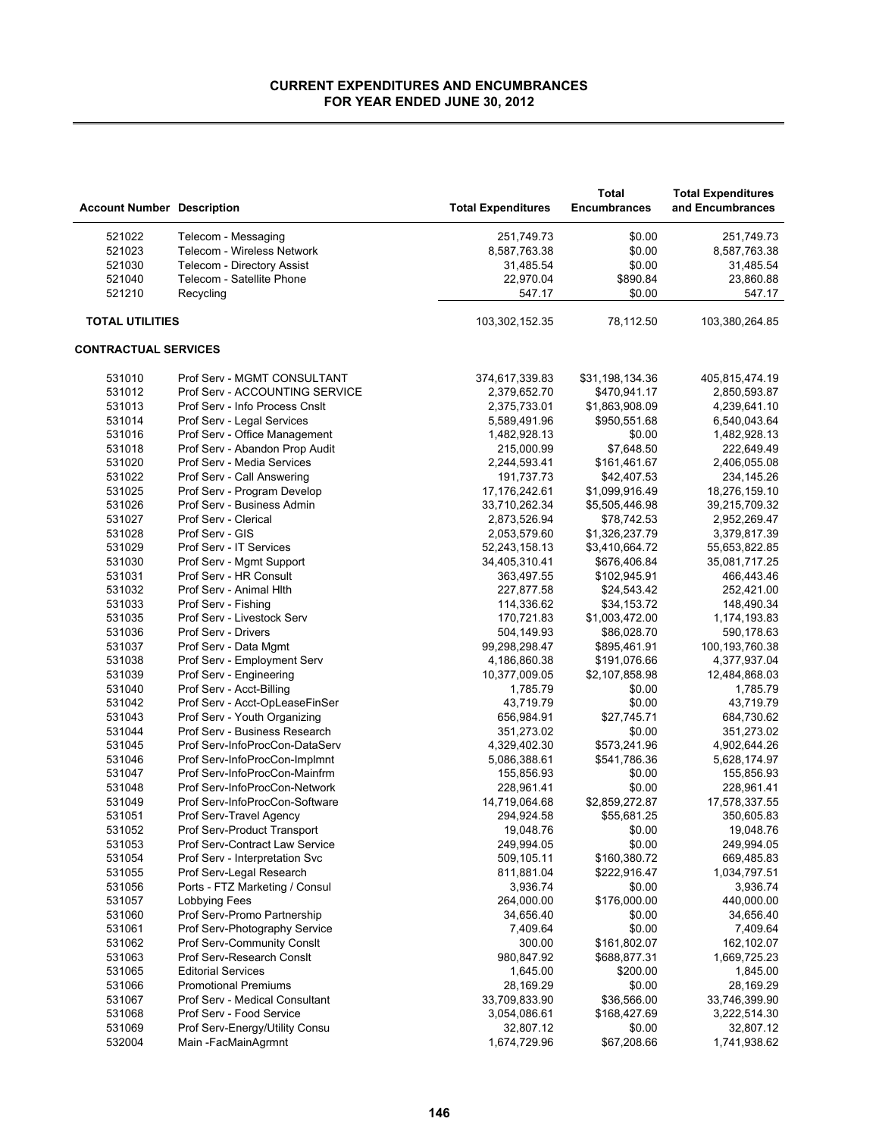| <b>Account Number Description</b> |                                       | <b>Total Expenditures</b> | <b>Total</b><br><b>Encumbrances</b> | <b>Total Expenditures</b><br>and Encumbrances |
|-----------------------------------|---------------------------------------|---------------------------|-------------------------------------|-----------------------------------------------|
| 521022                            | Telecom - Messaging                   | 251,749.73                | \$0.00                              | 251,749.73                                    |
| 521023                            | Telecom - Wireless Network            | 8,587,763.38              | \$0.00                              | 8,587,763.38                                  |
| 521030                            | Telecom - Directory Assist            | 31,485.54                 | \$0.00                              | 31,485.54                                     |
| 521040                            | Telecom - Satellite Phone             | 22,970.04                 | \$890.84                            | 23,860.88                                     |
| 521210                            | Recycling                             | 547.17                    | \$0.00                              | 547.17                                        |
| <b>TOTAL UTILITIES</b>            |                                       | 103,302,152.35            | 78,112.50                           | 103,380,264.85                                |
| <b>CONTRACTUAL SERVICES</b>       |                                       |                           |                                     |                                               |
| 531010                            | Prof Serv - MGMT CONSULTANT           | 374,617,339.83            | \$31,198,134.36                     | 405,815,474.19                                |
| 531012                            | Prof Serv - ACCOUNTING SERVICE        | 2,379,652.70              | \$470,941.17                        | 2,850,593.87                                  |
| 531013                            | Prof Serv - Info Process Cnslt        | 2,375,733.01              | \$1,863,908.09                      | 4,239,641.10                                  |
| 531014                            | Prof Serv - Legal Services            | 5,589,491.96              | \$950,551.68                        | 6,540,043.64                                  |
| 531016                            | Prof Serv - Office Management         | 1,482,928.13              | \$0.00                              | 1,482,928.13                                  |
| 531018                            | Prof Serv - Abandon Prop Audit        | 215,000.99                | \$7,648.50                          | 222,649.49                                    |
| 531020                            | Prof Serv - Media Services            | 2,244,593.41              | \$161,461.67                        | 2,406,055.08                                  |
| 531022                            | Prof Serv - Call Answering            | 191,737.73                | \$42,407.53                         | 234,145.26                                    |
| 531025                            | Prof Serv - Program Develop           | 17,176,242.61             | \$1,099,916.49                      | 18,276,159.10                                 |
| 531026                            | Prof Serv - Business Admin            | 33,710,262.34             | \$5,505,446.98                      | 39,215,709.32                                 |
| 531027                            | Prof Serv - Clerical                  | 2,873,526.94              | \$78,742.53                         | 2,952,269.47                                  |
| 531028                            | Prof Serv - GIS                       | 2,053,579.60              | \$1,326,237.79                      | 3,379,817.39                                  |
| 531029                            | Prof Serv - IT Services               | 52,243,158.13             | \$3,410,664.72                      | 55,653,822.85                                 |
| 531030                            | Prof Serv - Mgmt Support              | 34,405,310.41             | \$676,406.84                        | 35,081,717.25                                 |
| 531031                            | Prof Serv - HR Consult                | 363,497.55                | \$102,945.91                        | 466,443.46                                    |
| 531032                            | Prof Serv - Animal Hith               | 227,877.58                | \$24,543.42                         | 252,421.00                                    |
| 531033                            | Prof Serv - Fishing                   | 114,336.62                | \$34,153.72                         | 148,490.34                                    |
| 531035                            | Prof Serv - Livestock Serv            | 170,721.83                | \$1,003,472.00                      | 1,174,193.83                                  |
| 531036                            | Prof Serv - Drivers                   | 504,149.93                | \$86,028.70                         | 590,178.63                                    |
| 531037                            | Prof Serv - Data Mgmt                 | 99,298,298.47             | \$895,461.91                        | 100,193,760.38                                |
| 531038                            | Prof Serv - Employment Serv           | 4,186,860.38              | \$191,076.66                        | 4,377,937.04                                  |
| 531039                            | Prof Serv - Engineering               | 10,377,009.05             | \$2,107,858.98                      | 12,484,868.03                                 |
| 531040                            | Prof Serv - Acct-Billing              | 1,785.79                  | \$0.00                              | 1,785.79                                      |
| 531042                            | Prof Serv - Acct-OpLeaseFinSer        | 43,719.79                 | \$0.00                              | 43,719.79                                     |
| 531043                            | Prof Serv - Youth Organizing          | 656,984.91                | \$27,745.71                         | 684,730.62                                    |
| 531044                            | Prof Serv - Business Research         | 351,273.02                | \$0.00                              | 351,273.02                                    |
| 531045                            | Prof Serv-InfoProcCon-DataServ        | 4,329,402.30              | \$573,241.96                        | 4,902,644.26                                  |
| 531046                            | Prof Serv-InfoProcCon-Implmnt         | 5,086,388.61              | \$541,786.36                        | 5,628,174.97                                  |
| 531047                            | Prof Serv-InfoProcCon-Mainfrm         | 155,856.93                | \$0.00                              | 155,856.93                                    |
| 531048                            | Prof Serv-InfoProcCon-Network         | 228,961.41                | \$0.00                              | 228,961.41                                    |
| 531049                            | Prof Serv-InfoProcCon-Software        | 14,719,064.68             | \$2,859,272.87                      | 17,578,337.55                                 |
| 531051                            | Prof Serv-Travel Agency               | 294,924.58                | \$55,681.25                         | 350,605.83                                    |
| 531052                            | Prof Serv-Product Transport           | 19,048.76                 | \$0.00                              | 19,048.76                                     |
| 531053                            | <b>Prof Serv-Contract Law Service</b> | 249,994.05                | \$0.00                              | 249,994.05                                    |
| 531054                            | Prof Serv - Interpretation Svc        | 509,105.11                | \$160,380.72                        | 669,485.83                                    |
| 531055                            | Prof Serv-Legal Research              | 811,881.04                | \$222,916.47                        | 1,034,797.51                                  |
| 531056                            | Ports - FTZ Marketing / Consul        | 3,936.74                  | \$0.00                              | 3,936.74                                      |
| 531057                            | Lobbying Fees                         | 264,000.00                | \$176,000.00                        | 440,000.00                                    |
| 531060                            | Prof Serv-Promo Partnership           | 34,656.40                 | \$0.00                              | 34,656.40                                     |
| 531061                            | Prof Serv-Photography Service         | 7,409.64                  | \$0.00                              | 7,409.64                                      |
| 531062                            | Prof Serv-Community Consit            | 300.00                    | \$161,802.07                        | 162,102.07                                    |
| 531063                            | Prof Serv-Research Consit             | 980,847.92                | \$688,877.31                        | 1,669,725.23                                  |
| 531065                            | <b>Editorial Services</b>             | 1,645.00                  | \$200.00                            | 1,845.00                                      |
| 531066                            | <b>Promotional Premiums</b>           | 28,169.29                 | \$0.00                              | 28,169.29                                     |
| 531067                            | Prof Serv - Medical Consultant        | 33,709,833.90             | \$36,566.00                         | 33,746,399.90                                 |
| 531068                            | Prof Serv - Food Service              | 3,054,086.61              | \$168,427.69                        | 3,222,514.30                                  |
| 531069                            | Prof Serv-Energy/Utility Consu        | 32,807.12                 | \$0.00                              | 32,807.12                                     |
| 532004                            | Main -FacMainAgrmnt                   | 1,674,729.96              | \$67,208.66                         | 1,741,938.62                                  |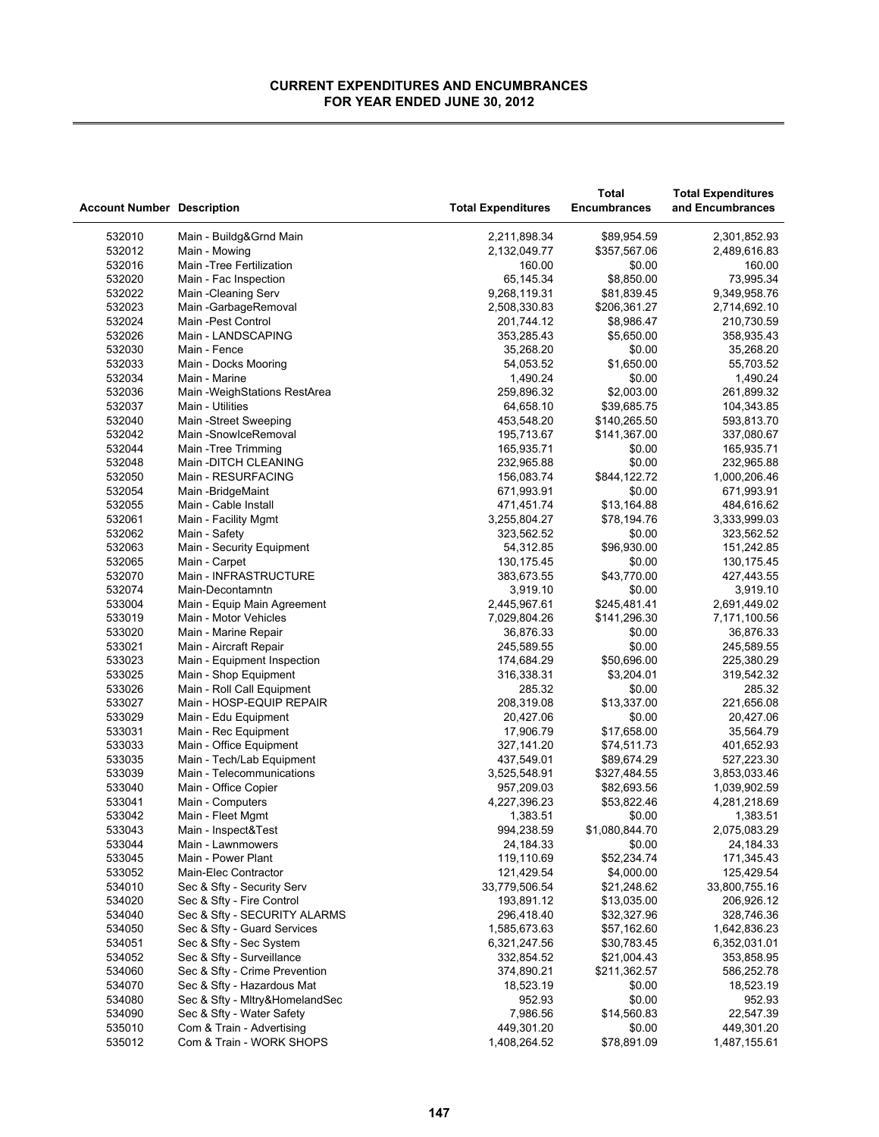|                                   |                                                       |                           | <b>Total</b>        | <b>Total Expenditures</b> |
|-----------------------------------|-------------------------------------------------------|---------------------------|---------------------|---------------------------|
| <b>Account Number Description</b> |                                                       | <b>Total Expenditures</b> | <b>Encumbrances</b> | and Encumbrances          |
|                                   |                                                       |                           |                     |                           |
| 532010                            | Main - Buildg&Grnd Main                               | 2,211,898.34              | \$89,954.59         | 2,301,852.93              |
| 532012                            | Main - Mowing                                         | 2,132,049.77              | \$357,567.06        | 2,489,616.83              |
| 532016                            | Main - Tree Fertilization                             | 160.00                    | \$0.00              | 160.00                    |
| 532020                            | Main - Fac Inspection                                 | 65,145.34                 | \$8,850.00          | 73,995.34                 |
| 532022                            | Main - Cleaning Serv                                  | 9,268,119.31              | \$81,839.45         | 9,349,958.76              |
| 532023                            | Main - Garbage Removal                                | 2,508,330.83              | \$206,361.27        | 2,714,692.10              |
| 532024                            | Main - Pest Control                                   | 201,744.12                | \$8,986.47          | 210,730.59                |
| 532026                            | Main - LANDSCAPING                                    | 353,285.43                | \$5,650.00          | 358,935.43                |
| 532030                            | Main - Fence                                          | 35,268.20                 | \$0.00              | 35,268.20                 |
| 532033                            | Main - Docks Mooring                                  | 54,053.52                 | \$1,650.00          | 55,703.52                 |
| 532034                            | Main - Marine                                         | 1,490.24                  | \$0.00              | 1,490.24                  |
| 532036                            | Main - Weigh Stations RestArea                        | 259,896.32                | \$2,003.00          | 261,899.32                |
| 532037                            | Main - Utilities                                      | 64,658.10                 | \$39,685.75         | 104,343.85                |
| 532040                            | Main -Street Sweeping                                 | 453,548.20                | \$140,265.50        | 593,813.70                |
| 532042                            | Main -SnowlceRemoval                                  | 195,713.67                | \$141,367.00        | 337,080.67                |
| 532044                            |                                                       |                           |                     |                           |
| 532048                            | Main - Tree Trimming<br>Main - DITCH CLEANING         | 165,935.71<br>232,965.88  | \$0.00<br>\$0.00    | 165,935.71<br>232,965.88  |
|                                   | Main - RESURFACING                                    |                           |                     |                           |
| 532050                            |                                                       | 156,083.74                | \$844,122.72        | 1,000,206.46              |
| 532054                            | Main - Bridge Maint                                   | 671,993.91                | \$0.00              | 671,993.91                |
| 532055                            | Main - Cable Install                                  | 471,451.74                | \$13,164.88         | 484,616.62                |
| 532061                            | Main - Facility Mgmt                                  | 3,255,804.27              | \$78,194.76         | 3,333,999.03              |
| 532062                            | Main - Safety                                         | 323,562.52                | \$0.00              | 323,562.52                |
| 532063                            | Main - Security Equipment                             | 54,312.85                 | \$96,930.00         | 151,242.85                |
| 532065                            | Main - Carpet                                         | 130,175.45                | \$0.00              | 130, 175.45               |
| 532070                            | Main - INFRASTRUCTURE                                 | 383,673.55                | \$43,770.00         | 427,443.55                |
| 532074                            | Main-Decontamntn                                      | 3,919.10                  | \$0.00              | 3,919.10                  |
| 533004                            | Main - Equip Main Agreement                           | 2,445,967.61              | \$245,481.41        | 2,691,449.02              |
| 533019                            | Main - Motor Vehicles                                 | 7,029,804.26              | \$141,296.30        | 7,171,100.56              |
| 533020                            | Main - Marine Repair                                  | 36,876.33                 | \$0.00              | 36,876.33                 |
| 533021                            | Main - Aircraft Repair                                | 245,589.55                | \$0.00              | 245,589.55                |
| 533023                            | Main - Equipment Inspection                           | 174,684.29                | \$50,696.00         | 225,380.29                |
| 533025                            | Main - Shop Equipment                                 | 316,338.31                | \$3,204.01          | 319,542.32                |
| 533026                            | Main - Roll Call Equipment                            | 285.32                    | \$0.00              | 285.32                    |
| 533027                            | Main - HOSP-EQUIP REPAIR                              | 208,319.08                | \$13,337.00         | 221,656.08                |
| 533029                            | Main - Edu Equipment                                  | 20,427.06                 | \$0.00              | 20,427.06                 |
| 533031                            | Main - Rec Equipment                                  | 17,906.79                 | \$17,658.00         | 35,564.79                 |
| 533033                            | Main - Office Equipment                               | 327,141.20                | \$74,511.73         | 401,652.93                |
| 533035                            | Main - Tech/Lab Equipment                             | 437,549.01                | \$89,674.29         | 527,223.30                |
| 533039                            | Main - Telecommunications                             | 3,525,548.91              | \$327,484.55        | 3,853,033.46              |
| 533040                            | Main - Office Copier                                  | 957,209.03                | \$82,693.56         | 1,039,902.59              |
| 533041                            | Main - Computers                                      | 4,227,396.23              | \$53,822.46         | 4,281,218.69              |
| 533042                            | Main - Fleet Mgmt                                     | 1,383.51                  | \$0.00              | 1,383.51                  |
| 533043                            | Main - Inspect&Test                                   | 994,238.59                | \$1,080,844.70      | 2,075,083.29              |
| 533044                            | Main - Lawnmowers                                     | 24, 184. 33               | \$0.00              | 24, 184. 33               |
| 533045                            | Main - Power Plant                                    | 119,110.69                | \$52,234.74         | 171,345.43                |
| 533052                            | Main-Elec Contractor                                  | 121,429.54                | \$4,000.00          | 125,429.54                |
| 534010                            | Sec & Sfty - Security Serv                            | 33,779,506.54             | \$21,248.62         | 33,800,755.16             |
| 534020                            | Sec & Sfty - Fire Control                             | 193,891.12                | \$13,035.00         | 206,926.12                |
| 534040                            | Sec & Sfty - SECURITY ALARMS                          | 296,418.40                | \$32,327.96         | 328,746.36                |
| 534050                            | Sec & Sfty - Guard Services                           | 1,585,673.63              | \$57,162.60         | 1,642,836.23              |
| 534051                            | Sec & Sfty - Sec System                               | 6,321,247.56              | \$30,783.45         | 6,352,031.01              |
| 534052                            | Sec & Sfty - Surveillance                             | 332,854.52                | \$21,004.43         | 353,858.95                |
| 534060                            | Sec & Sfty - Crime Prevention                         | 374,890.21                | \$211,362.57        | 586,252.78                |
| 534070                            | Sec & Sfty - Hazardous Mat                            | 18,523.19                 | \$0.00              | 18,523.19                 |
| 534080                            | Sec & Sfty - Mitry&HomelandSec                        | 952.93                    | \$0.00              | 952.93                    |
| 534090                            | Sec & Sfty - Water Safety                             |                           | \$14,560.83         | 22,547.39                 |
|                                   |                                                       | 7,986.56                  |                     |                           |
| 535010                            | Com & Train - Advertising<br>Com & Train - WORK SHOPS | 449,301.20                | \$0.00              | 449,301.20                |
| 535012                            |                                                       | 1,408,264.52              | \$78,891.09         | 1,487,155.61              |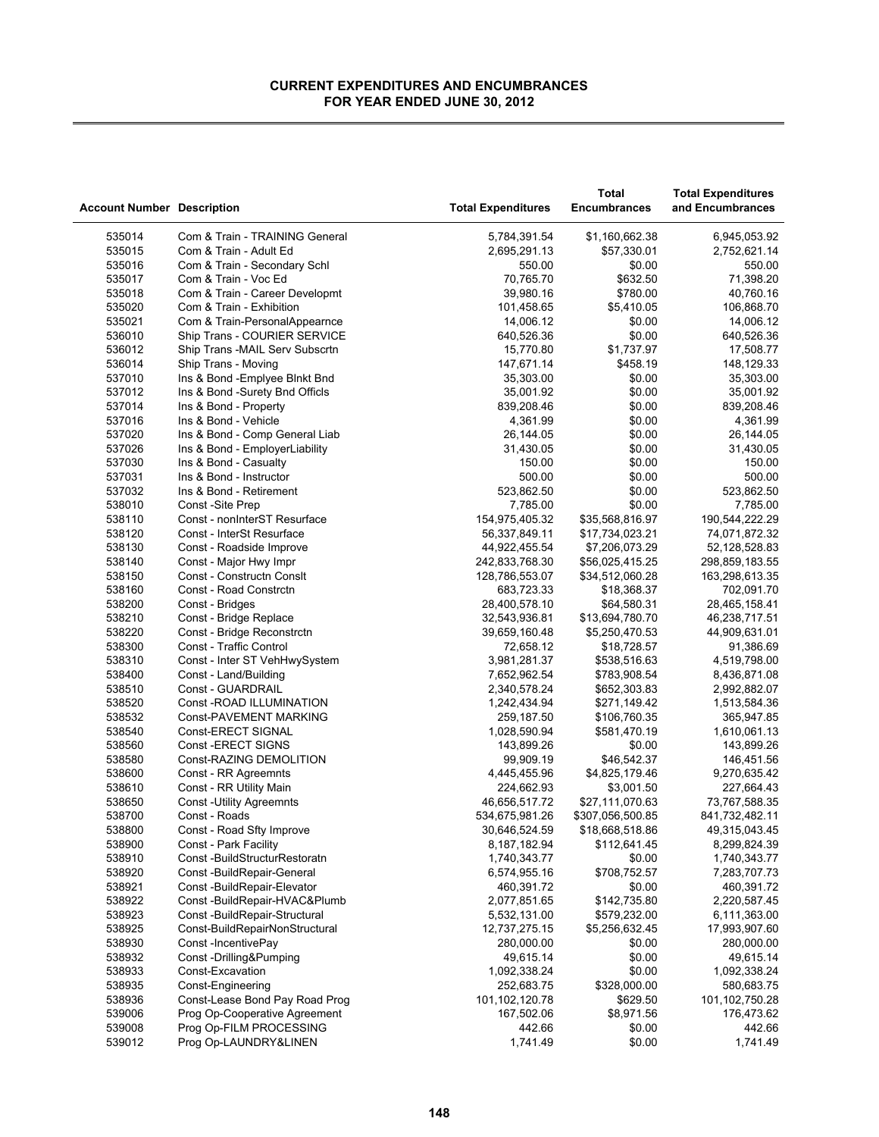| <b>Account Number Description</b> |                                | <b>Total Expenditures</b> | <b>Total</b><br><b>Encumbrances</b> | <b>Total Expenditures</b><br>and Encumbrances |
|-----------------------------------|--------------------------------|---------------------------|-------------------------------------|-----------------------------------------------|
| 535014                            | Com & Train - TRAINING General | 5,784,391.54              | \$1,160,662.38                      | 6,945,053.92                                  |
| 535015                            | Com & Train - Adult Ed         | 2,695,291.13              | \$57,330.01                         | 2,752,621.14                                  |
| 535016                            | Com & Train - Secondary Schl   | 550.00                    | \$0.00                              | 550.00                                        |
| 535017                            | Com & Train - Voc Ed           | 70,765.70                 | \$632.50                            | 71,398.20                                     |
| 535018                            | Com & Train - Career Developmt | 39,980.16                 | \$780.00                            | 40,760.16                                     |
| 535020                            | Com & Train - Exhibition       | 101,458.65                | \$5,410.05                          | 106,868.70                                    |
| 535021                            | Com & Train-PersonalAppearnce  | 14,006.12                 | \$0.00                              | 14,006.12                                     |
| 536010                            | Ship Trans - COURIER SERVICE   | 640,526.36                | \$0.00                              | 640,526.36                                    |
| 536012                            | Ship Trans -MAIL Serv Subscrtn | 15,770.80                 | \$1,737.97                          | 17,508.77                                     |
| 536014                            | Ship Trans - Moving            | 147,671.14                | \$458.19                            | 148,129.33                                    |
| 537010                            | Ins & Bond - Emplyee Binkt Bnd | 35,303.00                 | \$0.00                              | 35,303.00                                     |
| 537012                            | Ins & Bond -Surety Bnd Officis | 35,001.92                 | \$0.00                              | 35,001.92                                     |
| 537014                            | Ins & Bond - Property          | 839,208.46                | \$0.00                              | 839,208.46                                    |
| 537016                            | Ins & Bond - Vehicle           | 4,361.99                  | \$0.00                              | 4,361.99                                      |
| 537020                            | Ins & Bond - Comp General Liab | 26,144.05                 | \$0.00                              | 26,144.05                                     |
| 537026                            | Ins & Bond - EmployerLiability | 31,430.05                 | \$0.00                              | 31,430.05                                     |
| 537030                            | Ins & Bond - Casualty          | 150.00                    | \$0.00                              | 150.00                                        |
| 537031                            | Ins & Bond - Instructor        | 500.00                    | \$0.00                              | 500.00                                        |
| 537032                            | Ins & Bond - Retirement        | 523,862.50                | \$0.00                              | 523,862.50                                    |
| 538010                            | Const -Site Prep               | 7.785.00                  | \$0.00                              | 7,785.00                                      |
| 538110                            | Const - nonInterST Resurface   | 154,975,405.32            | \$35,568,816.97                     | 190,544,222.29                                |
| 538120                            | Const - InterSt Resurface      | 56,337,849.11             | \$17,734,023.21                     | 74,071,872.32                                 |
| 538130                            | Const - Roadside Improve       | 44,922,455.54             | \$7,206,073.29                      | 52,128,528.83                                 |
| 538140                            | Const - Major Hwy Impr         | 242,833,768.30            | \$56,025,415.25                     | 298,859,183.55                                |
| 538150                            | Const - Constructn Consit      | 128,786,553.07            | \$34,512,060.28                     | 163,298,613.35                                |
| 538160                            | Const - Road Constrctn         | 683,723.33                | \$18,368.37                         | 702,091.70                                    |
| 538200                            | Const - Bridges                | 28,400,578.10             | \$64,580.31                         | 28,465,158.41                                 |
| 538210                            | Const - Bridge Replace         | 32,543,936.81             | \$13,694,780.70                     | 46,238,717.51                                 |
| 538220                            | Const - Bridge Reconstrctn     | 39,659,160.48             | \$5,250,470.53                      | 44,909,631.01                                 |
| 538300                            | Const - Traffic Control        | 72,658.12                 | \$18,728.57                         | 91,386.69                                     |
| 538310                            | Const - Inter ST VehHwySystem  | 3,981,281.37              | \$538,516.63                        | 4,519,798.00                                  |
| 538400                            | Const - Land/Building          | 7,652,962.54              | \$783,908.54                        | 8,436,871.08                                  |
| 538510                            | Const - GUARDRAIL              | 2,340,578.24              | \$652,303.83                        | 2,992,882.07                                  |
| 538520                            | Const - ROAD ILLUMINATION      | 1,242,434.94              | \$271,149.42                        | 1,513,584.36                                  |
| 538532                            | Const-PAVEMENT MARKING         | 259,187.50                | \$106,760.35                        | 365,947.85                                    |
| 538540                            | Const-ERECT SIGNAL             | 1,028,590.94              | \$581,470.19                        | 1,610,061.13                                  |
| 538560                            | Const-ERECT SIGNS              | 143,899.26                | \$0.00                              | 143,899.26                                    |
| 538580                            | Const-RAZING DEMOLITION        | 99,909.19                 | \$46,542.37                         | 146,451.56                                    |
| 538600                            | Const - RR Agreemnts           | 4,445,455.96              | \$4,825,179.46                      | 9,270,635.42                                  |
| 538610                            | Const - RR Utility Main        | 224,662.93                | \$3,001.50                          | 227,664.43                                    |
| 538650                            | <b>Const-Utility Agreemnts</b> | 46,656,517.72             | \$27,111,070.63                     | 73,767,588.35                                 |
| 538700                            | Const - Roads                  | 534,675,981.26            | \$307,056,500.85                    | 841,732,482.11                                |
| 538800                            | Const - Road Sfty Improve      | 30,646,524.59             | \$18,668,518.86                     | 49,315,043.45                                 |
| 538900                            | Const - Park Facility          | 8, 187, 182.94            | \$112,641.45                        | 8,299,824.39                                  |
| 538910                            | Const-BuildStructurRestoratn   | 1,740,343.77              | \$0.00                              | 1,740,343.77                                  |
| 538920                            | Const -BuildRepair-General     | 6,574,955.16              | \$708,752.57                        | 7,283,707.73                                  |
| 538921                            | Const -BuildRepair-Elevator    | 460,391.72                | \$0.00                              | 460,391.72                                    |
| 538922                            | Const -BuildRepair-HVAC&Plumb  | 2,077,851.65              | \$142,735.80                        | 2,220,587.45                                  |
| 538923                            | Const -BuildRepair-Structural  | 5,532,131.00              | \$579,232.00                        | 6,111,363.00                                  |
| 538925                            | Const-BuildRepairNonStructural | 12,737,275.15             | \$5,256,632.45                      | 17,993,907.60                                 |
| 538930                            | Const-IncentivePay             | 280,000.00                | \$0.00                              | 280,000.00                                    |
| 538932                            | Const-Drilling&Pumping         | 49,615.14                 | \$0.00                              | 49,615.14                                     |
| 538933                            | Const-Excavation               | 1,092,338.24              | \$0.00                              | 1,092,338.24                                  |
| 538935                            | Const-Engineering              | 252,683.75                | \$328,000.00                        | 580,683.75                                    |
| 538936                            | Const-Lease Bond Pay Road Prog | 101,102,120.78            | \$629.50                            | 101,102,750.28                                |
| 539006                            | Prog Op-Cooperative Agreement  | 167,502.06                | \$8,971.56                          | 176,473.62                                    |
| 539008                            | Prog Op-FILM PROCESSING        | 442.66                    | \$0.00                              | 442.66                                        |
| 539012                            | Prog Op-LAUNDRY&LINEN          | 1,741.49                  | \$0.00                              | 1,741.49                                      |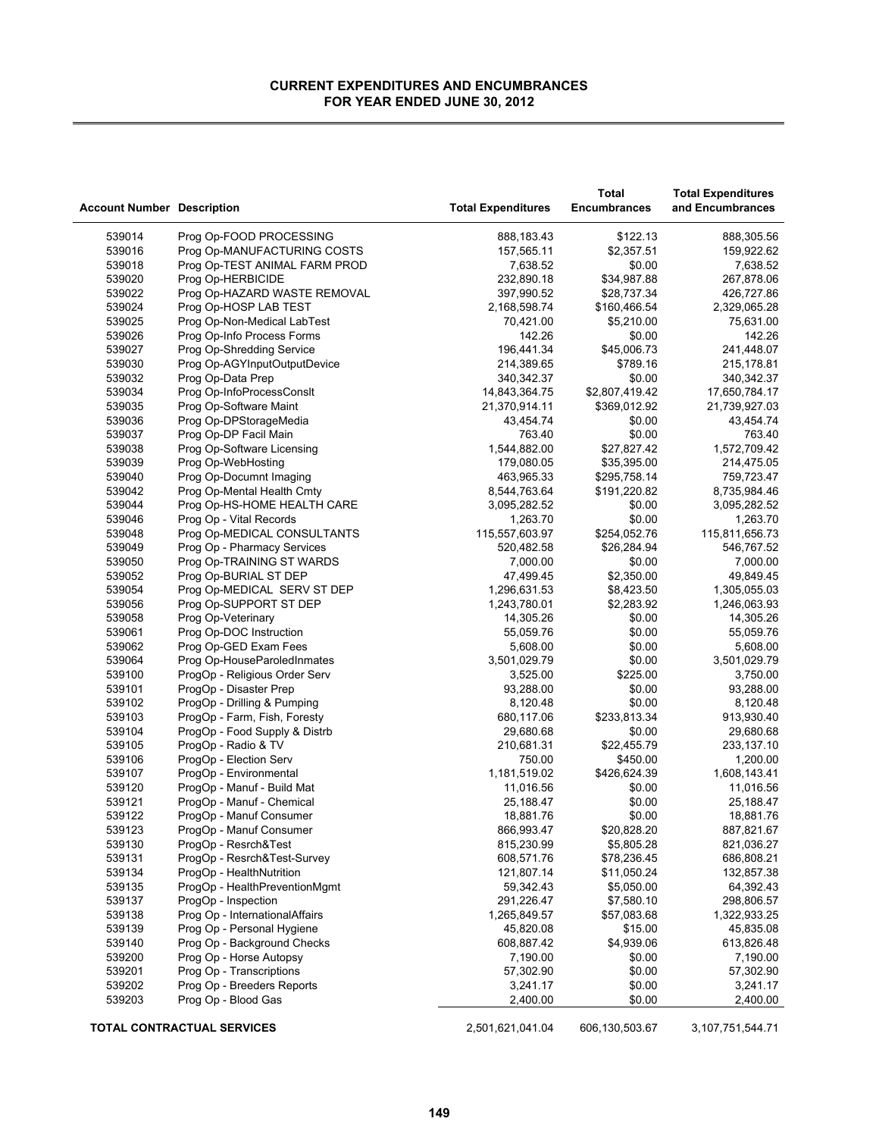| <b>Account Number Description</b> |                                   | <b>Total Expenditures</b> | Total<br><b>Encumbrances</b> | <b>Total Expenditures</b><br>and Encumbrances |
|-----------------------------------|-----------------------------------|---------------------------|------------------------------|-----------------------------------------------|
| 539014                            | Prog Op-FOOD PROCESSING           | 888,183.43                | \$122.13                     | 888,305.56                                    |
| 539016                            | Prog Op-MANUFACTURING COSTS       | 157,565.11                | \$2,357.51                   | 159,922.62                                    |
| 539018                            | Prog Op-TEST ANIMAL FARM PROD     | 7,638.52                  | \$0.00                       | 7,638.52                                      |
| 539020                            | Prog Op-HERBICIDE                 | 232,890.18                | \$34,987.88                  | 267,878.06                                    |
| 539022                            | Prog Op-HAZARD WASTE REMOVAL      | 397,990.52                | \$28,737.34                  | 426,727.86                                    |
| 539024                            | Prog Op-HOSP LAB TEST             | 2,168,598.74              | \$160,466.54                 | 2,329,065.28                                  |
| 539025                            | Prog Op-Non-Medical LabTest       | 70,421.00                 | \$5,210.00                   | 75,631.00                                     |
| 539026                            | Prog Op-Info Process Forms        | 142.26                    | \$0.00                       | 142.26                                        |
| 539027                            | Prog Op-Shredding Service         | 196,441.34                | \$45,006.73                  | 241,448.07                                    |
| 539030                            | Prog Op-AGYInputOutputDevice      | 214,389.65                | \$789.16                     | 215,178.81                                    |
| 539032                            | Prog Op-Data Prep                 | 340,342.37                | \$0.00                       | 340,342.37                                    |
| 539034                            | Prog Op-InfoProcessConsit         | 14,843,364.75             | \$2,807,419.42               | 17,650,784.17                                 |
| 539035                            | Prog Op-Software Maint            | 21,370,914.11             | \$369,012.92                 | 21,739,927.03                                 |
| 539036                            | Prog Op-DPStorageMedia            | 43,454.74                 | \$0.00                       | 43,454.74                                     |
| 539037                            | Prog Op-DP Facil Main             | 763.40                    | \$0.00                       | 763.40                                        |
| 539038                            | Prog Op-Software Licensing        | 1,544,882.00              | \$27,827.42                  | 1,572,709.42                                  |
| 539039                            | Prog Op-WebHosting                | 179,080.05                | \$35,395.00                  | 214,475.05                                    |
| 539040                            | Prog Op-Documnt Imaging           | 463,965.33                | \$295,758.14                 | 759,723.47                                    |
| 539042                            | Prog Op-Mental Health Cmty        | 8,544,763.64              | \$191,220.82                 | 8,735,984.46                                  |
| 539044                            | Prog Op-HS-HOME HEALTH CARE       | 3,095,282.52              | \$0.00                       | 3,095,282.52                                  |
| 539046                            | Prog Op - Vital Records           | 1,263.70                  | \$0.00                       | 1,263.70                                      |
| 539048                            | Prog Op-MEDICAL CONSULTANTS       | 115,557,603.97            | \$254,052.76                 | 115,811,656.73                                |
| 539049                            | Prog Op - Pharmacy Services       | 520,482.58                | \$26,284.94                  | 546,767.52                                    |
| 539050                            | Prog Op-TRAINING ST WARDS         | 7,000.00                  | \$0.00                       | 7,000.00                                      |
| 539052                            | Prog Op-BURIAL ST DEP             | 47,499.45                 | \$2,350.00                   | 49,849.45                                     |
| 539054                            | Prog Op-MEDICAL SERV ST DEP       | 1,296,631.53              | \$8,423.50                   | 1,305,055.03                                  |
| 539056                            | Prog Op-SUPPORT ST DEP            | 1,243,780.01              | \$2,283.92                   | 1,246,063.93                                  |
| 539058                            | Prog Op-Veterinary                | 14,305.26                 | \$0.00                       | 14,305.26                                     |
| 539061                            | Prog Op-DOC Instruction           | 55,059.76                 | \$0.00                       | 55,059.76                                     |
| 539062                            | Prog Op-GED Exam Fees             | 5,608.00                  | \$0.00                       | 5,608.00                                      |
| 539064                            | Prog Op-HouseParoledInmates       | 3,501,029.79              | \$0.00                       | 3,501,029.79                                  |
| 539100                            | ProgOp - Religious Order Serv     | 3,525.00                  | \$225.00                     | 3,750.00                                      |
| 539101                            | ProgOp - Disaster Prep            | 93,288.00                 | \$0.00                       | 93,288.00                                     |
| 539102                            | ProgOp - Drilling & Pumping       | 8,120.48                  | \$0.00                       | 8,120.48                                      |
| 539103                            | ProgOp - Farm, Fish, Foresty      | 680,117.06                | \$233,813.34                 | 913,930.40                                    |
| 539104                            | ProgOp - Food Supply & Distrb     | 29,680.68                 | \$0.00                       | 29,680.68                                     |
| 539105                            | ProgOp - Radio & TV               | 210,681.31                | \$22,455.79                  | 233,137.10                                    |
| 539106                            | ProgOp - Election Serv            | 750.00                    | \$450.00                     | 1,200.00                                      |
| 539107                            | ProgOp - Environmental            | 1,181,519.02              | \$426,624.39                 | 1,608,143.41                                  |
| 539120                            | ProgOp - Manuf - Build Mat        | 11,016.56                 | \$0.00                       | 11,016.56                                     |
| 539121                            | ProgOp - Manuf - Chemical         | 25,188.47                 | \$0.00                       | 25,188.47                                     |
| 539122                            | ProgOp - Manuf Consumer           | 18,881.76                 | \$0.00                       | 18,881.76                                     |
| 539123                            | ProgOp - Manuf Consumer           | 866,993.47                | \$20,828.20                  | 887,821.67                                    |
| 539130                            | ProgOp - Resrch&Test              | 815,230.99                | \$5,805.28                   | 821,036.27                                    |
| 539131                            | ProgOp - Resrch&Test-Survey       | 608,571.76                | \$78,236.45                  | 686,808.21                                    |
| 539134                            | ProgOp - HealthNutrition          | 121,807.14                | \$11,050.24                  | 132,857.38                                    |
| 539135                            | ProgOp - HealthPreventionMgmt     | 59,342.43                 | \$5,050.00                   | 64,392.43                                     |
| 539137                            | ProgOp - Inspection               | 291,226.47                | \$7,580.10                   | 298,806.57                                    |
| 539138                            | Prog Op - InternationalAffairs    | 1,265,849.57              | \$57,083.68                  | 1,322,933.25                                  |
| 539139                            | Prog Op - Personal Hygiene        | 45,820.08                 | \$15.00                      | 45,835.08                                     |
| 539140                            | Prog Op - Background Checks       | 608,887.42                | \$4,939.06                   | 613,826.48                                    |
| 539200                            | Prog Op - Horse Autopsy           | 7,190.00                  | \$0.00                       | 7,190.00                                      |
| 539201                            | Prog Op - Transcriptions          | 57,302.90                 | \$0.00                       | 57,302.90                                     |
| 539202                            | Prog Op - Breeders Reports        | 3,241.17                  | \$0.00                       | 3,241.17                                      |
| 539203                            | Prog Op - Blood Gas               | 2,400.00                  | \$0.00                       | 2,400.00                                      |
|                                   | <b>TOTAL CONTRACTUAL SERVICES</b> | 2,501,621,041.04          | 606,130,503.67               | 3,107,751,544.71                              |

 $\overline{a}$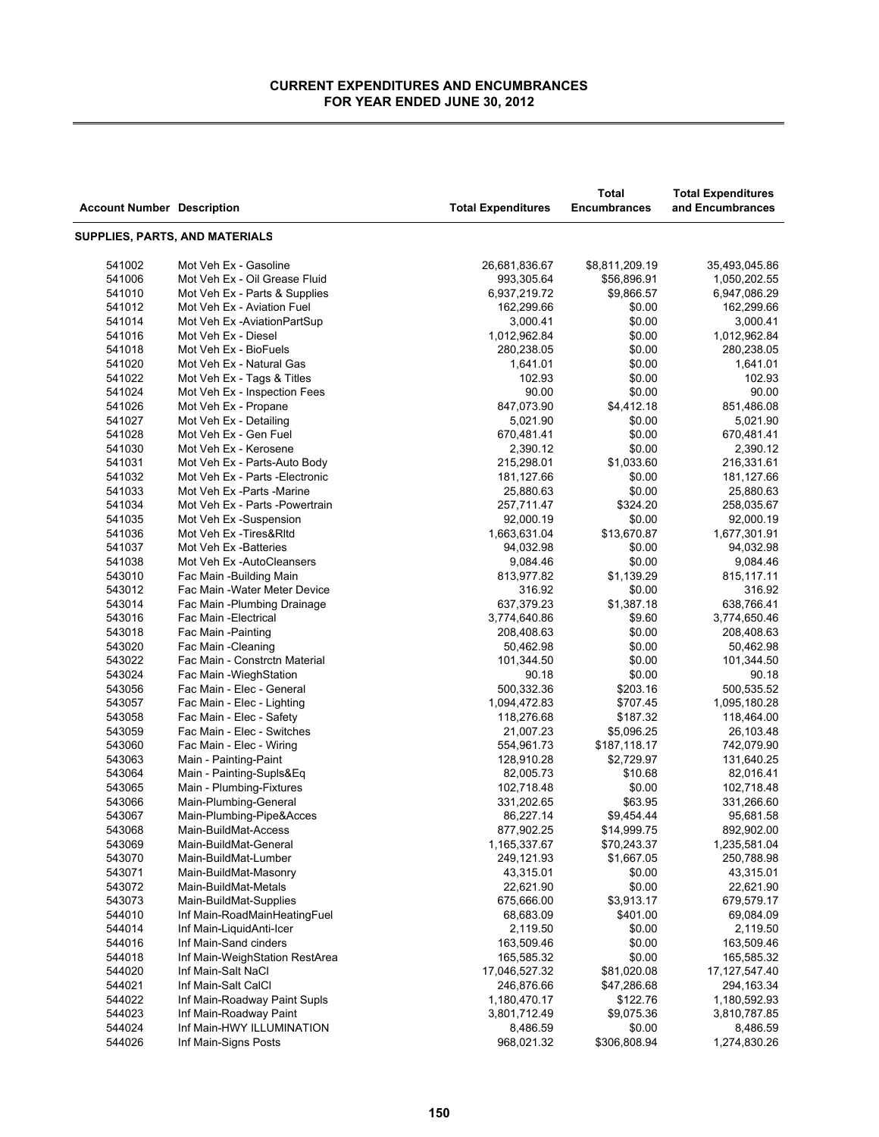÷

| <b>Account Number Description</b> |                                 | <b>Total Expenditures</b> | <b>Total</b><br><b>Encumbrances</b> | <b>Total Expenditures</b><br>and Encumbrances |
|-----------------------------------|---------------------------------|---------------------------|-------------------------------------|-----------------------------------------------|
|                                   | SUPPLIES, PARTS, AND MATERIALS  |                           |                                     |                                               |
| 541002                            | Mot Veh Ex - Gasoline           | 26,681,836.67             | \$8,811,209.19                      | 35,493,045.86                                 |
| 541006                            | Mot Veh Ex - Oil Grease Fluid   | 993,305.64                | \$56,896.91                         | 1,050,202.55                                  |
| 541010                            | Mot Veh Ex - Parts & Supplies   | 6,937,219.72              | \$9,866.57                          | 6,947,086.29                                  |
| 541012                            | Mot Veh Ex - Aviation Fuel      | 162,299.66                | \$0.00                              | 162,299.66                                    |
| 541014                            | Mot Veh Ex-AviationPartSup      | 3,000.41                  | \$0.00                              | 3,000.41                                      |
| 541016                            | Mot Veh Ex - Diesel             | 1,012,962.84              | \$0.00                              | 1,012,962.84                                  |
| 541018                            | Mot Veh Ex - BioFuels           | 280,238.05                | \$0.00                              | 280,238.05                                    |
| 541020                            | Mot Veh Ex - Natural Gas        | 1,641.01                  | \$0.00                              | 1,641.01                                      |
| 541022                            | Mot Veh Ex - Tags & Titles      | 102.93                    | \$0.00                              | 102.93                                        |
| 541024                            | Mot Veh Ex - Inspection Fees    | 90.00                     | \$0.00                              | 90.00                                         |
| 541026                            | Mot Veh Ex - Propane            | 847,073.90                | \$4,412.18                          | 851,486.08                                    |
| 541027                            | Mot Veh Ex - Detailing          | 5,021.90                  | \$0.00                              | 5,021.90                                      |
| 541028                            | Mot Veh Ex - Gen Fuel           | 670,481.41                | \$0.00                              | 670,481.41                                    |
| 541030                            | Mot Veh Ex - Kerosene           | 2,390.12                  | \$0.00                              | 2,390.12                                      |
| 541031                            | Mot Veh Ex - Parts-Auto Body    | 215,298.01                | \$1,033.60                          | 216,331.61                                    |
| 541032                            | Mot Veh Ex - Parts - Electronic | 181,127.66                | \$0.00                              | 181,127.66                                    |
| 541033                            | Mot Veh Ex - Parts - Marine     | 25,880.63                 | \$0.00                              | 25,880.63                                     |
| 541034                            | Mot Veh Ex - Parts - Powertrain | 257,711.47                | \$324.20                            | 258,035.67                                    |
| 541035                            | Mot Veh Ex-Suspension           | 92,000.19                 | \$0.00                              | 92,000.19                                     |
| 541036                            | Mot Veh Ex - Tires& RItd        | 1,663,631.04              | \$13,670.87                         | 1,677,301.91                                  |
| 541037                            | Mot Veh Ex -Batteries           | 94,032.98                 | \$0.00                              | 94,032.98                                     |
| 541038                            | Mot Veh Ex-AutoCleansers        | 9,084.46                  | \$0.00                              | 9,084.46                                      |
| 543010                            | Fac Main -Building Main         | 813,977.82                | \$1,139.29                          | 815,117.11                                    |
| 543012                            | Fac Main - Water Meter Device   | 316.92                    | \$0.00                              | 316.92                                        |
| 543014                            | Fac Main -Plumbing Drainage     | 637,379.23                | \$1,387.18                          | 638,766.41                                    |
| 543016                            | Fac Main - Electrical           | 3,774,640.86              | \$9.60                              | 3,774,650.46                                  |
| 543018                            | Fac Main - Painting             | 208,408.63                | \$0.00                              | 208,408.63                                    |
| 543020                            | Fac Main - Cleaning             | 50,462.98                 | \$0.00                              | 50,462.98                                     |
| 543022                            | Fac Main - Constrctn Material   | 101,344.50                | \$0.00                              | 101,344.50                                    |
| 543024                            | Fac Main - Wiegh Station        | 90.18                     | \$0.00                              | 90.18                                         |
| 543056                            | Fac Main - Elec - General       | 500,332.36                | \$203.16                            | 500,535.52                                    |
| 543057                            | Fac Main - Elec - Lighting      | 1,094,472.83              | \$707.45                            | 1,095,180.28                                  |
| 543058                            | Fac Main - Elec - Safety        | 118,276.68                | \$187.32                            | 118,464.00                                    |
| 543059                            | Fac Main - Elec - Switches      | 21,007.23                 | \$5,096.25                          | 26,103.48                                     |
| 543060                            | Fac Main - Elec - Wiring        | 554,961.73                | \$187,118.17                        | 742,079.90                                    |
| 543063                            | Main - Painting-Paint           | 128,910.28                | \$2,729.97                          | 131,640.25                                    |
| 543064                            | Main - Painting-Supls&Eq        | 82,005.73                 | \$10.68                             | 82,016.41                                     |
| 543065                            | Main - Plumbing-Fixtures        | 102,718.48                | \$0.00                              | 102,718.48                                    |
| 543066                            | Main-Plumbing-General           | 331,202.65                | \$63.95                             | 331,266.60                                    |
| 543067                            | Main-Plumbing-Pipe&Acces        | 86,227.14                 | \$9,454.44                          | 95,681.58                                     |
| 543068                            | Main-BuildMat-Access            | 877,902.25                | \$14,999.75                         | 892,902.00                                    |
| 543069                            | Main-BuildMat-General           | 1,165,337.67              | \$70,243.37                         | 1,235,581.04                                  |
| 543070                            | Main-BuildMat-Lumber            | 249,121.93                | \$1,667.05                          | 250,788.98                                    |
| 543071                            | Main-BuildMat-Masonry           | 43,315.01                 | \$0.00                              | 43,315.01                                     |
| 543072                            | Main-BuildMat-Metals            | 22,621.90                 | \$0.00                              | 22,621.90                                     |
| 543073                            | Main-BuildMat-Supplies          | 675,666.00                | \$3,913.17                          | 679,579.17                                    |
| 544010                            | Inf Main-RoadMainHeatingFuel    | 68,683.09                 | \$401.00                            | 69,084.09                                     |
| 544014                            | Inf Main-LiquidAnti-Icer        | 2,119.50                  | \$0.00                              | 2,119.50                                      |
| 544016                            | Inf Main-Sand cinders           | 163,509.46                | \$0.00                              | 163,509.46                                    |
| 544018                            | Inf Main-WeighStation RestArea  | 165,585.32                | \$0.00                              | 165,585.32                                    |
| 544020                            | Inf Main-Salt NaCl              | 17,046,527.32             | \$81,020.08                         | 17, 127, 547.40                               |
| 544021                            | Inf Main-Salt CalCl             | 246,876.66                | \$47,286.68                         | 294,163.34                                    |
| 544022                            | Inf Main-Roadway Paint Supls    | 1,180,470.17              | \$122.76                            | 1,180,592.93                                  |
| 544023                            | Inf Main-Roadway Paint          | 3,801,712.49              | \$9,075.36                          | 3,810,787.85                                  |
| 544024                            | Inf Main-HWY ILLUMINATION       | 8,486.59                  | \$0.00                              | 8,486.59                                      |
| 544026                            | Inf Main-Signs Posts            | 968,021.32                | \$306,808.94                        | 1,274,830.26                                  |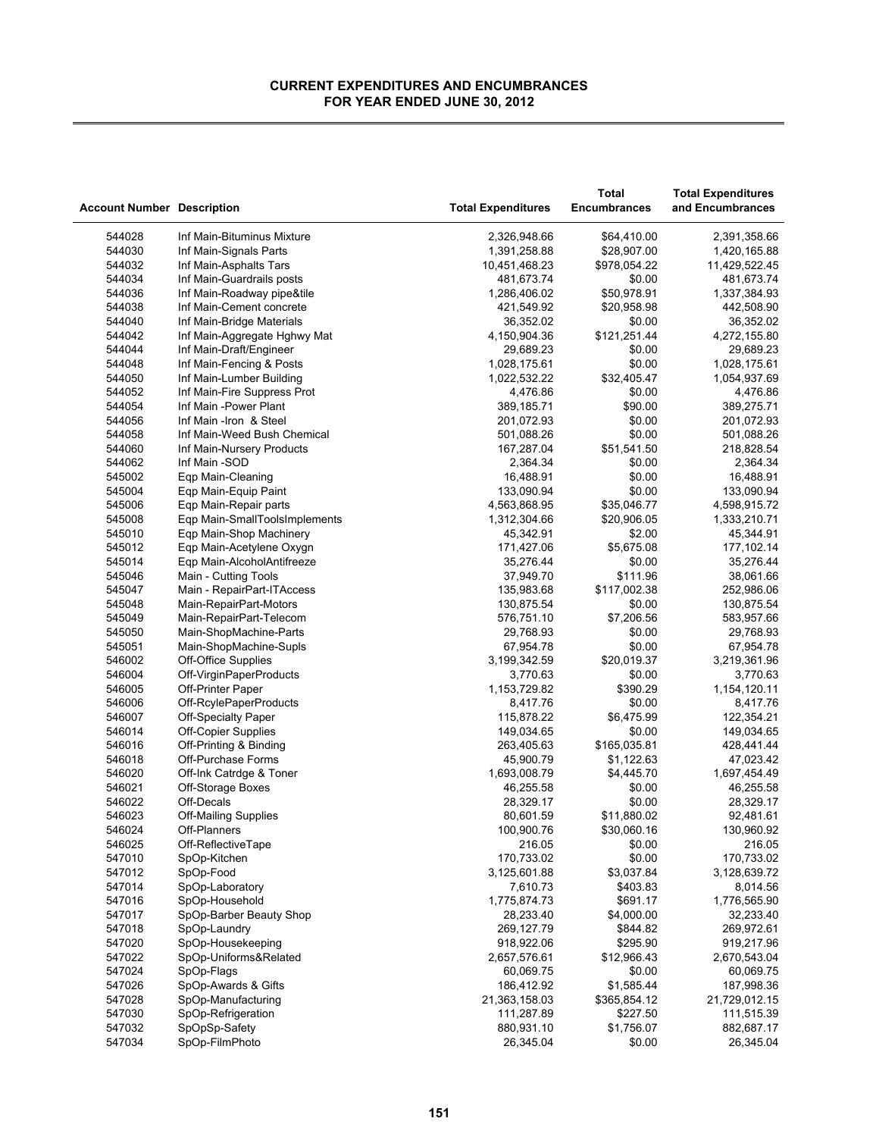|                                   |                                              |                           | <b>Total</b>        | <b>Total Expenditures</b> |
|-----------------------------------|----------------------------------------------|---------------------------|---------------------|---------------------------|
| <b>Account Number Description</b> |                                              | <b>Total Expenditures</b> | <b>Encumbrances</b> | and Encumbrances          |
|                                   |                                              |                           |                     |                           |
| 544028                            | Inf Main-Bituminus Mixture                   | 2,326,948.66              | \$64,410.00         | 2,391,358.66              |
| 544030                            | Inf Main-Signals Parts                       | 1,391,258.88              | \$28,907.00         | 1,420,165.88              |
| 544032                            | Inf Main-Asphalts Tars                       | 10,451,468.23             | \$978,054.22        | 11,429,522.45             |
| 544034                            | Inf Main-Guardrails posts                    | 481,673.74                | \$0.00              | 481,673.74                |
| 544036                            | Inf Main-Roadway pipe&tile                   | 1,286,406.02              | \$50,978.91         | 1,337,384.93              |
| 544038                            | Inf Main-Cement concrete                     | 421,549.92                | \$20,958.98         | 442,508.90                |
| 544040                            | Inf Main-Bridge Materials                    | 36,352.02                 | \$0.00              | 36,352.02                 |
| 544042                            | Inf Main-Aggregate Hghwy Mat                 | 4,150,904.36              | \$121,251.44        | 4,272,155.80              |
| 544044                            | Inf Main-Draft/Engineer                      | 29,689.23                 | \$0.00              | 29,689.23                 |
| 544048                            | Inf Main-Fencing & Posts                     | 1,028,175.61              | \$0.00              | 1,028,175.61              |
| 544050                            | Inf Main-Lumber Building                     | 1,022,532.22              | \$32,405.47         | 1,054,937.69              |
| 544052                            | Inf Main-Fire Suppress Prot                  | 4,476.86                  | \$0.00              | 4,476.86                  |
| 544054                            | Inf Main -Power Plant                        | 389,185.71                | \$90.00             | 389,275.71                |
| 544056                            | Inf Main -Iron & Steel                       | 201,072.93                | \$0.00              | 201,072.93                |
| 544058                            | Inf Main-Weed Bush Chemical                  | 501,088.26                | \$0.00              | 501,088.26                |
| 544060                            | Inf Main-Nursery Products                    | 167,287.04                | \$51,541.50         | 218,828.54                |
| 544062                            | Inf Main -SOD                                | 2,364.34                  | \$0.00              | 2,364.34                  |
| 545002                            | Eqp Main-Cleaning                            | 16,488.91                 | \$0.00              | 16,488.91                 |
| 545004                            | Eqp Main-Equip Paint                         | 133,090.94                | \$0.00              | 133,090.94                |
| 545006                            | Eqp Main-Repair parts                        | 4,563,868.95              | \$35,046.77         | 4,598,915.72              |
| 545008                            | Eqp Main-SmallToolsImplements                | 1,312,304.66              | \$20,906.05         | 1,333,210.71              |
| 545010                            | Eqp Main-Shop Machinery                      | 45,342.91                 | \$2.00              | 45,344.91                 |
| 545012                            | Eqp Main-Acetylene Oxygn                     | 171,427.06                | \$5,675.08          | 177,102.14                |
| 545014                            | Eqp Main-AlcoholAntifreeze                   | 35,276.44                 | \$0.00              | 35,276.44                 |
| 545046                            | Main - Cutting Tools                         | 37,949.70                 | \$111.96            | 38,061.66                 |
| 545047                            | Main - RepairPart-ITAccess                   | 135,983.68                | \$117,002.38        | 252,986.06                |
| 545048                            | Main-RepairPart-Motors                       | 130,875.54                | \$0.00              | 130,875.54                |
| 545049                            | Main-RepairPart-Telecom                      | 576,751.10                | \$7,206.56          | 583,957.66                |
| 545050                            | Main-ShopMachine-Parts                       | 29,768.93                 | \$0.00              | 29,768.93                 |
| 545051                            | Main-ShopMachine-Supls                       | 67,954.78                 | \$0.00              | 67,954.78                 |
| 546002                            | Off-Office Supplies                          | 3,199,342.59              | \$20,019.37         | 3,219,361.96              |
| 546004                            | Off-VirginPaperProducts                      | 3,770.63                  | \$0.00              | 3,770.63                  |
| 546005                            | Off-Printer Paper                            | 1,153,729.82              | \$390.29            | 1,154,120.11              |
| 546006                            | Off-RcylePaperProducts                       | 8,417.76                  | \$0.00              | 8,417.76                  |
| 546007                            |                                              | 115,878.22                | \$6,475.99          | 122,354.21                |
| 546014                            | <b>Off-Specialty Paper</b>                   |                           | \$0.00              |                           |
| 546016                            | <b>Off-Copier Supplies</b>                   | 149,034.65<br>263,405.63  | \$165,035.81        | 149,034.65                |
|                                   | Off-Printing & Binding<br>Off-Purchase Forms |                           |                     | 428,441.44                |
| 546018                            |                                              | 45,900.79                 | \$1,122.63          | 47,023.42                 |
| 546020                            | Off-Ink Catrdge & Toner                      | 1,693,008.79              | \$4,445.70          | 1,697,454.49              |
| 546021                            | Off-Storage Boxes                            | 46,255.58                 | \$0.00              | 46,255.58                 |
| 546022                            | Off-Decals                                   | 28,329.17                 | \$0.00              | 28,329.17                 |
| 546023                            | <b>Off-Mailing Supplies</b>                  | 80,601.59                 | \$11,880.02         | 92,481.61                 |
| 546024                            | Off-Planners                                 | 100,900.76                | \$30,060.16         | 130.960.92                |
| 546025                            | Off-ReflectiveTape                           | 216.05                    | \$0.00              | 216.05                    |
| 547010                            | SpOp-Kitchen                                 | 170,733.02                | \$0.00              | 170,733.02                |
| 547012                            | SpOp-Food                                    | 3,125,601.88              | \$3,037.84          | 3,128,639.72              |
| 547014                            | SpOp-Laboratory                              | 7,610.73                  | \$403.83            | 8,014.56                  |
| 547016                            | SpOp-Household                               | 1,775,874.73              | \$691.17            | 1,776,565.90              |
| 547017                            | SpOp-Barber Beauty Shop                      | 28,233.40                 | \$4,000.00          | 32,233.40                 |
| 547018                            | SpOp-Laundry                                 | 269,127.79                | \$844.82            | 269,972.61                |
| 547020                            | SpOp-Housekeeping                            | 918,922.06                | \$295.90            | 919,217.96                |
| 547022                            | SpOp-Uniforms&Related                        | 2,657,576.61              | \$12,966.43         | 2,670,543.04              |
| 547024                            | SpOp-Flags                                   | 60,069.75                 | \$0.00              | 60,069.75                 |
| 547026                            | SpOp-Awards & Gifts                          | 186,412.92                | \$1,585.44          | 187,998.36                |
| 547028                            | SpOp-Manufacturing                           | 21,363,158.03             | \$365,854.12        | 21,729,012.15             |
| 547030                            | SpOp-Refrigeration                           | 111,287.89                | \$227.50            | 111,515.39                |
| 547032                            | SpOpSp-Safety                                | 880,931.10                | \$1,756.07          | 882,687.17                |
| 547034                            | SpOp-FilmPhoto                               | 26,345.04                 | \$0.00              | 26,345.04                 |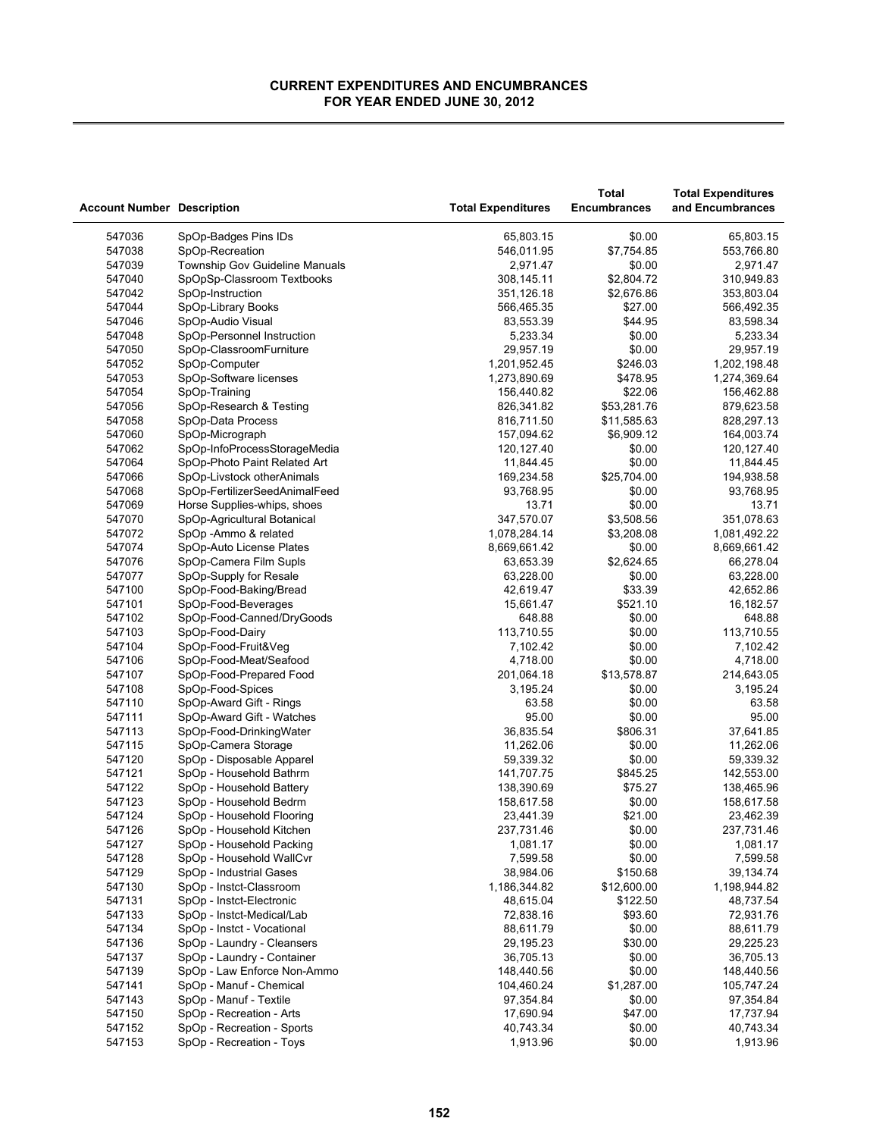| <b>Account Number Description</b> |                                                      | <b>Total Expenditures</b> | Total<br><b>Encumbrances</b> | <b>Total Expenditures</b><br>and Encumbrances |
|-----------------------------------|------------------------------------------------------|---------------------------|------------------------------|-----------------------------------------------|
|                                   |                                                      |                           |                              |                                               |
| 547036                            | SpOp-Badges Pins IDs                                 | 65,803.15                 | \$0.00                       | 65,803.15                                     |
| 547038                            | SpOp-Recreation                                      | 546,011.95                | \$7,754.85                   | 553,766.80                                    |
| 547039                            | Township Gov Guideline Manuals                       | 2,971.47                  | \$0.00                       | 2,971.47                                      |
| 547040                            | SpOpSp-Classroom Textbooks                           | 308,145.11                | \$2,804.72                   | 310,949.83                                    |
| 547042                            | SpOp-Instruction                                     | 351,126.18                | \$2,676.86                   | 353,803.04                                    |
| 547044                            | SpOp-Library Books                                   | 566,465.35                | \$27.00                      | 566,492.35                                    |
| 547046                            | SpOp-Audio Visual                                    | 83,553.39                 | \$44.95                      | 83,598.34                                     |
| 547048                            | SpOp-Personnel Instruction                           | 5,233.34                  | \$0.00                       | 5,233.34                                      |
| 547050                            | SpOp-ClassroomFurniture                              | 29,957.19                 | \$0.00                       | 29,957.19                                     |
| 547052                            | SpOp-Computer                                        | 1,201,952.45              | \$246.03                     | 1,202,198.48                                  |
| 547053                            | SpOp-Software licenses                               | 1,273,890.69              | \$478.95                     | 1,274,369.64                                  |
| 547054                            | SpOp-Training                                        | 156,440.82                | \$22.06                      | 156,462.88                                    |
| 547056                            | SpOp-Research & Testing                              | 826,341.82                | \$53,281.76                  | 879,623.58                                    |
| 547058                            | SpOp-Data Process                                    | 816,711.50                | \$11,585.63                  | 828,297.13                                    |
| 547060                            | SpOp-Micrograph                                      | 157,094.62                | \$6,909.12                   | 164,003.74                                    |
| 547062                            | SpOp-InfoProcessStorageMedia                         | 120,127.40                | \$0.00                       | 120, 127.40                                   |
| 547064                            | SpOp-Photo Paint Related Art                         | 11,844.45                 | \$0.00                       | 11,844.45                                     |
| 547066                            | SpOp-Livstock otherAnimals                           | 169,234.58                | \$25,704.00                  | 194,938.58                                    |
| 547068                            | SpOp-FertilizerSeedAnimalFeed                        | 93,768.95                 | \$0.00                       | 93,768.95                                     |
| 547069                            | Horse Supplies-whips, shoes                          | 13.71                     | \$0.00                       | 13.71                                         |
| 547070                            | SpOp-Agricultural Botanical                          | 347,570.07                | \$3,508.56                   | 351,078.63                                    |
| 547072                            | SpOp - Ammo & related                                | 1,078,284.14              | \$3,208.08                   | 1,081,492.22                                  |
| 547074                            | SpOp-Auto License Plates                             | 8,669,661.42              | \$0.00                       | 8,669,661.42                                  |
| 547076                            | SpOp-Camera Film Supls                               | 63,653.39                 | \$2,624.65                   | 66,278.04                                     |
| 547077                            | SpOp-Supply for Resale                               | 63,228.00                 | \$0.00                       | 63,228.00                                     |
| 547100                            | SpOp-Food-Baking/Bread                               | 42,619.47                 | \$33.39                      | 42,652.86                                     |
| 547101                            | SpOp-Food-Beverages                                  | 15,661.47                 | \$521.10                     | 16,182.57                                     |
| 547102                            | SpOp-Food-Canned/DryGoods                            | 648.88                    | \$0.00                       | 648.88                                        |
| 547103                            | SpOp-Food-Dairy                                      | 113,710.55                | \$0.00                       | 113,710.55                                    |
| 547104                            | SpOp-Food-Fruit&Veg                                  | 7,102.42                  | \$0.00                       | 7,102.42                                      |
| 547106                            | SpOp-Food-Meat/Seafood                               | 4,718.00                  | \$0.00                       | 4,718.00                                      |
| 547107                            | SpOp-Food-Prepared Food                              | 201,064.18                | \$13,578.87                  | 214,643.05                                    |
| 547108                            | SpOp-Food-Spices                                     | 3,195.24                  | \$0.00                       | 3,195.24                                      |
| 547110                            | SpOp-Award Gift - Rings                              | 63.58                     | \$0.00                       | 63.58                                         |
| 547111                            | SpOp-Award Gift - Watches                            | 95.00                     | \$0.00                       | 95.00                                         |
| 547113                            | SpOp-Food-DrinkingWater                              | 36,835.54                 | \$806.31                     | 37,641.85                                     |
| 547115<br>547120                  | SpOp-Camera Storage                                  | 11,262.06                 | \$0.00<br>\$0.00             | 11,262.06                                     |
| 547121                            | SpOp - Disposable Apparel<br>SpOp - Household Bathrm | 59,339.32<br>141,707.75   | \$845.25                     | 59,339.32<br>142,553.00                       |
| 547122                            |                                                      |                           | \$75.27                      |                                               |
| 547123                            | SpOp - Household Battery<br>SpOp - Household Bedrm   | 138,390.69<br>158,617.58  | \$0.00                       | 138,465.96<br>158,617.58                      |
| 547124                            | SpOp - Household Flooring                            | 23,441.39                 | \$21.00                      | 23,462.39                                     |
| 547126                            | SpOp - Household Kitchen                             | 237,731.46                | \$0.00                       | 237,731.46                                    |
| 547127                            | SpOp - Household Packing                             | 1,081.17                  | \$0.00                       | 1,081.17                                      |
| 547128                            | SpOp - Household WallCvr                             | 7,599.58                  | \$0.00                       | 7,599.58                                      |
| 547129                            | SpOp - Industrial Gases                              | 38,984.06                 | \$150.68                     | 39,134.74                                     |
| 547130                            | SpOp - Instct-Classroom                              | 1,186,344.82              | \$12,600.00                  | 1,198,944.82                                  |
| 547131                            | SpOp - Instct-Electronic                             | 48,615.04                 | \$122.50                     | 48,737.54                                     |
| 547133                            | SpOp - Instct-Medical/Lab                            | 72,838.16                 | \$93.60                      | 72,931.76                                     |
| 547134                            | SpOp - Instct - Vocational                           | 88,611.79                 | \$0.00                       | 88,611.79                                     |
| 547136                            | SpOp - Laundry - Cleansers                           | 29,195.23                 | \$30.00                      | 29,225.23                                     |
| 547137                            | SpOp - Laundry - Container                           | 36,705.13                 | \$0.00                       | 36,705.13                                     |
| 547139                            | SpOp - Law Enforce Non-Ammo                          | 148,440.56                | \$0.00                       | 148,440.56                                    |
| 547141                            | SpOp - Manuf - Chemical                              | 104,460.24                | \$1,287.00                   | 105,747.24                                    |
| 547143                            | SpOp - Manuf - Textile                               | 97,354.84                 | \$0.00                       | 97,354.84                                     |
| 547150                            | SpOp - Recreation - Arts                             | 17,690.94                 | \$47.00                      | 17,737.94                                     |
| 547152                            | SpOp - Recreation - Sports                           | 40,743.34                 | \$0.00                       | 40,743.34                                     |
| 547153                            | SpOp - Recreation - Toys                             | 1,913.96                  | \$0.00                       | 1,913.96                                      |
|                                   |                                                      |                           |                              |                                               |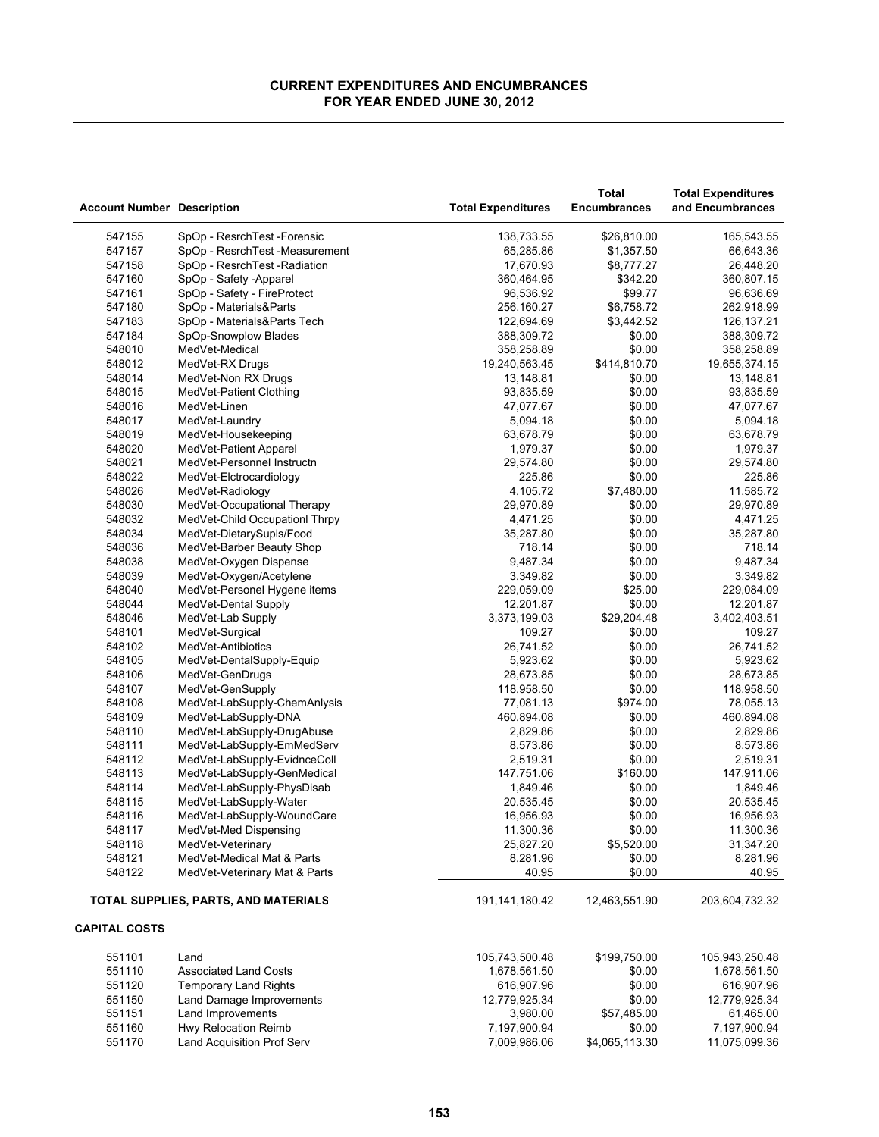à.

| <b>Account Number Description</b> |                                      | <b>Total Expenditures</b> | Total<br><b>Encumbrances</b> | <b>Total Expenditures</b><br>and Encumbrances |
|-----------------------------------|--------------------------------------|---------------------------|------------------------------|-----------------------------------------------|
| 547155                            | SpOp - ResrchTest - Forensic         | 138,733.55                | \$26,810.00                  | 165,543.55                                    |
| 547157                            | SpOp - ResrchTest -Measurement       | 65,285.86                 | \$1,357.50                   | 66,643.36                                     |
| 547158                            | SpOp - ResrchTest - Radiation        | 17,670.93                 | \$8,777.27                   | 26,448.20                                     |
| 547160                            | SpOp - Safety -Apparel               | 360,464.95                | \$342.20                     | 360,807.15                                    |
| 547161                            | SpOp - Safety - FireProtect          | 96,536.92                 | \$99.77                      | 96,636.69                                     |
| 547180                            | SpOp - Materials&Parts               | 256,160.27                | \$6,758.72                   | 262,918.99                                    |
| 547183                            | SpOp - Materials&Parts Tech          | 122,694.69                | \$3,442.52                   | 126, 137. 21                                  |
| 547184                            | SpOp-Snowplow Blades                 | 388,309.72                | \$0.00                       | 388,309.72                                    |
| 548010                            | MedVet-Medical                       | 358,258.89                | \$0.00                       | 358,258.89                                    |
| 548012                            | MedVet-RX Drugs                      | 19,240,563.45             | \$414,810.70                 | 19,655,374.15                                 |
| 548014                            | MedVet-Non RX Drugs                  | 13,148.81                 | \$0.00                       | 13,148.81                                     |
| 548015                            | MedVet-Patient Clothing              | 93,835.59                 | \$0.00                       | 93,835.59                                     |
| 548016                            | MedVet-Linen                         | 47,077.67                 | \$0.00                       | 47,077.67                                     |
| 548017                            | MedVet-Laundry                       | 5,094.18                  | \$0.00                       | 5,094.18                                      |
| 548019                            | MedVet-Housekeeping                  | 63,678.79                 | \$0.00                       | 63,678.79                                     |
| 548020                            | MedVet-Patient Apparel               | 1,979.37                  | \$0.00                       | 1,979.37                                      |
| 548021                            | MedVet-Personnel Instructn           | 29,574.80                 | \$0.00                       | 29,574.80                                     |
| 548022                            | MedVet-Elctrocardiology              | 225.86                    | \$0.00                       | 225.86                                        |
| 548026                            | MedVet-Radiology                     | 4,105.72                  | \$7,480.00                   | 11,585.72                                     |
| 548030                            | MedVet-Occupational Therapy          | 29,970.89                 | \$0.00                       | 29,970.89                                     |
| 548032                            | MedVet-Child Occupationl Thrpy       | 4,471.25                  | \$0.00                       | 4,471.25                                      |
| 548034                            | MedVet-DietarySupls/Food             | 35,287.80                 | \$0.00                       | 35,287.80                                     |
| 548036                            | MedVet-Barber Beauty Shop            | 718.14                    | \$0.00                       | 718.14                                        |
| 548038                            | MedVet-Oxygen Dispense               | 9,487.34                  | \$0.00                       | 9,487.34                                      |
| 548039                            | MedVet-Oxygen/Acetylene              | 3,349.82                  | \$0.00                       | 3,349.82                                      |
| 548040                            | MedVet-Personel Hygene items         | 229,059.09                | \$25.00                      | 229,084.09                                    |
| 548044                            | MedVet-Dental Supply                 | 12,201.87                 | \$0.00                       | 12,201.87                                     |
| 548046                            | MedVet-Lab Supply                    | 3,373,199.03              | \$29,204.48                  | 3,402,403.51                                  |
| 548101                            | MedVet-Surgical                      | 109.27                    | \$0.00                       | 109.27                                        |
| 548102                            | MedVet-Antibiotics                   | 26,741.52                 | \$0.00                       | 26,741.52                                     |
| 548105                            | MedVet-DentalSupply-Equip            | 5,923.62                  | \$0.00                       | 5,923.62                                      |
| 548106                            | MedVet-GenDrugs                      | 28,673.85                 | \$0.00                       | 28,673.85                                     |
| 548107                            | MedVet-GenSupply                     | 118,958.50                | \$0.00                       | 118,958.50                                    |
| 548108                            | MedVet-LabSupply-ChemAnlysis         | 77,081.13                 | \$974.00                     | 78,055.13                                     |
| 548109                            | MedVet-LabSupply-DNA                 | 460,894.08                | \$0.00                       | 460,894.08                                    |
| 548110                            | MedVet-LabSupply-DrugAbuse           | 2,829.86                  | \$0.00                       | 2,829.86                                      |
| 548111                            | MedVet-LabSupply-EmMedServ           | 8,573.86                  | \$0.00                       | 8,573.86                                      |
| 548112                            | MedVet-LabSupply-EvidnceColl         | 2,519.31                  | \$0.00                       | 2,519.31                                      |
| 548113                            | MedVet-LabSupply-GenMedical          | 147,751.06                | \$160.00                     | 147,911.06                                    |
| 548114                            | MedVet-LabSupply-PhysDisab           | 1,849.46                  | \$0.00                       | 1,849.46                                      |
| 548115                            | MedVet-LabSupply-Water               | 20,535.45                 | \$0.00                       | 20,535.45                                     |
| 548116                            | MedVet-LabSupply-WoundCare           | 16,956.93                 | \$0.00                       | 16,956.93                                     |
| 548117                            | MedVet-Med Dispensing                | 11,300.36                 | \$0.00                       | 11,300.36                                     |
| 548118                            | MedVet-Veterinary                    | 25,827.20                 | \$5,520.00                   | 31,347.20                                     |
| 548121                            | MedVet-Medical Mat & Parts           | 8,281.96                  | \$0.00                       | 8,281.96                                      |
| 548122                            | MedVet-Veterinary Mat & Parts        | 40.95                     | \$0.00                       | 40.95                                         |
|                                   |                                      |                           |                              |                                               |
|                                   | TOTAL SUPPLIES, PARTS, AND MATERIALS | 191, 141, 180. 42         | 12,463,551.90                | 203,604,732.32                                |
| <b>CAPITAL COSTS</b>              |                                      |                           |                              |                                               |
| 551101                            | Land                                 | 105,743,500.48            | \$199,750.00                 | 105,943,250.48                                |
| 551110                            | <b>Associated Land Costs</b>         | 1,678,561.50              | \$0.00                       | 1,678,561.50                                  |
| 551120                            | <b>Temporary Land Rights</b>         | 616,907.96                | \$0.00                       | 616,907.96                                    |
| 551150                            | Land Damage Improvements             | 12,779,925.34             | \$0.00                       | 12,779,925.34                                 |
| 551151                            | Land Improvements                    | 3,980.00                  | \$57,485.00                  | 61,465.00                                     |
| 551160                            | Hwy Relocation Reimb                 | 7,197,900.94              | \$0.00                       | 7,197,900.94                                  |
| 551170                            | Land Acquisition Prof Serv           | 7,009,986.06              | \$4,065,113.30               | 11,075,099.36                                 |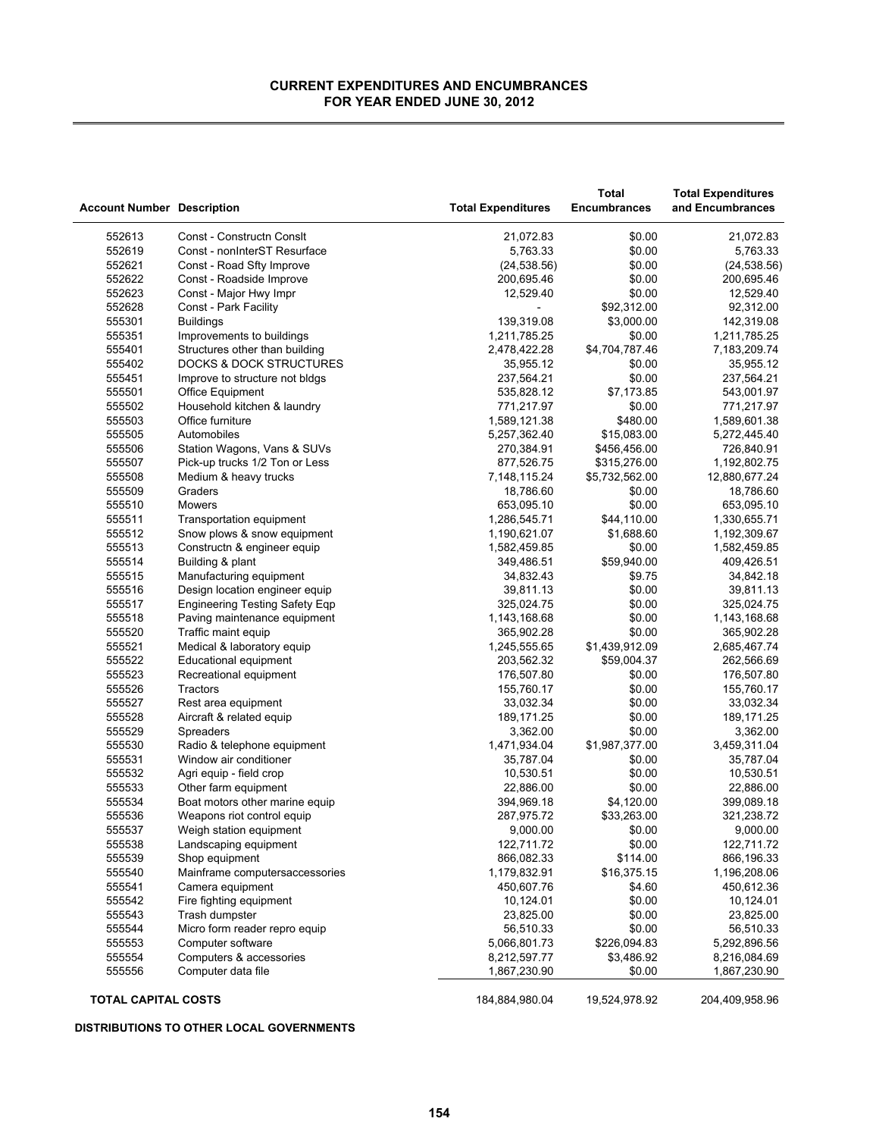| <b>Account Number Description</b> |                                                  | <b>Total Expenditures</b> | <b>Total</b><br><b>Encumbrances</b> | <b>Total Expenditures</b><br>and Encumbrances |
|-----------------------------------|--------------------------------------------------|---------------------------|-------------------------------------|-----------------------------------------------|
| 552613                            | Const - Constructn Consit                        | 21,072.83                 | \$0.00                              | 21,072.83                                     |
| 552619                            | Const - nonInterST Resurface                     | 5,763.33                  | \$0.00                              | 5,763.33                                      |
| 552621                            | Const - Road Sfty Improve                        | (24, 538.56)              | \$0.00                              | (24, 538.56)                                  |
| 552622                            | Const - Roadside Improve                         | 200,695.46                | \$0.00                              | 200,695.46                                    |
| 552623                            | Const - Major Hwy Impr                           | 12,529.40                 | \$0.00                              | 12,529.40                                     |
| 552628                            | Const - Park Facility                            |                           | \$92,312.00                         | 92,312.00                                     |
| 555301                            | <b>Buildings</b>                                 | 139,319.08                | \$3,000.00                          | 142,319.08                                    |
| 555351                            | Improvements to buildings                        | 1,211,785.25              | \$0.00                              | 1,211,785.25                                  |
| 555401                            | Structures other than building                   | 2,478,422.28              | \$4,704,787.46                      | 7,183,209.74                                  |
| 555402                            | <b>DOCKS &amp; DOCK STRUCTURES</b>               | 35,955.12                 | \$0.00                              | 35,955.12                                     |
| 555451                            | Improve to structure not bldgs                   | 237,564.21                | \$0.00                              | 237,564.21                                    |
| 555501                            | Office Equipment                                 | 535,828.12                | \$7,173.85                          | 543,001.97                                    |
| 555502                            | Household kitchen & laundry                      | 771,217.97                | \$0.00                              | 771,217.97                                    |
| 555503                            | Office furniture                                 | 1,589,121.38              | \$480.00                            | 1,589,601.38                                  |
| 555505                            | Automobiles                                      | 5,257,362.40              | \$15,083.00                         | 5,272,445.40                                  |
| 555506                            | Station Wagons, Vans & SUVs                      | 270,384.91                | \$456,456.00                        | 726,840.91                                    |
| 555507                            | Pick-up trucks 1/2 Ton or Less                   | 877,526.75                | \$315,276.00                        | 1,192,802.75                                  |
| 555508                            | Medium & heavy trucks                            | 7,148,115.24              | \$5,732,562.00                      | 12,880,677.24                                 |
| 555509                            | Graders                                          | 18,786.60                 | \$0.00                              | 18,786.60                                     |
| 555510                            | Mowers                                           | 653,095.10                | \$0.00                              | 653,095.10                                    |
| 555511                            | Transportation equipment                         | 1,286,545.71              | \$44,110.00                         | 1,330,655.71                                  |
| 555512                            | Snow plows & snow equipment                      | 1,190,621.07              | \$1,688.60                          | 1,192,309.67                                  |
| 555513                            | Constructn & engineer equip                      | 1,582,459.85              | \$0.00                              | 1,582,459.85                                  |
| 555514                            | Building & plant                                 | 349,486.51                | \$59,940.00                         | 409,426.51                                    |
| 555515                            | Manufacturing equipment                          | 34,832.43                 | \$9.75                              | 34,842.18                                     |
| 555516                            | Design location engineer equip                   | 39,811.13                 | \$0.00                              | 39,811.13                                     |
| 555517                            | <b>Engineering Testing Safety Eqp</b>            | 325,024.75                | \$0.00                              | 325,024.75                                    |
| 555518                            | Paving maintenance equipment                     | 1,143,168.68              | \$0.00                              | 1,143,168.68                                  |
| 555520                            | Traffic maint equip                              | 365,902.28                | \$0.00                              | 365,902.28                                    |
| 555521                            | Medical & laboratory equip                       | 1,245,555.65              | \$1,439,912.09                      | 2,685,467.74                                  |
| 555522                            | Educational equipment                            | 203,562.32                | \$59,004.37                         | 262,566.69                                    |
| 555523                            | Recreational equipment                           | 176,507.80                | \$0.00                              | 176,507.80                                    |
| 555526                            | Tractors                                         | 155,760.17                | \$0.00                              | 155,760.17                                    |
| 555527                            | Rest area equipment                              | 33,032.34                 | \$0.00                              | 33,032.34                                     |
| 555528                            | Aircraft & related equip                         | 189,171.25                | \$0.00                              | 189,171.25                                    |
| 555529                            | <b>Spreaders</b>                                 | 3,362.00                  | \$0.00                              | 3,362.00                                      |
| 555530                            | Radio & telephone equipment                      | 1,471,934.04              | \$1,987,377.00                      | 3,459,311.04                                  |
| 555531                            | Window air conditioner                           | 35,787.04                 | \$0.00                              | 35,787.04                                     |
| 555532                            | Agri equip - field crop                          | 10,530.51                 | \$0.00                              | 10,530.51                                     |
| 555533                            | Other farm equipment                             | 22,886.00                 | \$0.00                              | 22,886.00                                     |
| 555534<br>555536                  | Boat motors other marine equip                   | 394,969.18                | \$4,120.00                          | 399,089.18                                    |
| 555537                            | Weapons riot control equip                       | 287,975.72<br>9,000.00    | \$33,263.00                         | 321,238.72<br>9,000.00                        |
|                                   | Weigh station equipment                          |                           | \$0.00                              |                                               |
| 555538                            | Landscaping equipment                            | 122,711.72<br>866,082.33  | \$0.00                              | 122,711.72                                    |
| 555539<br>555540                  | Shop equipment<br>Mainframe computersaccessories | 1,179,832.91              | \$114.00<br>\$16,375.15             | 866,196.33<br>1,196,208.06                    |
| 555541                            | Camera equipment                                 | 450,607.76                | \$4.60                              | 450,612.36                                    |
| 555542                            | Fire fighting equipment                          | 10,124.01                 | \$0.00                              | 10,124.01                                     |
| 555543                            | Trash dumpster                                   | 23,825.00                 | \$0.00                              | 23,825.00                                     |
| 555544                            | Micro form reader repro equip                    | 56,510.33                 | \$0.00                              | 56,510.33                                     |
| 555553                            | Computer software                                | 5,066,801.73              | \$226,094.83                        | 5,292,896.56                                  |
| 555554                            | Computers & accessories                          | 8,212,597.77              | \$3,486.92                          | 8,216,084.69                                  |
| 555556                            | Computer data file                               | 1,867,230.90              | \$0.00                              | 1,867,230.90                                  |
|                                   |                                                  |                           |                                     |                                               |
| <b>TOTAL CAPITAL COSTS</b>        |                                                  | 184,884,980.04            | 19,524,978.92                       | 204,409,958.96                                |

### **DISTRIBUTIONS TO OTHER LOCAL GOVERNMENTS**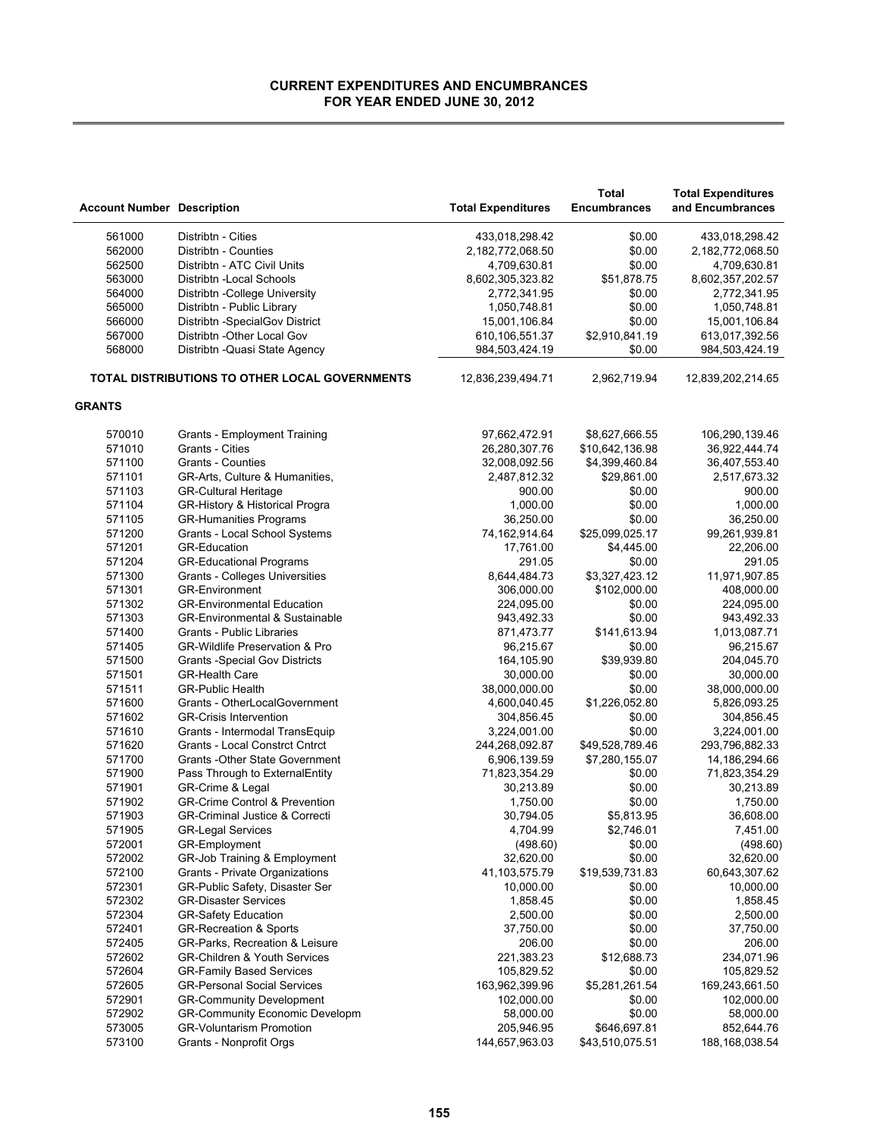|                                   |                                                |                           | <b>Total</b>        | <b>Total Expenditures</b> |
|-----------------------------------|------------------------------------------------|---------------------------|---------------------|---------------------------|
| <b>Account Number Description</b> |                                                | <b>Total Expenditures</b> | <b>Encumbrances</b> | and Encumbrances          |
| 561000                            | Distribtn - Cities                             | 433,018,298.42            | \$0.00              | 433,018,298.42            |
| 562000                            | Distribtn - Counties                           | 2,182,772,068.50          | \$0.00              | 2,182,772,068.50          |
| 562500                            | Distribtn - ATC Civil Units                    | 4,709,630.81              | \$0.00              | 4,709,630.81              |
| 563000                            | Distribtn - Local Schools                      | 8,602,305,323.82          | \$51,878.75         | 8,602,357,202.57          |
| 564000                            | Distribtn - College University                 | 2,772,341.95              | \$0.00              | 2,772,341.95              |
| 565000                            | Distribtn - Public Library                     | 1,050,748.81              | \$0.00              | 1,050,748.81              |
| 566000                            | Distribtn - Special Gov District               | 15,001,106.84             | \$0.00              | 15,001,106.84             |
| 567000                            | Distribtn - Other Local Gov                    | 610,106,551.37            | \$2,910,841.19      | 613,017,392.56            |
| 568000                            | Distribtn - Quasi State Agency                 | 984,503,424.19            | \$0.00              | 984,503,424.19            |
|                                   | TOTAL DISTRIBUTIONS TO OTHER LOCAL GOVERNMENTS | 12,836,239,494.71         | 2,962,719.94        | 12,839,202,214.65         |
| <b>GRANTS</b>                     |                                                |                           |                     |                           |
| 570010                            | Grants - Employment Training                   | 97,662,472.91             | \$8,627,666.55      | 106,290,139.46            |
| 571010                            | Grants - Cities                                | 26,280,307.76             | \$10,642,136.98     | 36,922,444.74             |
| 571100                            | <b>Grants - Counties</b>                       | 32,008,092.56             | \$4,399,460.84      | 36,407,553.40             |
| 571101                            | GR-Arts, Culture & Humanities,                 | 2,487,812.32              | \$29,861.00         | 2,517,673.32              |
| 571103                            | <b>GR-Cultural Heritage</b>                    | 900.00                    | \$0.00              | 900.00                    |
| 571104                            | GR-History & Historical Progra                 | 1,000.00                  | \$0.00              | 1,000.00                  |
| 571105                            | <b>GR-Humanities Programs</b>                  | 36,250.00                 | \$0.00              | 36,250.00                 |
| 571200                            | Grants - Local School Systems                  | 74,162,914.64             | \$25,099,025.17     | 99,261,939.81             |
| 571201                            | <b>GR-Education</b>                            | 17,761.00                 | \$4,445.00          | 22,206.00                 |
| 571204                            | <b>GR-Educational Programs</b>                 | 291.05                    | \$0.00              | 291.05                    |
| 571300                            | Grants - Colleges Universities                 | 8,644,484.73              | \$3,327,423.12      | 11,971,907.85             |
| 571301                            | <b>GR-Environment</b>                          | 306,000.00                | \$102,000.00        | 408,000.00                |
| 571302                            | <b>GR-Environmental Education</b>              | 224,095.00                | \$0.00              | 224,095.00                |
| 571303                            | <b>GR-Environmental &amp; Sustainable</b>      | 943,492.33                | \$0.00              | 943,492.33                |
| 571400                            | Grants - Public Libraries                      | 871,473.77                | \$141,613.94        | 1,013,087.71              |
| 571405                            | GR-Wildlife Preservation & Pro                 | 96,215.67                 | \$0.00              | 96,215.67                 |
| 571500                            | <b>Grants - Special Gov Districts</b>          | 164,105.90                | \$39,939.80         | 204,045.70                |
| 571501                            | <b>GR-Health Care</b>                          | 30,000.00                 | \$0.00              | 30,000.00                 |
| 571511                            | <b>GR-Public Health</b>                        | 38,000,000.00             | \$0.00              | 38,000,000.00             |
| 571600                            | Grants - OtherLocalGovernment                  | 4,600,040.45              | \$1,226,052.80      | 5,826,093.25              |
| 571602                            | <b>GR-Crisis Intervention</b>                  | 304,856.45                | \$0.00              | 304,856.45                |
| 571610                            | Grants - Intermodal TransEquip                 | 3,224,001.00              | \$0.00              | 3,224,001.00              |
| 571620                            | <b>Grants - Local Constrct Cntrct</b>          | 244,268,092.87            | \$49,528,789.46     | 293,796,882.33            |
| 571700                            | <b>Grants - Other State Government</b>         | 6,906,139.59              | \$7,280,155.07      | 14, 186, 294. 66          |
| 571900                            | Pass Through to ExternalEntity                 | 71,823,354.29             | \$0.00              | 71,823,354.29             |
| 571901                            | GR-Crime & Legal                               | 30,213.89                 | \$0.00              | 30,213.89                 |
| 571902                            | <b>GR-Crime Control &amp; Prevention</b>       | 1,750.00                  | \$0.00              | 1,750.00                  |
| 571903                            | <b>GR-Criminal Justice &amp; Correcti</b>      | 30,794.05                 | \$5,813.95          | 36,608.00                 |
| 571905                            | <b>GR-Legal Services</b>                       | 4,704.99                  | \$2,746.01          | 7,451.00                  |
| 572001                            | GR-Employment                                  | (498.60)                  | \$0.00              | (498.60)                  |
| 572002                            | GR-Job Training & Employment                   | 32,620.00                 | \$0.00              | 32,620.00                 |
| 572100                            | Grants - Private Organizations                 | 41,103,575.79             | \$19,539,731.83     | 60,643,307.62             |
| 572301                            | GR-Public Safety, Disaster Ser                 | 10,000.00                 | \$0.00              | 10,000.00                 |
| 572302                            | <b>GR-Disaster Services</b>                    | 1,858.45                  | \$0.00              | 1,858.45                  |
| 572304                            | <b>GR-Safety Education</b>                     | 2,500.00                  | \$0.00              | 2,500.00                  |
| 572401                            | <b>GR-Recreation &amp; Sports</b>              | 37,750.00                 | \$0.00              | 37,750.00                 |
| 572405                            | GR-Parks, Recreation & Leisure                 | 206.00                    | \$0.00              | 206.00                    |
| 572602                            | <b>GR-Children &amp; Youth Services</b>        | 221,383.23                | \$12,688.73         | 234,071.96                |
| 572604                            | GR-Family Based Services                       | 105,829.52                | \$0.00              | 105,829.52                |
| 572605                            | <b>GR-Personal Social Services</b>             | 163,962,399.96            | \$5,281,261.54      | 169,243,661.50            |
| 572901                            | <b>GR-Community Development</b>                | 102,000.00                | \$0.00              | 102,000.00                |
| 572902                            | <b>GR-Community Economic Developm</b>          | 58,000.00                 | \$0.00              | 58,000.00                 |
| 573005                            | <b>GR-Voluntarism Promotion</b>                | 205,946.95                | \$646,697.81        | 852,644.76                |
| 573100                            | Grants - Nonprofit Orgs                        | 144,657,963.03            | \$43,510,075.51     | 188, 168, 038.54          |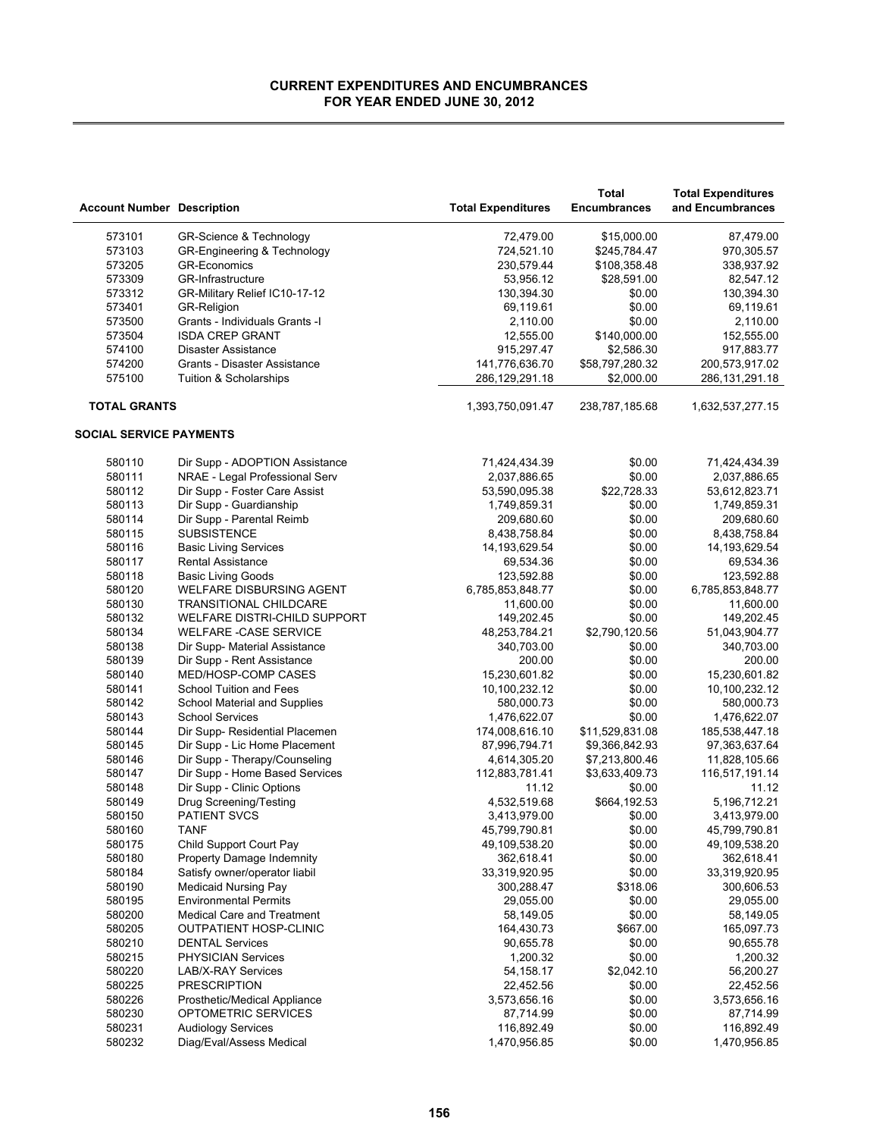|                                   |                                   |                                  | <b>Total</b>                  | <b>Total Expenditures</b>           |
|-----------------------------------|-----------------------------------|----------------------------------|-------------------------------|-------------------------------------|
| <b>Account Number Description</b> |                                   | <b>Total Expenditures</b>        | <b>Encumbrances</b>           | and Encumbrances                    |
| 573101                            | GR-Science & Technology           | 72,479.00                        | \$15,000.00                   | 87,479.00                           |
| 573103                            | GR-Engineering & Technology       | 724,521.10                       | \$245,784.47                  | 970,305.57                          |
| 573205                            | <b>GR-Economics</b>               | 230,579.44                       | \$108,358.48                  | 338,937.92                          |
| 573309                            | <b>GR-Infrastructure</b>          | 53,956.12                        | \$28,591.00                   | 82,547.12                           |
| 573312                            | GR-Military Relief IC10-17-12     | 130,394.30                       | \$0.00                        | 130,394.30                          |
| 573401                            | <b>GR-Religion</b>                | 69,119.61                        | \$0.00                        | 69,119.61                           |
| 573500                            | Grants - Individuals Grants -I    | 2,110.00                         | \$0.00                        | 2,110.00                            |
| 573504                            | <b>ISDA CREP GRANT</b>            | 12,555.00                        | \$140,000.00                  | 152,555.00                          |
|                                   | Disaster Assistance               |                                  |                               |                                     |
| 574100                            | Grants - Disaster Assistance      | 915,297.47                       | \$2,586.30<br>\$58,797,280.32 | 917,883.77                          |
| 574200<br>575100                  | Tuition & Scholarships            | 141,776,636.70<br>286,129,291.18 | \$2,000.00                    | 200,573,917.02<br>286, 131, 291. 18 |
| <b>TOTAL GRANTS</b>               |                                   | 1,393,750,091.47                 | 238,787,185.68                | 1,632,537,277.15                    |
|                                   |                                   |                                  |                               |                                     |
| <b>SOCIAL SERVICE PAYMENTS</b>    |                                   |                                  |                               |                                     |
| 580110                            | Dir Supp - ADOPTION Assistance    | 71,424,434.39                    | \$0.00                        | 71,424,434.39                       |
| 580111                            | NRAE - Legal Professional Serv    | 2,037,886.65                     | \$0.00                        | 2,037,886.65                        |
| 580112                            | Dir Supp - Foster Care Assist     | 53,590,095.38                    | \$22,728.33                   | 53,612,823.71                       |
| 580113                            | Dir Supp - Guardianship           | 1,749,859.31                     | \$0.00                        | 1,749,859.31                        |
| 580114                            | Dir Supp - Parental Reimb         | 209,680.60                       | \$0.00                        | 209,680.60                          |
| 580115                            | <b>SUBSISTENCE</b>                | 8,438,758.84                     | \$0.00                        | 8,438,758.84                        |
| 580116                            | <b>Basic Living Services</b>      | 14, 193, 629. 54                 | \$0.00                        | 14, 193, 629.54                     |
| 580117                            | <b>Rental Assistance</b>          | 69,534.36                        | \$0.00                        | 69,534.36                           |
| 580118                            | <b>Basic Living Goods</b>         | 123,592.88                       | \$0.00                        | 123,592.88                          |
| 580120                            | WELFARE DISBURSING AGENT          | 6,785,853,848.77                 | \$0.00                        | 6,785,853,848.77                    |
| 580130                            | <b>TRANSITIONAL CHILDCARE</b>     | 11,600.00                        | \$0.00                        | 11,600.00                           |
| 580132                            | WELFARE DISTRI-CHILD SUPPORT      | 149,202.45                       | \$0.00                        | 149,202.45                          |
| 580134                            | <b>WELFARE -CASE SERVICE</b>      | 48,253,784.21                    | \$2,790,120.56                | 51,043,904.77                       |
| 580138                            | Dir Supp- Material Assistance     | 340,703.00                       | \$0.00                        | 340,703.00                          |
| 580139                            | Dir Supp - Rent Assistance        | 200.00                           | \$0.00                        | 200.00                              |
| 580140                            | MED/HOSP-COMP CASES               | 15,230,601.82                    | \$0.00                        | 15,230,601.82                       |
| 580141                            | School Tuition and Fees           |                                  | \$0.00                        | 10,100,232.12                       |
|                                   |                                   | 10,100,232.12                    | \$0.00                        |                                     |
| 580142                            | School Material and Supplies      | 580,000.73                       |                               | 580,000.73                          |
| 580143                            | <b>School Services</b>            | 1,476,622.07                     | \$0.00                        | 1,476,622.07                        |
| 580144                            | Dir Supp- Residential Placemen    | 174,008,616.10                   | \$11,529,831.08               | 185,538,447.18                      |
| 580145                            | Dir Supp - Lic Home Placement     | 87,996,794.71                    | \$9,366,842.93                | 97,363,637.64                       |
| 580146                            | Dir Supp - Therapy/Counseling     | 4,614,305.20                     | \$7,213,800.46                | 11,828,105.66                       |
| 580147                            | Dir Supp - Home Based Services    | 112,883,781.41                   | \$3,633,409.73                | 116,517,191.14                      |
| 580148                            | Dir Supp - Clinic Options         | 11.12                            | \$0.00                        | 11.12                               |
| 580149                            | Drug Screening/Testing            | 4,532,519.68                     | \$664,192.53                  | 5,196,712.21                        |
| 580150                            | <b>PATIENT SVCS</b>               | 3,413,979.00                     | \$0.00                        | 3,413,979.00                        |
| 580160                            | <b>TANF</b>                       | 45,799,790.81                    | \$0.00                        | 45,799,790.81                       |
| 580175                            | Child Support Court Pay           | 49,109,538.20                    | \$0.00                        | 49,109,538.20                       |
| 580180                            | Property Damage Indemnity         | 362,618.41                       | \$0.00                        | 362,618.41                          |
| 580184                            | Satisfy owner/operator liabil     | 33,319,920.95                    | \$0.00                        | 33,319,920.95                       |
| 580190                            | <b>Medicaid Nursing Pay</b>       | 300,288.47                       | \$318.06                      | 300,606.53                          |
| 580195                            | <b>Environmental Permits</b>      | 29,055.00                        | \$0.00                        | 29,055.00                           |
| 580200                            | <b>Medical Care and Treatment</b> | 58,149.05                        | \$0.00                        | 58,149.05                           |
| 580205                            | OUTPATIENT HOSP-CLINIC            | 164,430.73                       | \$667.00                      | 165,097.73                          |
| 580210                            | <b>DENTAL Services</b>            | 90,655.78                        | \$0.00                        | 90,655.78                           |
| 580215                            | <b>PHYSICIAN Services</b>         | 1,200.32                         | \$0.00                        | 1,200.32                            |
| 580220                            | <b>LAB/X-RAY Services</b>         | 54,158.17                        | \$2,042.10                    | 56,200.27                           |
| 580225                            | <b>PRESCRIPTION</b>               | 22,452.56                        | \$0.00                        | 22,452.56                           |
| 580226                            | Prosthetic/Medical Appliance      | 3,573,656.16                     | \$0.00                        | 3,573,656.16                        |
| 580230                            | OPTOMETRIC SERVICES               | 87,714.99                        | \$0.00                        | 87,714.99                           |
| 580231                            | <b>Audiology Services</b>         | 116,892.49                       | \$0.00                        | 116,892.49                          |
| 580232                            | Diag/Eval/Assess Medical          | 1,470,956.85                     | \$0.00                        | 1,470,956.85                        |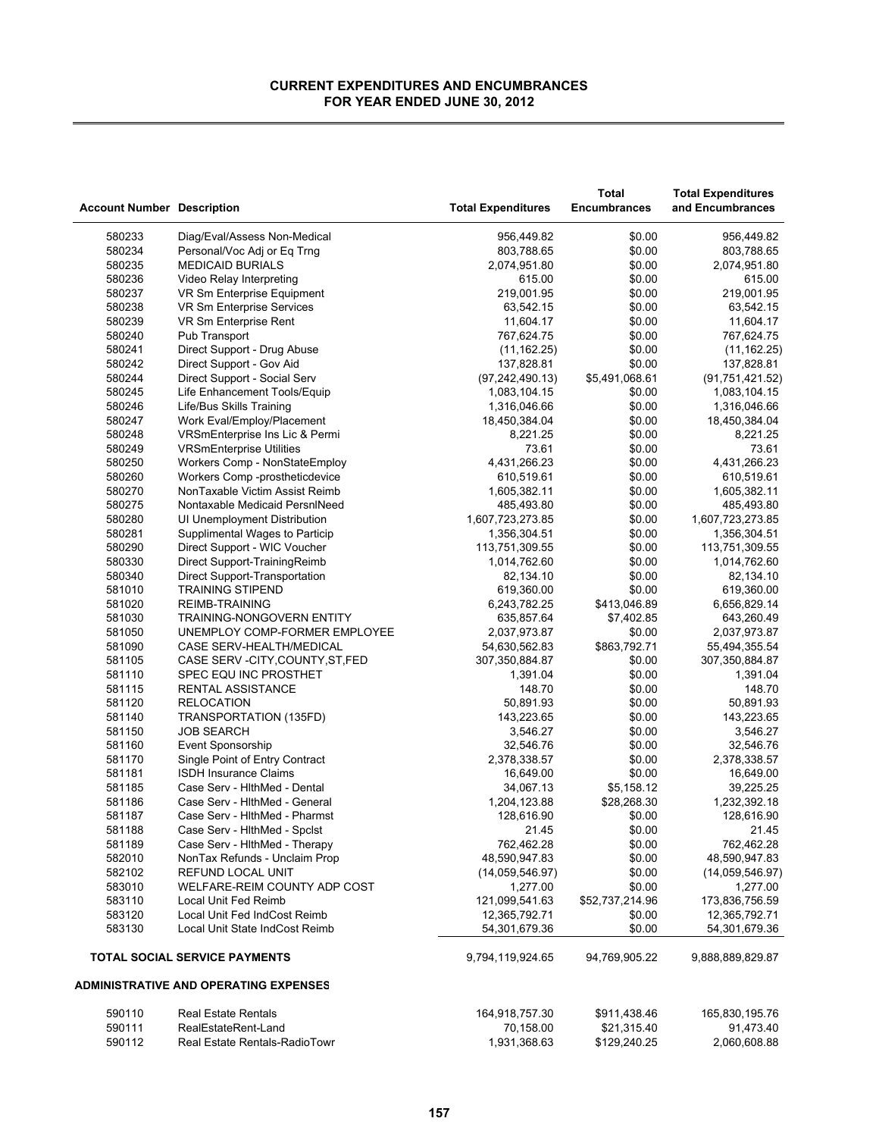| <b>Account Number Description</b> |                                              | <b>Total Expenditures</b> | Total<br><b>Encumbrances</b> | <b>Total Expenditures</b><br>and Encumbrances |
|-----------------------------------|----------------------------------------------|---------------------------|------------------------------|-----------------------------------------------|
| 580233                            | Diag/Eval/Assess Non-Medical                 | 956,449.82                | \$0.00                       | 956,449.82                                    |
| 580234                            | Personal/Voc Adj or Eq Trng                  | 803,788.65                | \$0.00                       | 803,788.65                                    |
| 580235                            | <b>MEDICAID BURIALS</b>                      | 2,074,951.80              | \$0.00                       | 2,074,951.80                                  |
| 580236                            | Video Relay Interpreting                     | 615.00                    | \$0.00                       | 615.00                                        |
| 580237                            | VR Sm Enterprise Equipment                   | 219,001.95                | \$0.00                       | 219,001.95                                    |
| 580238                            | VR Sm Enterprise Services                    | 63,542.15                 | \$0.00                       | 63,542.15                                     |
| 580239                            | VR Sm Enterprise Rent                        | 11,604.17                 | \$0.00                       | 11,604.17                                     |
| 580240                            | Pub Transport                                | 767,624.75                | \$0.00                       | 767,624.75                                    |
| 580241                            | Direct Support - Drug Abuse                  | (11, 162.25)              | \$0.00                       | (11, 162.25)                                  |
| 580242                            | Direct Support - Gov Aid                     | 137,828.81                | \$0.00                       | 137,828.81                                    |
| 580244                            | Direct Support - Social Serv                 | (97, 242, 490.13)         | \$5,491,068.61               | (91, 751, 421.52)                             |
| 580245                            | Life Enhancement Tools/Equip                 | 1,083,104.15              | \$0.00                       | 1,083,104.15                                  |
| 580246                            | Life/Bus Skills Training                     | 1,316,046.66              | \$0.00                       | 1,316,046.66                                  |
| 580247                            | Work Eval/Employ/Placement                   | 18,450,384.04             | \$0.00                       | 18,450,384.04                                 |
| 580248                            | VRSmEnterprise Ins Lic & Permi               | 8,221.25                  | \$0.00                       | 8,221.25                                      |
| 580249                            | <b>VRSmEnterprise Utilities</b>              | 73.61                     | \$0.00                       | 73.61                                         |
| 580250                            | Workers Comp - NonStateEmploy                | 4,431,266.23              | \$0.00                       | 4,431,266.23                                  |
| 580260                            | Workers Comp -prostheticdevice               | 610,519.61                | \$0.00                       | 610,519.61                                    |
| 580270                            | NonTaxable Victim Assist Reimb               | 1,605,382.11              | \$0.00                       | 1,605,382.11                                  |
| 580275                            | Nontaxable Medicaid PersnINeed               | 485,493.80                | \$0.00                       | 485,493.80                                    |
| 580280                            | UI Unemployment Distribution                 | 1,607,723,273.85          | \$0.00                       | 1,607,723,273.85                              |
| 580281                            | Supplimental Wages to Particip               | 1,356,304.51              | \$0.00                       | 1,356,304.51                                  |
| 580290                            | Direct Support - WIC Voucher                 | 113,751,309.55            | \$0.00                       | 113,751,309.55                                |
| 580330                            | Direct Support-TrainingReimb                 | 1,014,762.60              | \$0.00                       | 1,014,762.60                                  |
| 580340                            | Direct Support-Transportation                | 82,134.10                 | \$0.00                       | 82,134.10                                     |
| 581010                            | <b>TRAINING STIPEND</b>                      | 619,360.00                | \$0.00                       | 619,360.00                                    |
| 581020                            | <b>REIMB-TRAINING</b>                        | 6,243,782.25              | \$413,046.89                 | 6,656,829.14                                  |
| 581030                            | <b>TRAINING-NONGOVERN ENTITY</b>             | 635,857.64                | \$7,402.85                   | 643,260.49                                    |
| 581050                            | UNEMPLOY COMP-FORMER EMPLOYEE                | 2,037,973.87              | \$0.00                       | 2,037,973.87                                  |
| 581090                            | CASE SERV-HEALTH/MEDICAL                     | 54,630,562.83             | \$863,792.71                 | 55,494,355.54                                 |
| 581105                            | CASE SERV - CITY, COUNTY, ST, FED            | 307,350,884.87            | \$0.00                       | 307,350,884.87                                |
| 581110                            | SPEC EQUINC PROSTHET                         | 1,391.04                  | \$0.00                       | 1,391.04                                      |
| 581115                            | RENTAL ASSISTANCE                            | 148.70                    | \$0.00                       | 148.70                                        |
| 581120                            | <b>RELOCATION</b>                            | 50,891.93                 | \$0.00                       | 50,891.93                                     |
| 581140                            | TRANSPORTATION (135FD)                       | 143,223.65                | \$0.00                       | 143,223.65                                    |
| 581150                            | <b>JOB SEARCH</b>                            | 3,546.27                  | \$0.00                       | 3,546.27                                      |
| 581160                            | Event Sponsorship                            | 32,546.76                 | \$0.00                       | 32,546.76                                     |
| 581170                            | Single Point of Entry Contract               | 2,378,338.57              | \$0.00                       | 2,378,338.57                                  |
| 581181                            | <b>ISDH Insurance Claims</b>                 | 16,649.00                 | \$0.00                       | 16,649.00                                     |
| 581185                            | Case Serv - HithMed - Dental                 | 34,067.13                 | \$5,158.12                   | 39,225.25                                     |
| 581186                            | Case Serv - HithMed - General                | 1,204,123.88              | \$28,268.30                  | 1,232,392.18                                  |
| 581187                            | Case Serv - HithMed - Pharmst                | 128,616.90                | \$0.00                       | 128,616.90                                    |
| 581188                            | Case Serv - HithMed - Spcist                 | 21.45                     | \$0.00                       | 21.45                                         |
| 581189                            | Case Serv - HithMed - Therapy                | 762,462.28                | \$0.00                       | 762,462.28                                    |
| 582010                            | NonTax Refunds - Unclaim Prop                | 48,590,947.83             | \$0.00                       | 48,590,947.83                                 |
| 582102                            | REFUND LOCAL UNIT                            | (14,059,546.97)           | \$0.00                       | (14.059.546.97)                               |
| 583010                            | WELFARE-REIM COUNTY ADP COST                 | 1,277.00                  | \$0.00                       | 1,277.00                                      |
| 583110                            | Local Unit Fed Reimb                         | 121,099,541.63            | \$52,737,214.96              | 173,836,756.59                                |
| 583120                            | Local Unit Fed IndCost Reimb                 | 12,365,792.71             | \$0.00                       | 12,365,792.71                                 |
| 583130                            | Local Unit State IndCost Reimb               | 54,301,679.36             | \$0.00                       | 54,301,679.36                                 |
|                                   | <b>TOTAL SOCIAL SERVICE PAYMENTS</b>         | 9,794,119,924.65          | 94,769,905.22                | 9,888,889,829.87                              |
|                                   | <b>ADMINISTRATIVE AND OPERATING EXPENSES</b> |                           |                              |                                               |
| 590110                            | <b>Real Estate Rentals</b>                   | 164,918,757.30            | \$911,438.46                 | 165,830,195.76                                |
| 590111                            | RealEstateRent-Land                          | 70,158.00                 | \$21,315.40                  | 91,473.40                                     |
| 590112                            | Real Estate Rentals-RadioTowr                | 1,931,368.63              | \$129,240.25                 | 2,060,608.88                                  |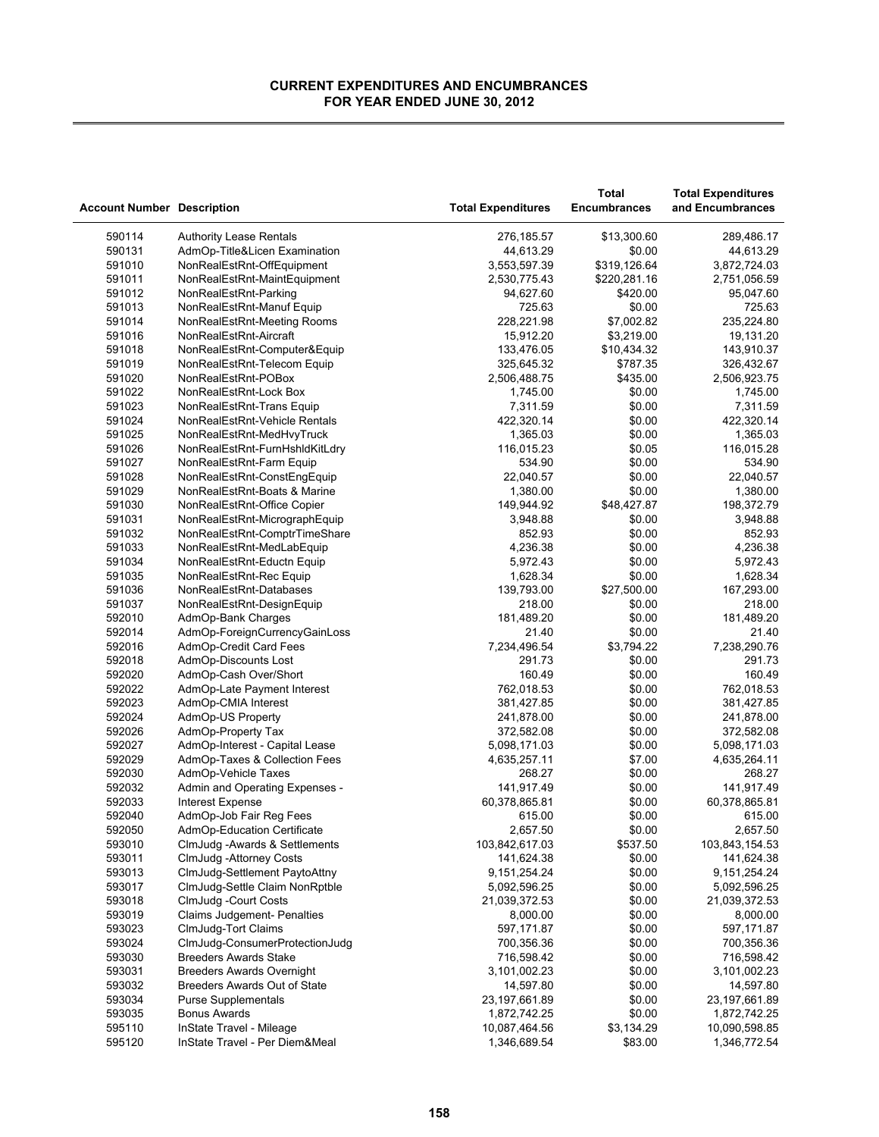| <b>Account Number Description</b> |                                    | <b>Total Expenditures</b> | <b>Total</b><br><b>Encumbrances</b> | <b>Total Expenditures</b><br>and Encumbrances |
|-----------------------------------|------------------------------------|---------------------------|-------------------------------------|-----------------------------------------------|
| 590114                            | <b>Authority Lease Rentals</b>     | 276,185.57                | \$13,300.60                         | 289,486.17                                    |
| 590131                            | AdmOp-Title&Licen Examination      | 44,613.29                 | \$0.00                              | 44,613.29                                     |
| 591010                            | NonRealEstRnt-OffEquipment         | 3,553,597.39              | \$319,126.64                        | 3,872,724.03                                  |
| 591011                            | NonRealEstRnt-MaintEquipment       | 2,530,775.43              | \$220,281.16                        | 2,751,056.59                                  |
| 591012                            | NonRealEstRnt-Parking              | 94,627.60                 | \$420.00                            | 95,047.60                                     |
| 591013                            | NonRealEstRnt-Manuf Equip          | 725.63                    | \$0.00                              | 725.63                                        |
| 591014                            | NonRealEstRnt-Meeting Rooms        | 228,221.98                | \$7,002.82                          | 235,224.80                                    |
| 591016                            | NonRealEstRnt-Aircraft             | 15,912.20                 | \$3,219.00                          | 19,131.20                                     |
| 591018                            | NonRealEstRnt-Computer&Equip       | 133,476.05                | \$10,434.32                         | 143,910.37                                    |
| 591019                            | NonRealEstRnt-Telecom Equip        | 325,645.32                | \$787.35                            | 326,432.67                                    |
| 591020                            | NonRealEstRnt-POBox                | 2,506,488.75              | \$435.00                            | 2,506,923.75                                  |
| 591022                            | NonRealEstRnt-Lock Box             | 1,745.00                  | \$0.00                              | 1,745.00                                      |
| 591023                            | NonRealEstRnt-Trans Equip          | 7,311.59                  | \$0.00                              | 7,311.59                                      |
| 591024                            | NonRealEstRnt-Vehicle Rentals      | 422,320.14                | \$0.00                              | 422,320.14                                    |
| 591025                            | NonRealEstRnt-MedHvyTruck          | 1,365.03                  | \$0.00                              | 1,365.03                                      |
| 591026                            | NonRealEstRnt-FurnHshldKitLdry     | 116,015.23                | \$0.05                              | 116,015.28                                    |
| 591027                            | NonRealEstRnt-Farm Equip           | 534.90                    | \$0.00                              | 534.90                                        |
| 591028                            | NonRealEstRnt-ConstEngEquip        | 22,040.57                 | \$0.00                              | 22,040.57                                     |
| 591029                            | NonRealEstRnt-Boats & Marine       | 1,380.00                  | \$0.00                              | 1,380.00                                      |
| 591030                            | NonRealEstRnt-Office Copier        | 149,944.92                | \$48,427.87                         | 198,372.79                                    |
| 591031                            | NonRealEstRnt-MicrographEquip      | 3,948.88                  | \$0.00                              | 3,948.88                                      |
| 591032                            | NonRealEstRnt-ComptrTimeShare      | 852.93                    | \$0.00                              | 852.93                                        |
| 591033                            | NonRealEstRnt-MedLabEquip          | 4,236.38                  | \$0.00                              | 4,236.38                                      |
| 591034                            | NonRealEstRnt-Eductn Equip         | 5,972.43                  | \$0.00                              | 5,972.43                                      |
| 591035                            | NonRealEstRnt-Rec Equip            | 1,628.34                  | \$0.00                              | 1,628.34                                      |
| 591036                            | NonRealEstRnt-Databases            | 139,793.00                | \$27,500.00                         | 167,293.00                                    |
| 591037                            | NonRealEstRnt-DesignEquip          | 218.00                    | \$0.00                              | 218.00                                        |
| 592010                            | AdmOp-Bank Charges                 | 181,489.20                | \$0.00                              | 181,489.20                                    |
| 592014                            | AdmOp-ForeignCurrencyGainLoss      | 21.40                     | \$0.00                              | 21.40                                         |
| 592016                            | AdmOp-Credit Card Fees             | 7,234,496.54              | \$3,794.22                          | 7,238,290.76                                  |
| 592018                            | AdmOp-Discounts Lost               | 291.73                    | \$0.00                              | 291.73                                        |
| 592020                            | AdmOp-Cash Over/Short              | 160.49                    | \$0.00                              | 160.49                                        |
| 592022                            | AdmOp-Late Payment Interest        | 762,018.53                | \$0.00                              | 762,018.53                                    |
| 592023                            | AdmOp-CMIA Interest                | 381,427.85                | \$0.00                              | 381,427.85                                    |
| 592024                            | AdmOp-US Property                  | 241,878.00                | \$0.00                              | 241,878.00                                    |
| 592026                            | AdmOp-Property Tax                 | 372,582.08                | \$0.00                              | 372,582.08                                    |
| 592027                            | AdmOp-Interest - Capital Lease     | 5,098,171.03              | \$0.00                              | 5,098,171.03                                  |
| 592029                            | AdmOp-Taxes & Collection Fees      | 4,635,257.11              | \$7.00                              | 4,635,264.11                                  |
| 592030                            | AdmOp-Vehicle Taxes                | 268.27                    | \$0.00                              | 268.27                                        |
| 592032                            | Admin and Operating Expenses -     | 141,917.49                | \$0.00                              | 141,917.49                                    |
| 592033                            | <b>Interest Expense</b>            | 60,378,865.81             | \$0.00                              | 60,378,865.81                                 |
| 592040                            | AdmOp-Job Fair Reg Fees            | 615.00                    | \$0.00                              | 615.00                                        |
| 592050                            | AdmOp-Education Certificate        | 2,657.50                  | \$0.00                              | 2,657.50                                      |
| 593010                            | ClmJudg - Awards & Settlements     | 103,842,617.03            | \$537.50                            | 103,843,154.53                                |
| 593011                            | ClmJudg - Attorney Costs           | 141,624.38                | \$0.00                              | 141,624.38                                    |
| 593013                            | ClmJudg-Settlement PaytoAttny      | 9,151,254.24              | \$0.00                              | 9, 151, 254. 24                               |
| 593017                            | ClmJudg-Settle Claim NonRptble     | 5,092,596.25              | \$0.00                              | 5,092,596.25                                  |
| 593018                            | ClmJudg -Court Costs               | 21,039,372.53             | \$0.00                              | 21,039,372.53                                 |
| 593019                            | <b>Claims Judgement- Penalties</b> | 8,000.00                  | \$0.00                              | 8,000.00                                      |
| 593023                            | ClmJudg-Tort Claims                | 597,171.87                | \$0.00                              | 597,171.87                                    |
| 593024                            | ClmJudg-ConsumerProtectionJudg     | 700,356.36                | \$0.00                              | 700,356.36                                    |
| 593030                            | <b>Breeders Awards Stake</b>       | 716,598.42                | \$0.00                              | 716,598.42                                    |
| 593031                            | <b>Breeders Awards Overnight</b>   | 3,101,002.23              | \$0.00                              | 3,101,002.23                                  |
| 593032                            | Breeders Awards Out of State       | 14,597.80                 | \$0.00                              | 14,597.80                                     |
| 593034                            | <b>Purse Supplementals</b>         | 23,197,661.89             | \$0.00                              | 23,197,661.89                                 |
| 593035                            | <b>Bonus Awards</b>                | 1,872,742.25              | \$0.00                              | 1,872,742.25                                  |
| 595110                            | InState Travel - Mileage           | 10,087,464.56             | \$3,134.29                          | 10,090,598.85                                 |
| 595120                            | InState Travel - Per Diem&Meal     | 1,346,689.54              | \$83.00                             | 1,346,772.54                                  |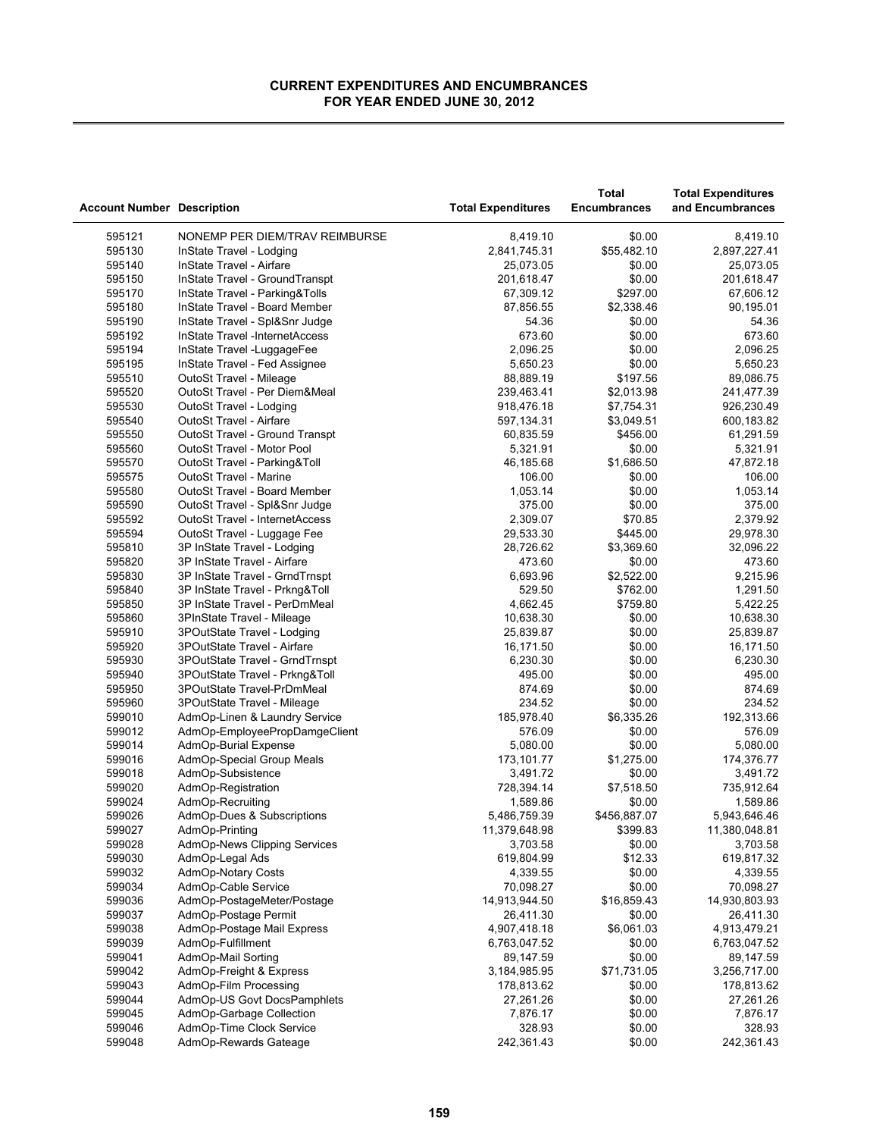|                                   |                                |                           | <b>Total</b>        | <b>Total Expenditures</b> |
|-----------------------------------|--------------------------------|---------------------------|---------------------|---------------------------|
| <b>Account Number Description</b> |                                | <b>Total Expenditures</b> | <b>Encumbrances</b> | and Encumbrances          |
| 595121                            | NONEMP PER DIEM/TRAV REIMBURSE | 8,419.10                  | \$0.00              | 8,419.10                  |
| 595130                            | InState Travel - Lodging       | 2,841,745.31              | \$55,482.10         | 2,897,227.41              |
| 595140                            | InState Travel - Airfare       | 25,073.05                 | \$0.00              | 25,073.05                 |
| 595150                            | InState Travel - GroundTranspt | 201,618.47                | \$0.00              | 201,618.47                |
| 595170                            | InState Travel - Parking&Tolls | 67,309.12                 | \$297.00            | 67,606.12                 |
| 595180                            | InState Travel - Board Member  | 87,856.55                 | \$2,338.46          | 90,195.01                 |
| 595190                            | InState Travel - Spl&Snr Judge | 54.36                     | \$0.00              | 54.36                     |
| 595192                            | InState Travel -InternetAccess | 673.60                    | \$0.00              | 673.60                    |
| 595194                            | InState Travel - Luggage Fee   | 2,096.25                  | \$0.00              | 2,096.25                  |
| 595195                            | InState Travel - Fed Assignee  | 5,650.23                  | \$0.00              | 5,650.23                  |
| 595510                            | OutoSt Travel - Mileage        | 88,889.19                 | \$197.56            | 89,086.75                 |
| 595520                            | OutoSt Travel - Per Diem&Meal  | 239,463.41                | \$2,013.98          | 241,477.39                |
| 595530                            | OutoSt Travel - Lodging        | 918,476.18                | \$7,754.31          | 926,230.49                |
| 595540                            | OutoSt Travel - Airfare        | 597,134.31                | \$3,049.51          | 600,183.82                |
| 595550                            | OutoSt Travel - Ground Transpt | 60,835.59                 | \$456.00            | 61,291.59                 |
| 595560                            | OutoSt Travel - Motor Pool     | 5,321.91                  | \$0.00              | 5,321.91                  |
| 595570                            | OutoSt Travel - Parking&Toll   | 46,185.68                 | \$1,686.50          | 47,872.18                 |
| 595575                            | OutoSt Travel - Marine         | 106.00                    | \$0.00              | 106.00                    |
| 595580                            | OutoSt Travel - Board Member   | 1,053.14                  | \$0.00              | 1,053.14                  |
| 595590                            | OutoSt Travel - Spl&Snr Judge  | 375.00                    | \$0.00              | 375.00                    |
| 595592                            | OutoSt Travel - InternetAccess | 2,309.07                  | \$70.85             | 2,379.92                  |
| 595594                            | OutoSt Travel - Luggage Fee    | 29,533.30                 | \$445.00            | 29,978.30                 |
| 595810                            | 3P InState Travel - Lodging    | 28,726.62                 | \$3,369.60          | 32,096.22                 |
| 595820                            | 3P InState Travel - Airfare    | 473.60                    | \$0.00              | 473.60                    |
| 595830                            | 3P InState Travel - GrndTrnspt | 6,693.96                  | \$2,522.00          | 9,215.96                  |
| 595840                            | 3P InState Travel - Prkng&Toll | 529.50                    | \$762.00            | 1,291.50                  |
| 595850                            | 3P InState Travel - PerDmMeal  | 4,662.45                  | \$759.80            | 5,422.25                  |
| 595860                            | 3PInState Travel - Mileage     | 10,638.30                 | \$0.00              | 10,638.30                 |
| 595910                            | 3POutState Travel - Lodging    | 25,839.87                 | \$0.00              | 25,839.87                 |
| 595920                            | 3POutState Travel - Airfare    | 16,171.50                 | \$0.00              | 16,171.50                 |
| 595930                            | 3POutState Travel - GrndTrnspt | 6,230.30                  | \$0.00              | 6,230.30                  |
| 595940                            | 3POutState Travel - Prkng&Toll | 495.00                    | \$0.00              | 495.00                    |
| 595950                            | 3POutState Travel-PrDmMeal     | 874.69                    | \$0.00              | 874.69                    |
| 595960                            | 3POutState Travel - Mileage    | 234.52                    | \$0.00              | 234.52                    |
| 599010                            | AdmOp-Linen & Laundry Service  | 185,978.40                | \$6,335.26          | 192,313.66                |
| 599012                            | AdmOp-EmployeePropDamgeClient  | 576.09                    | \$0.00              | 576.09                    |
| 599014                            | AdmOp-Burial Expense           | 5,080.00                  | \$0.00              | 5,080.00                  |
| 599016                            | AdmOp-Special Group Meals      | 173,101.77                | \$1,275.00          | 174,376.77                |
| 599018                            | AdmOp-Subsistence              | 3,491.72                  | \$0.00              | 3,491.72                  |
| 599020                            | AdmOp-Registration             | 728,394.14                | \$7,518.50          | 735,912.64                |
| 599024                            | AdmOp-Recruiting               | 1,589.86                  | \$0.00              | 1,589.86                  |
| 599026                            | AdmOp-Dues & Subscriptions     | 5,486,759.39              | \$456,887.07        | 5,943,646.46              |
| 599027                            | AdmOp-Printing                 | 11.379.648.98             | \$399.83            | 11,380,048.81             |
| 599028                            | AdmOp-News Clipping Services   | 3,703.58                  | \$0.00              | 3,703.58                  |
| 599030                            | AdmOp-Legal Ads                | 619,804.99                | \$12.33             | 619,817.32                |
| 599032                            | AdmOp-Notary Costs             | 4,339.55                  | \$0.00              | 4,339.55                  |
| 599034                            | AdmOp-Cable Service            | 70,098.27                 | \$0.00              | 70,098.27                 |
| 599036                            | AdmOp-PostageMeter/Postage     | 14,913,944.50             | \$16,859.43         | 14,930,803.93             |
| 599037                            | AdmOp-Postage Permit           | 26,411.30                 | \$0.00              | 26,411.30                 |
| 599038                            | AdmOp-Postage Mail Express     | 4,907,418.18              | \$6,061.03          | 4,913,479.21              |
| 599039                            | AdmOp-Fulfillment              | 6,763,047.52              | \$0.00              | 6,763,047.52              |
| 599041                            | AdmOp-Mail Sorting             | 89,147.59                 | \$0.00              | 89,147.59                 |
| 599042                            | AdmOp-Freight & Express        | 3,184,985.95              | \$71,731.05         | 3,256,717.00              |
| 599043                            | AdmOp-Film Processing          | 178,813.62                | \$0.00              | 178,813.62                |
| 599044                            | AdmOp-US Govt DocsPamphlets    | 27,261.26                 | \$0.00              | 27,261.26                 |
| 599045                            | AdmOp-Garbage Collection       | 7,876.17                  | \$0.00              | 7,876.17                  |
| 599046                            | AdmOp-Time Clock Service       | 328.93                    | \$0.00              | 328.93                    |
| 599048                            | AdmOp-Rewards Gateage          | 242,361.43                | \$0.00              | 242,361.43                |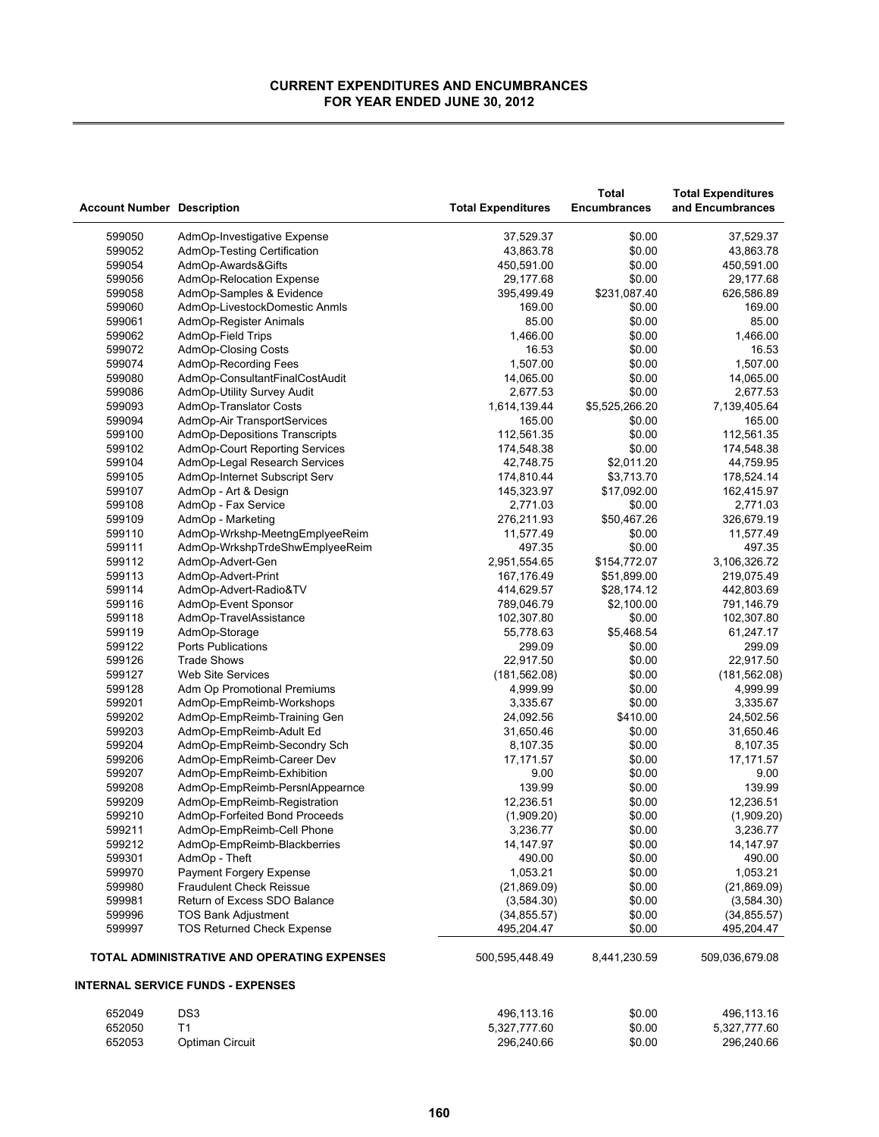J.

| <b>Account Number Description</b> |                                             | <b>Total Expenditures</b> | Total<br><b>Encumbrances</b> | <b>Total Expenditures</b><br>and Encumbrances |
|-----------------------------------|---------------------------------------------|---------------------------|------------------------------|-----------------------------------------------|
| 599050                            | AdmOp-Investigative Expense                 | 37,529.37                 | \$0.00                       | 37,529.37                                     |
| 599052                            | AdmOp-Testing Certification                 | 43,863.78                 | \$0.00                       | 43,863.78                                     |
| 599054                            | AdmOp-Awards&Gifts                          | 450,591.00                | \$0.00                       | 450,591.00                                    |
| 599056                            | AdmOp-Relocation Expense                    | 29,177.68                 | \$0.00                       | 29,177.68                                     |
| 599058                            | AdmOp-Samples & Evidence                    | 395,499.49                | \$231,087.40                 | 626,586.89                                    |
| 599060                            | AdmOp-LivestockDomestic Anmls               | 169.00                    | \$0.00                       | 169.00                                        |
| 599061                            | AdmOp-Register Animals                      | 85.00                     | \$0.00                       | 85.00                                         |
| 599062                            | AdmOp-Field Trips                           | 1,466.00                  | \$0.00                       | 1,466.00                                      |
| 599072                            | AdmOp-Closing Costs                         | 16.53                     | \$0.00                       | 16.53                                         |
| 599074                            | AdmOp-Recording Fees                        | 1,507.00                  | \$0.00                       | 1,507.00                                      |
| 599080                            | AdmOp-ConsultantFinalCostAudit              | 14,065.00                 | \$0.00                       | 14,065.00                                     |
| 599086                            | AdmOp-Utility Survey Audit                  | 2,677.53                  | \$0.00                       | 2,677.53                                      |
| 599093                            | AdmOp-Translator Costs                      | 1,614,139.44              | \$5,525,266.20               | 7,139,405.64                                  |
| 599094                            | AdmOp-Air TransportServices                 | 165.00                    | \$0.00                       | 165.00                                        |
|                                   | AdmOp-Depositions Transcripts               |                           | \$0.00                       | 112,561.35                                    |
| 599100                            |                                             | 112,561.35                |                              |                                               |
| 599102                            | AdmOp-Court Reporting Services              | 174,548.38                | \$0.00                       | 174,548.38                                    |
| 599104                            | AdmOp-Legal Research Services               | 42,748.75                 | \$2,011.20                   | 44,759.95                                     |
| 599105                            | AdmOp-Internet Subscript Serv               | 174,810.44                | \$3,713.70                   | 178,524.14                                    |
| 599107                            | AdmOp - Art & Design                        | 145,323.97                | \$17,092.00                  | 162,415.97                                    |
| 599108                            | AdmOp - Fax Service                         | 2,771.03                  | \$0.00                       | 2,771.03                                      |
| 599109                            | AdmOp - Marketing                           | 276,211.93                | \$50,467.26                  | 326,679.19                                    |
| 599110                            | AdmOp-Wrkshp-MeetngEmplyeeReim              | 11,577.49                 | \$0.00                       | 11,577.49                                     |
| 599111                            | AdmOp-WrkshpTrdeShwEmplyeeReim              | 497.35                    | \$0.00                       | 497.35                                        |
| 599112                            | AdmOp-Advert-Gen                            | 2,951,554.65              | \$154,772.07                 | 3,106,326.72                                  |
| 599113                            | AdmOp-Advert-Print                          | 167,176.49                | \$51,899.00                  | 219,075.49                                    |
| 599114                            | AdmOp-Advert-Radio&TV                       | 414,629.57                | \$28,174.12                  | 442,803.69                                    |
| 599116                            | AdmOp-Event Sponsor                         | 789,046.79                | \$2,100.00                   | 791,146.79                                    |
| 599118                            | AdmOp-TravelAssistance                      | 102,307.80                | \$0.00                       | 102,307.80                                    |
| 599119                            | AdmOp-Storage                               | 55,778.63                 | \$5,468.54                   | 61,247.17                                     |
| 599122                            | <b>Ports Publications</b>                   | 299.09                    | \$0.00                       | 299.09                                        |
| 599126                            | <b>Trade Shows</b>                          | 22,917.50                 | \$0.00                       | 22,917.50                                     |
| 599127                            | <b>Web Site Services</b>                    | (181, 562.08)             | \$0.00                       | (181, 562.08)                                 |
| 599128                            | Adm Op Promotional Premiums                 | 4,999.99                  | \$0.00                       | 4,999.99                                      |
| 599201                            | AdmOp-EmpReimb-Workshops                    | 3,335.67                  | \$0.00                       | 3,335.67                                      |
| 599202                            | AdmOp-EmpReimb-Training Gen                 | 24,092.56                 | \$410.00                     | 24,502.56                                     |
| 599203                            | AdmOp-EmpReimb-Adult Ed                     | 31,650.46                 | \$0.00                       | 31,650.46                                     |
| 599204                            | AdmOp-EmpReimb-Secondry Sch                 | 8,107.35                  | \$0.00                       | 8,107.35                                      |
| 599206                            | AdmOp-EmpReimb-Career Dev                   | 17,171.57                 | \$0.00                       | 17, 171.57                                    |
| 599207                            | AdmOp-EmpReimb-Exhibition                   | 9.00                      | \$0.00                       | 9.00                                          |
| 599208                            | AdmOp-EmpReimb-PersnlAppearnce              | 139.99                    | \$0.00                       | 139.99                                        |
| 599209                            | AdmOp-EmpReimb-Registration                 | 12,236.51                 | \$0.00                       | 12,236.51                                     |
| 599210                            | AdmOp-Forfeited Bond Proceeds               | (1,909.20)                | \$0.00                       | (1,909.20)                                    |
| 599211                            | AdmOp-EmpReimb-Cell Phone                   | 3,236.77                  | \$0.00                       | 3,236.77                                      |
| 599212                            | AdmOp-EmpReimb-Blackberries                 | 14, 147.97                | \$0.00                       | 14,147.97                                     |
| 599301                            | AdmOp - Theft                               | 490.00                    | \$0.00                       | 490.00                                        |
| 599970                            | Payment Forgery Expense                     | 1,053.21                  | \$0.00                       | 1,053.21                                      |
| 599980                            | <b>Fraudulent Check Reissue</b>             | (21,869.09)               | \$0.00                       | (21,869.09)                                   |
| 599981                            | Return of Excess SDO Balance                | (3,584.30)                | \$0.00                       | (3,584.30)                                    |
| 599996                            | <b>TOS Bank Adjustment</b>                  | (34, 855.57)              | \$0.00                       | (34, 855.57)                                  |
| 599997                            | <b>TOS Returned Check Expense</b>           | 495,204.47                | \$0.00                       | 495,204.47                                    |
|                                   | TOTAL ADMINISTRATIVE AND OPERATING EXPENSES | 500,595,448.49            | 8,441,230.59                 | 509,036,679.08                                |
|                                   | <b>INTERNAL SERVICE FUNDS - EXPENSES</b>    |                           |                              |                                               |
| 652049                            | DS3                                         | 496,113.16                | \$0.00                       | 496,113.16                                    |
| 652050                            | T1                                          | 5,327,777.60              | \$0.00                       | 5,327,777.60                                  |
| 652053                            | Optiman Circuit                             | 296,240.66                | \$0.00                       | 296,240.66                                    |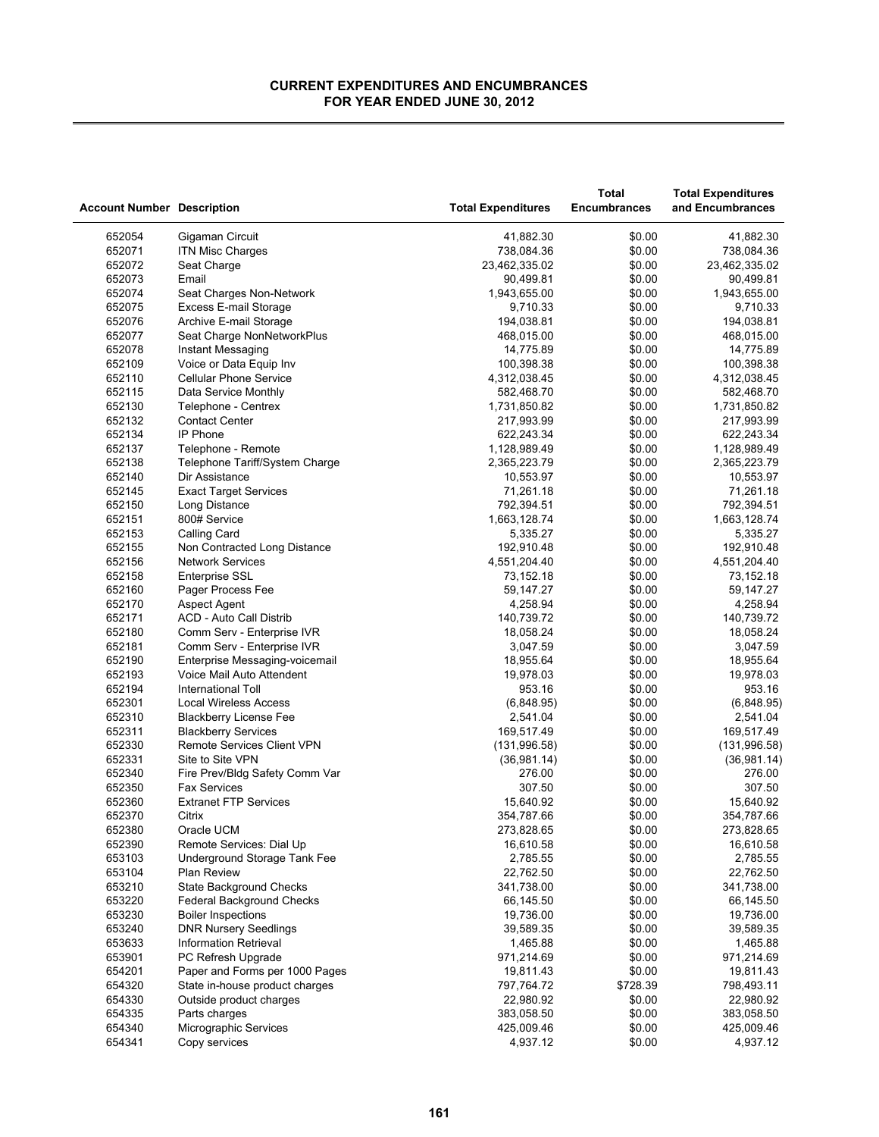| <b>Account Number Description</b> |                                                          | <b>Total Expenditures</b>  | Total<br><b>Encumbrances</b> | <b>Total Expenditures</b><br>and Encumbrances |
|-----------------------------------|----------------------------------------------------------|----------------------------|------------------------------|-----------------------------------------------|
| 652054                            | Gigaman Circuit                                          | 41,882.30                  | \$0.00                       | 41,882.30                                     |
| 652071                            | <b>ITN Misc Charges</b>                                  | 738,084.36                 | \$0.00                       | 738,084.36                                    |
| 652072                            | Seat Charge                                              | 23,462,335.02              | \$0.00                       | 23,462,335.02                                 |
| 652073                            | Email                                                    | 90,499.81                  | \$0.00                       | 90,499.81                                     |
| 652074                            | Seat Charges Non-Network                                 | 1,943,655.00               | \$0.00                       | 1,943,655.00                                  |
| 652075                            | <b>Excess E-mail Storage</b>                             |                            | \$0.00                       | 9,710.33                                      |
| 652076                            |                                                          | 9,710.33<br>194,038.81     | \$0.00                       | 194,038.81                                    |
| 652077                            | Archive E-mail Storage<br>Seat Charge NonNetworkPlus     | 468,015.00                 | \$0.00                       | 468,015.00                                    |
| 652078                            | Instant Messaging                                        | 14,775.89                  | \$0.00                       | 14,775.89                                     |
| 652109                            | Voice or Data Equip Inv                                  | 100,398.38                 | \$0.00                       | 100,398.38                                    |
| 652110                            | <b>Cellular Phone Service</b>                            | 4,312,038.45               | \$0.00                       | 4,312,038.45                                  |
| 652115                            | Data Service Monthly                                     | 582,468.70                 | \$0.00                       | 582,468.70                                    |
|                                   |                                                          |                            | \$0.00                       |                                               |
| 652130<br>652132                  | Telephone - Centrex<br><b>Contact Center</b>             | 1,731,850.82<br>217,993.99 | \$0.00                       | 1,731,850.82<br>217,993.99                    |
| 652134                            | IP Phone                                                 |                            | \$0.00                       | 622,243.34                                    |
|                                   |                                                          | 622,243.34                 |                              |                                               |
| 652137                            | Telephone - Remote                                       | 1,128,989.49               | \$0.00                       | 1,128,989.49                                  |
| 652138                            | Telephone Tariff/System Charge                           | 2,365,223.79               | \$0.00                       | 2,365,223.79                                  |
| 652140                            | Dir Assistance                                           | 10,553.97                  | \$0.00                       | 10,553.97                                     |
| 652145                            | <b>Exact Target Services</b>                             | 71,261.18                  | \$0.00                       | 71,261.18                                     |
| 652150                            | Long Distance                                            | 792,394.51                 | \$0.00                       | 792,394.51                                    |
| 652151                            | 800# Service                                             | 1,663,128.74               | \$0.00                       | 1,663,128.74                                  |
| 652153                            | Calling Card                                             | 5,335.27                   | \$0.00                       | 5,335.27                                      |
| 652155                            | Non Contracted Long Distance                             | 192,910.48                 | \$0.00                       | 192,910.48                                    |
| 652156                            | <b>Network Services</b>                                  | 4,551,204.40               | \$0.00                       | 4,551,204.40                                  |
| 652158                            | <b>Enterprise SSL</b>                                    | 73,152.18                  | \$0.00                       | 73,152.18                                     |
| 652160                            | Pager Process Fee                                        | 59,147.27                  | \$0.00                       | 59,147.27                                     |
| 652170                            | <b>Aspect Agent</b>                                      | 4,258.94                   | \$0.00                       | 4,258.94                                      |
| 652171                            | <b>ACD - Auto Call Distrib</b>                           | 140,739.72                 | \$0.00                       | 140,739.72                                    |
| 652180                            | Comm Serv - Enterprise IVR                               | 18,058.24                  | \$0.00                       | 18,058.24                                     |
| 652181                            | Comm Serv - Enterprise IVR                               | 3,047.59                   | \$0.00                       | 3,047.59                                      |
| 652190                            | Enterprise Messaging-voicemail                           | 18,955.64                  | \$0.00                       | 18,955.64                                     |
| 652193                            | Voice Mail Auto Attendent                                | 19,978.03                  | \$0.00                       | 19,978.03                                     |
| 652194                            | International Toll                                       | 953.16                     | \$0.00                       | 953.16                                        |
| 652301                            | <b>Local Wireless Access</b>                             | (6,848.95)                 | \$0.00                       | (6,848.95)                                    |
| 652310                            | <b>Blackberry License Fee</b>                            | 2,541.04                   | \$0.00                       | 2,541.04                                      |
| 652311                            | <b>Blackberry Services</b><br>Remote Services Client VPN | 169,517.49                 | \$0.00                       | 169,517.49                                    |
| 652330                            |                                                          | (131, 996.58)              | \$0.00                       | (131, 996.58)                                 |
| 652331                            | Site to Site VPN                                         | (36,981.14)                | \$0.00                       | (36,981.14)                                   |
| 652340<br>652350                  | Fire Prev/Bldg Safety Comm Var                           | 276.00                     | \$0.00                       | 276.00                                        |
|                                   | <b>Fax Services</b>                                      | 307.50                     | \$0.00                       | 307.50<br>15,640.92                           |
| 652360<br>652370                  | <b>Extranet FTP Services</b>                             | 15,640.92                  | \$0.00                       |                                               |
| 652380                            | Citrix                                                   | 354,787.66<br>273,828.65   | \$0.00<br>\$0.00             | 354,787.66                                    |
|                                   | Oracle UCM                                               |                            |                              | 273,828.65                                    |
| 652390<br>653103                  | Remote Services: Dial Up                                 | 16,610.58                  | \$0.00                       | 16,610.58                                     |
| 653104                            | Underground Storage Tank Fee<br><b>Plan Review</b>       | 2,785.55<br>22,762.50      | \$0.00<br>\$0.00             | 2,785.55<br>22,762.50                         |
| 653210                            | State Background Checks                                  | 341,738.00                 | \$0.00                       | 341,738.00                                    |
| 653220                            |                                                          |                            | \$0.00                       |                                               |
|                                   | <b>Federal Background Checks</b>                         | 66,145.50                  |                              | 66,145.50                                     |
| 653230                            | <b>Boiler Inspections</b>                                | 19,736.00                  | \$0.00<br>\$0.00             | 19,736.00                                     |
| 653240                            | <b>DNR Nursery Seedlings</b>                             | 39,589.35                  | \$0.00                       | 39,589.35                                     |
| 653633                            | <b>Information Retrieval</b>                             | 1,465.88                   |                              | 1,465.88                                      |
| 653901                            | PC Refresh Upgrade                                       | 971,214.69                 | \$0.00                       | 971,214.69                                    |
| 654201                            | Paper and Forms per 1000 Pages                           | 19,811.43                  | \$0.00                       | 19,811.43                                     |
| 654320                            | State in-house product charges                           | 797,764.72<br>22,980.92    | \$728.39                     | 798,493.11                                    |
| 654330                            | Outside product charges                                  |                            | \$0.00                       | 22,980.92                                     |
| 654335                            | Parts charges                                            | 383,058.50                 | \$0.00                       | 383,058.50                                    |
| 654340                            | Micrographic Services                                    | 425,009.46                 | \$0.00<br>\$0.00             | 425,009.46                                    |
| 654341                            | Copy services                                            | 4,937.12                   |                              | 4,937.12                                      |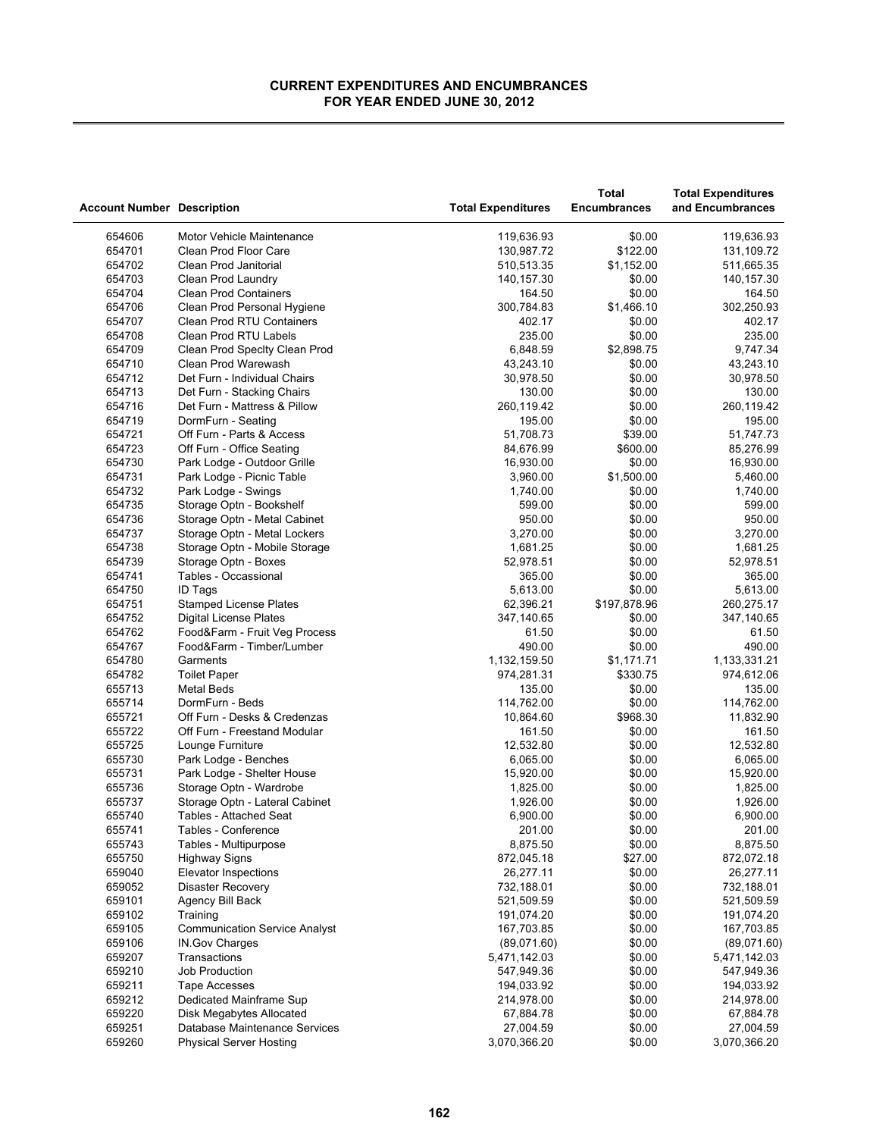|                                   |                                      |                           | <b>Total</b>           | <b>Total Expenditures</b>  |
|-----------------------------------|--------------------------------------|---------------------------|------------------------|----------------------------|
| <b>Account Number Description</b> |                                      | <b>Total Expenditures</b> | <b>Encumbrances</b>    | and Encumbrances           |
| 654606                            | Motor Vehicle Maintenance            | 119,636.93                | \$0.00                 | 119,636.93                 |
| 654701                            | Clean Prod Floor Care                | 130,987.72                | \$122.00               | 131,109.72                 |
| 654702                            | Clean Prod Janitorial                | 510,513.35                | \$1,152.00             | 511,665.35                 |
| 654703                            | Clean Prod Laundry                   | 140,157.30                | \$0.00                 | 140,157.30                 |
| 654704                            | <b>Clean Prod Containers</b>         | 164.50                    | \$0.00                 | 164.50                     |
| 654706                            | Clean Prod Personal Hygiene          | 300,784.83                | \$1,466.10             | 302,250.93                 |
| 654707                            | <b>Clean Prod RTU Containers</b>     | 402.17                    | \$0.00                 | 402.17                     |
| 654708                            | Clean Prod RTU Labels                | 235.00                    | \$0.00                 | 235.00                     |
| 654709                            | Clean Prod Specity Clean Prod        | 6,848.59                  | \$2,898.75             | 9,747.34                   |
| 654710                            | Clean Prod Warewash                  | 43,243.10                 | \$0.00                 | 43,243.10                  |
| 654712                            | Det Furn - Individual Chairs         | 30,978.50                 | \$0.00                 | 30,978.50                  |
| 654713                            | Det Furn - Stacking Chairs           | 130.00                    | \$0.00                 | 130.00                     |
| 654716                            | Det Furn - Mattress & Pillow         | 260,119.42                | \$0.00                 | 260,119.42                 |
| 654719                            | DormFurn - Seating                   | 195.00                    | \$0.00                 | 195.00                     |
| 654721                            | Off Furn - Parts & Access            | 51,708.73                 | \$39.00                | 51,747.73                  |
| 654723                            | Off Furn - Office Seating            | 84,676.99                 | \$600.00               | 85,276.99                  |
| 654730                            | Park Lodge - Outdoor Grille          | 16,930.00                 | \$0.00                 | 16,930.00                  |
| 654731                            | Park Lodge - Picnic Table            | 3,960.00                  | \$1,500.00             | 5,460.00                   |
| 654732                            | Park Lodge - Swings                  | 1,740.00                  | \$0.00                 | 1,740.00                   |
| 654735                            | Storage Optn - Bookshelf             | 599.00                    | \$0.00                 | 599.00                     |
| 654736                            | Storage Optn - Metal Cabinet         | 950.00                    | \$0.00                 | 950.00                     |
| 654737                            | Storage Optn - Metal Lockers         | 3,270.00                  | \$0.00                 | 3,270.00                   |
| 654738                            | Storage Optn - Mobile Storage        | 1,681.25                  | \$0.00                 | 1,681.25                   |
| 654739                            | Storage Optn - Boxes                 | 52,978.51                 | \$0.00                 | 52,978.51                  |
| 654741                            | Tables - Occassional                 | 365.00                    | \$0.00                 | 365.00                     |
| 654750                            | <b>ID Tags</b>                       | 5,613.00                  | \$0.00                 | 5,613.00                   |
| 654751                            | <b>Stamped License Plates</b>        | 62,396.21                 | \$197,878.96           | 260,275.17                 |
| 654752                            | Digital License Plates               | 347,140.65                | \$0.00                 | 347,140.65                 |
| 654762                            | Food&Farm - Fruit Veg Process        | 61.50                     | \$0.00                 | 61.50                      |
| 654767                            | Food&Farm - Timber/Lumber            | 490.00                    | \$0.00                 | 490.00                     |
| 654780<br>654782                  | Garments                             | 1,132,159.50              | \$1,171.71<br>\$330.75 | 1,133,331.21<br>974,612.06 |
| 655713                            | <b>Toilet Paper</b><br>Metal Beds    | 974,281.31<br>135.00      | \$0.00                 | 135.00                     |
| 655714                            | DormFurn - Beds                      | 114,762.00                | \$0.00                 | 114,762.00                 |
| 655721                            | Off Furn - Desks & Credenzas         | 10,864.60                 | \$968.30               | 11,832.90                  |
| 655722                            | Off Furn - Freestand Modular         | 161.50                    | \$0.00                 | 161.50                     |
| 655725                            | Lounge Furniture                     | 12,532.80                 | \$0.00                 | 12,532.80                  |
| 655730                            | Park Lodge - Benches                 | 6,065.00                  | \$0.00                 | 6,065.00                   |
| 655731                            | Park Lodge - Shelter House           | 15,920.00                 | \$0.00                 | 15,920.00                  |
| 655736                            | Storage Optn - Wardrobe              | 1,825.00                  | \$0.00                 | 1,825.00                   |
| 655737                            | Storage Optn - Lateral Cabinet       | 1,926.00                  | \$0.00                 | 1,926.00                   |
| 655740                            | Tables - Attached Seat               | 6,900.00                  | \$0.00                 | 6,900.00                   |
| 655741                            | Tables - Conference                  | 201.00                    | \$0.00                 | 201.00                     |
| 655743                            | Tables - Multipurpose                | 8,875.50                  | \$0.00                 | 8,875.50                   |
| 655750                            | <b>Highway Signs</b>                 | 872,045.18                | \$27.00                | 872,072.18                 |
| 659040                            | <b>Elevator Inspections</b>          | 26,277.11                 | \$0.00                 | 26,277.11                  |
| 659052                            | <b>Disaster Recovery</b>             | 732,188.01                | \$0.00                 | 732,188.01                 |
| 659101                            | Agency Bill Back                     | 521,509.59                | \$0.00                 | 521,509.59                 |
| 659102                            | Training                             | 191,074.20                | \$0.00                 | 191,074.20                 |
| 659105                            | <b>Communication Service Analyst</b> | 167,703.85                | \$0.00                 | 167,703.85                 |
| 659106                            | IN.Gov Charges                       | (89,071.60)               | \$0.00                 | (89,071.60)                |
| 659207                            | Transactions                         | 5,471,142.03              | \$0.00                 | 5,471,142.03               |
| 659210                            | Job Production                       | 547,949.36                | \$0.00                 | 547,949.36                 |
| 659211                            | Tape Accesses                        | 194,033.92                | \$0.00                 | 194,033.92                 |
| 659212                            | Dedicated Mainframe Sup              | 214,978.00                | \$0.00                 | 214,978.00                 |
| 659220                            | <b>Disk Megabytes Allocated</b>      | 67,884.78                 | \$0.00                 | 67,884.78                  |
| 659251                            | Database Maintenance Services        | 27,004.59                 | \$0.00                 | 27,004.59                  |
| 659260                            | <b>Physical Server Hosting</b>       | 3,070,366.20              | \$0.00                 | 3,070,366.20               |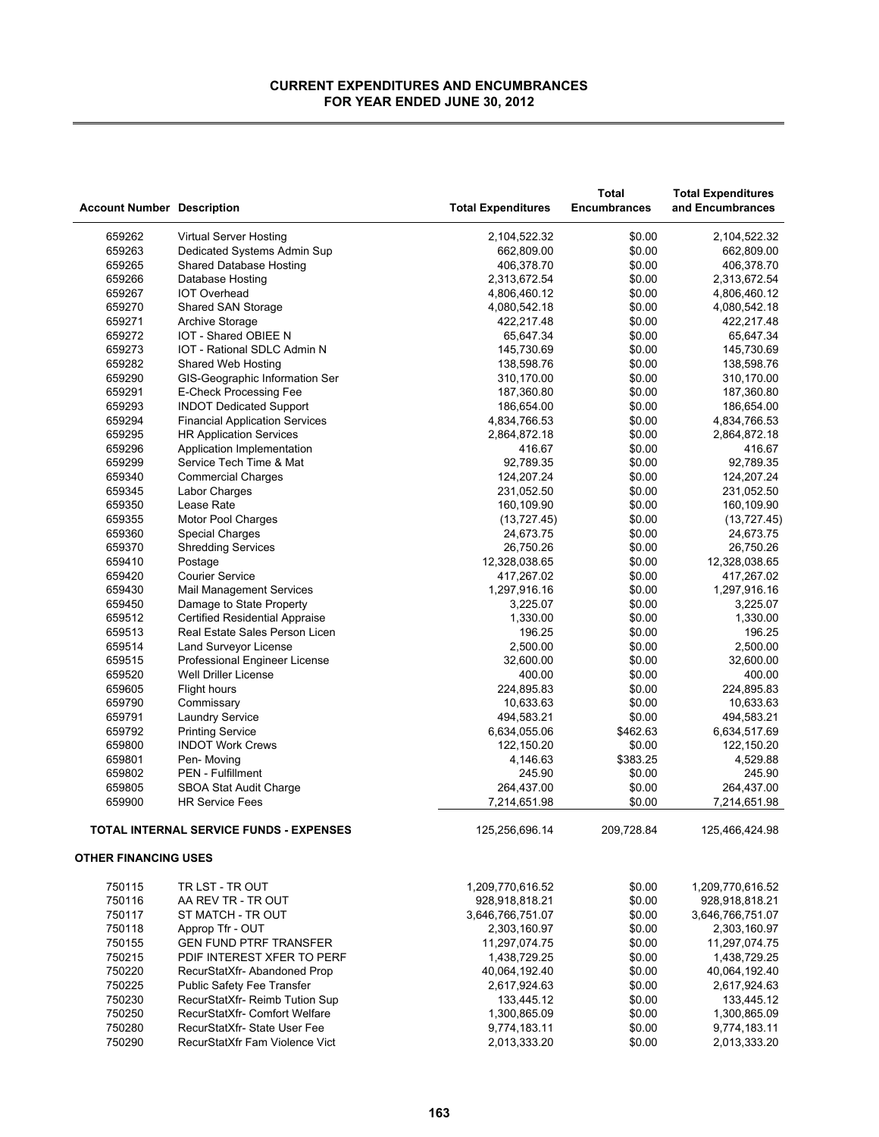| <b>Account Number Description</b> |                                                         | <b>Total Expenditures</b> | Total<br><b>Encumbrances</b> | <b>Total Expenditures</b><br>and Encumbrances |
|-----------------------------------|---------------------------------------------------------|---------------------------|------------------------------|-----------------------------------------------|
| 659262                            | Virtual Server Hosting                                  | 2,104,522.32              | \$0.00                       | 2,104,522.32                                  |
| 659263                            | Dedicated Systems Admin Sup                             | 662,809.00                | \$0.00                       | 662,809.00                                    |
| 659265                            | <b>Shared Database Hosting</b>                          | 406,378.70                | \$0.00                       | 406,378.70                                    |
| 659266                            | Database Hosting                                        | 2,313,672.54              | \$0.00                       | 2,313,672.54                                  |
| 659267                            | <b>IOT Overhead</b>                                     | 4,806,460.12              | \$0.00                       | 4,806,460.12                                  |
| 659270                            | <b>Shared SAN Storage</b>                               | 4,080,542.18              | \$0.00                       | 4,080,542.18                                  |
| 659271                            | <b>Archive Storage</b>                                  | 422,217.48                | \$0.00                       | 422,217.48                                    |
| 659272                            | IOT - Shared OBIEE N                                    | 65,647.34                 | \$0.00                       | 65,647.34                                     |
| 659273                            | IOT - Rational SDLC Admin N                             | 145,730.69                | \$0.00                       | 145,730.69                                    |
| 659282                            | Shared Web Hosting                                      | 138,598.76                | \$0.00                       | 138,598.76                                    |
| 659290                            | GIS-Geographic Information Ser                          | 310,170.00                | \$0.00                       | 310,170.00                                    |
| 659291                            | E-Check Processing Fee                                  | 187,360.80                | \$0.00                       | 187,360.80                                    |
| 659293                            | <b>INDOT Dedicated Support</b>                          | 186,654.00                | \$0.00                       | 186,654.00                                    |
| 659294                            | <b>Financial Application Services</b>                   | 4,834,766.53              | \$0.00                       | 4,834,766.53                                  |
| 659295                            | <b>HR Application Services</b>                          | 2,864,872.18              | \$0.00                       | 2,864,872.18                                  |
| 659296                            | Application Implementation                              | 416.67                    | \$0.00                       | 416.67                                        |
| 659299                            | Service Tech Time & Mat                                 | 92,789.35                 | \$0.00                       | 92,789.35                                     |
| 659340                            | <b>Commercial Charges</b>                               | 124,207.24                | \$0.00                       | 124,207.24                                    |
| 659345                            | Labor Charges                                           | 231,052.50                | \$0.00                       | 231,052.50                                    |
| 659350                            | Lease Rate                                              | 160,109.90                | \$0.00                       | 160,109.90                                    |
| 659355                            | Motor Pool Charges                                      | (13, 727.45)              | \$0.00                       | (13, 727.45)                                  |
| 659360                            | <b>Special Charges</b>                                  | 24,673.75                 | \$0.00                       | 24,673.75                                     |
| 659370                            | <b>Shredding Services</b>                               | 26,750.26                 | \$0.00                       | 26,750.26                                     |
| 659410                            | Postage                                                 | 12,328,038.65             | \$0.00                       | 12,328,038.65                                 |
| 659420                            | <b>Courier Service</b>                                  | 417,267.02                | \$0.00                       | 417,267.02                                    |
| 659430                            | <b>Mail Management Services</b>                         | 1,297,916.16              | \$0.00                       | 1,297,916.16                                  |
| 659450                            | Damage to State Property                                | 3,225.07                  | \$0.00                       | 3,225.07                                      |
| 659512                            | <b>Certified Residential Appraise</b>                   | 1,330.00                  | \$0.00                       | 1,330.00                                      |
| 659513                            | Real Estate Sales Person Licen                          | 196.25                    | \$0.00                       | 196.25                                        |
| 659514                            | Land Surveyor License                                   | 2,500.00                  | \$0.00                       | 2,500.00                                      |
| 659515                            | Professional Engineer License                           | 32,600.00                 | \$0.00                       | 32,600.00                                     |
| 659520                            | <b>Well Driller License</b>                             | 400.00                    | \$0.00                       | 400.00                                        |
| 659605                            | Flight hours                                            | 224,895.83                | \$0.00                       | 224,895.83                                    |
| 659790                            | Commissary                                              | 10,633.63                 | \$0.00                       | 10,633.63                                     |
| 659791                            | Laundry Service                                         | 494,583.21                | \$0.00                       | 494,583.21                                    |
| 659792<br>659800                  | <b>Printing Service</b><br><b>INDOT Work Crews</b>      | 6,634,055.06              | \$462.63<br>\$0.00           | 6,634,517.69<br>122,150.20                    |
|                                   |                                                         | 122,150.20                | \$383.25                     |                                               |
| 659801<br>659802                  | Pen-Moving                                              | 4,146.63<br>245.90        |                              | 4,529.88<br>245.90                            |
| 659805                            | PEN - Fulfillment                                       | 264,437.00                | \$0.00<br>\$0.00             | 264,437.00                                    |
| 659900                            | <b>SBOA Stat Audit Charge</b><br><b>HR Service Fees</b> | 7,214,651.98              | \$0.00                       | 7,214,651.98                                  |
|                                   |                                                         |                           |                              |                                               |
|                                   | TOTAL INTERNAL SERVICE FUNDS - EXPENSES                 | 125,256,696.14            | 209,728.84                   | 125,466,424.98                                |
| <b>OTHER FINANCING USES</b>       |                                                         |                           |                              |                                               |
| 750115                            | TR LST - TR OUT                                         | 1,209,770,616.52          | \$0.00                       | 1,209,770,616.52                              |
| 750116                            | AA REV TR - TR OUT                                      | 928,918,818.21            | \$0.00                       | 928,918,818.21                                |
| 750117                            | ST MATCH - TR OUT                                       | 3,646,766,751.07          | \$0.00                       | 3,646,766,751.07                              |
| 750118                            | Approp Tfr - OUT                                        | 2,303,160.97              | \$0.00                       | 2,303,160.97                                  |
| 750155                            | <b>GEN FUND PTRF TRANSFER</b>                           | 11,297,074.75             | \$0.00                       | 11,297,074.75                                 |
| 750215                            | PDIF INTEREST XFER TO PERF                              | 1,438,729.25              | \$0.00                       | 1,438,729.25                                  |
| 750220                            | RecurStatXfr- Abandoned Prop                            | 40,064,192.40             | \$0.00                       | 40,064,192.40                                 |
| 750225                            | Public Safety Fee Transfer                              | 2,617,924.63              | \$0.00                       | 2,617,924.63                                  |
| 750230                            | RecurStatXfr- Reimb Tution Sup                          | 133,445.12                | \$0.00                       | 133,445.12                                    |
| 750250                            | RecurStatXfr- Comfort Welfare                           | 1,300,865.09              | \$0.00                       | 1,300,865.09                                  |
| 750280                            | RecurStatXfr-State User Fee                             | 9,774,183.11              | \$0.00                       | 9,774,183.11                                  |
| 750290                            | RecurStatXfr Fam Violence Vict                          | 2,013,333.20              | \$0.00                       | 2,013,333.20                                  |